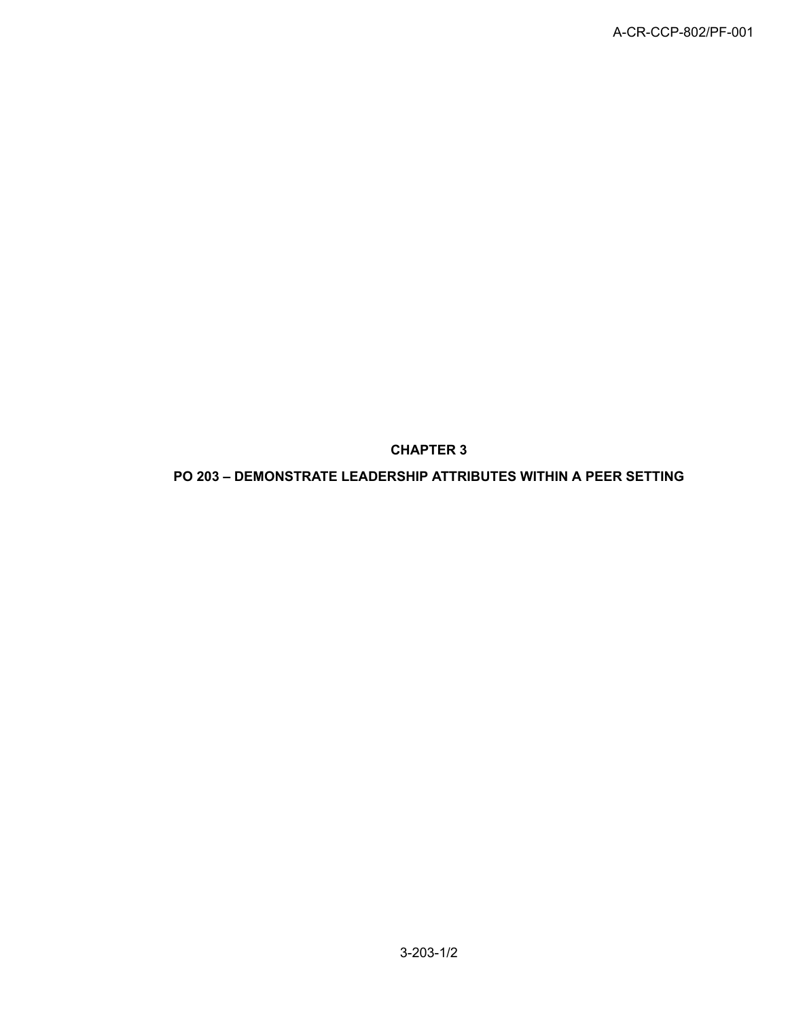**CHAPTER 3**

**PO 203 – DEMONSTRATE LEADERSHIP ATTRIBUTES WITHIN A PEER SETTING**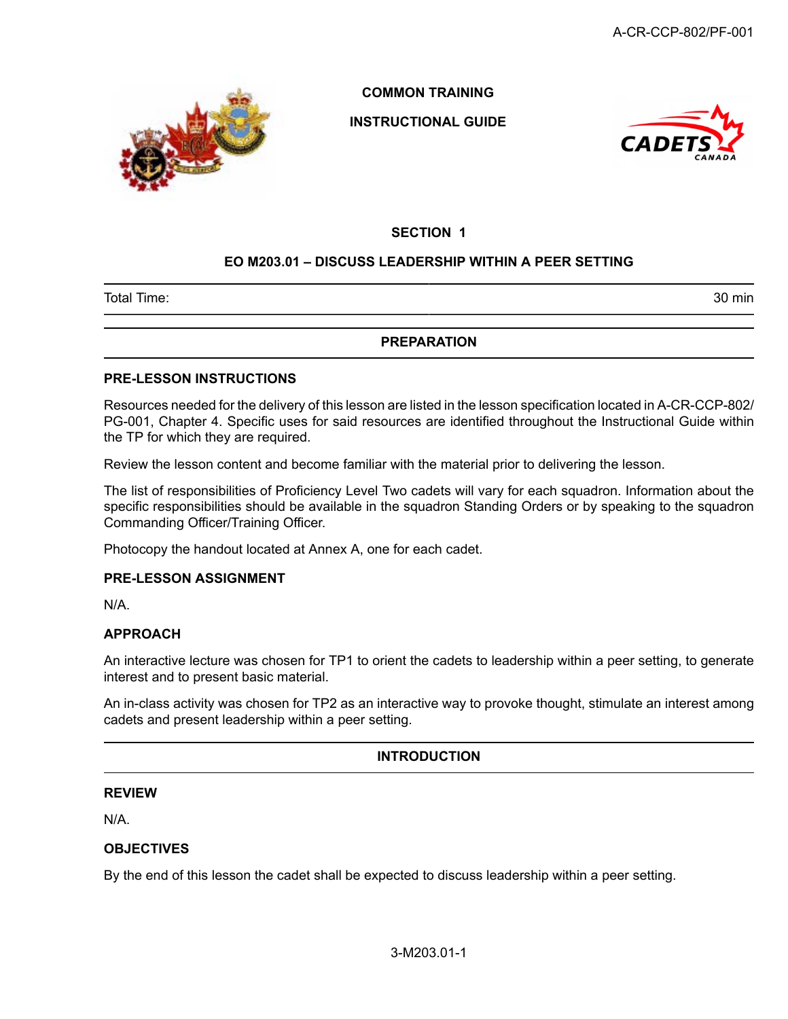

**COMMON TRAINING**

**INSTRUCTIONAL GUIDE**



# **SECTION 1**

#### **EO M203.01 – DISCUSS LEADERSHIP WITHIN A PEER SETTING**

Total Time: 30 min

# **PREPARATION**

#### **PRE-LESSON INSTRUCTIONS**

Resources needed for the delivery of this lesson are listed in the lesson specification located in A-CR-CCP-802/ PG-001, Chapter 4. Specific uses for said resources are identified throughout the Instructional Guide within the TP for which they are required.

Review the lesson content and become familiar with the material prior to delivering the lesson.

The list of responsibilities of Proficiency Level Two cadets will vary for each squadron. Information about the specific responsibilities should be available in the squadron Standing Orders or by speaking to the squadron Commanding Officer/Training Officer.

Photocopy the handout located at Annex A, one for each cadet.

#### **PRE-LESSON ASSIGNMENT**

N/A.

#### **APPROACH**

An interactive lecture was chosen for TP1 to orient the cadets to leadership within a peer setting, to generate interest and to present basic material.

An in-class activity was chosen for TP2 as an interactive way to provoke thought, stimulate an interest among cadets and present leadership within a peer setting.

# **INTRODUCTION**

#### **REVIEW**

N/A.

# **OBJECTIVES**

By the end of this lesson the cadet shall be expected to discuss leadership within a peer setting.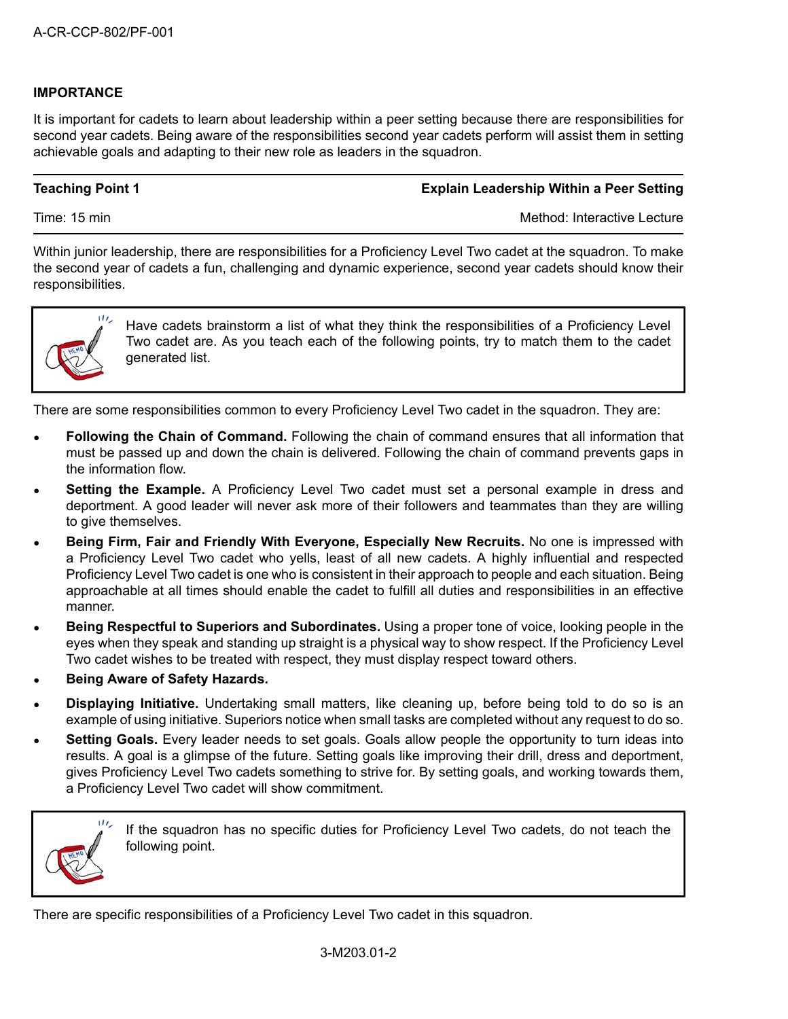# **IMPORTANCE**

It is important for cadets to learn about leadership within a peer setting because there are responsibilities for second year cadets. Being aware of the responsibilities second year cadets perform will assist them in setting achievable goals and adapting to their new role as leaders in the squadron.

**Teaching Point 1 Explain Leadership Within a Peer Setting**

Time: 15 min Method: Interactive Lecture Controller and Method: Interactive Lecture

Within junior leadership, there are responsibilities for a Proficiency Level Two cadet at the squadron. To make the second year of cadets a fun, challenging and dynamic experience, second year cadets should know their responsibilities.



Have cadets brainstorm a list of what they think the responsibilities of a Proficiency Level Two cadet are. As you teach each of the following points, try to match them to the cadet generated list.

There are some responsibilities common to every Proficiency Level Two cadet in the squadron. They are:

- **Following the Chain of Command.** Following the chain of command ensures that all information that must be passed up and down the chain is delivered. Following the chain of command prevents gaps in the information flow.
- **Setting the Example.** A Proficiency Level Two cadet must set a personal example in dress and deportment. A good leader will never ask more of their followers and teammates than they are willing to give themselves.
- **Being Firm, Fair and Friendly With Everyone, Especially New Recruits.** No one is impressed with a Proficiency Level Two cadet who yells, least of all new cadets. A highly influential and respected Proficiency Level Two cadet is one who is consistent in their approach to people and each situation. Being approachable at all times should enable the cadet to fulfill all duties and responsibilities in an effective manner.
- **Being Respectful to Superiors and Subordinates.** Using a proper tone of voice, looking people in the eyes when they speak and standing up straight is a physical way to show respect. If the Proficiency Level Two cadet wishes to be treated with respect, they must display respect toward others.
- **Being Aware of Safety Hazards.**
- **Displaying Initiative.** Undertaking small matters, like cleaning up, before being told to do so is an example of using initiative. Superiors notice when small tasks are completed without any request to do so.
- **Setting Goals.** Every leader needs to set goals. Goals allow people the opportunity to turn ideas into results. A goal is a glimpse of the future. Setting goals like improving their drill, dress and deportment, gives Proficiency Level Two cadets something to strive for. By setting goals, and working towards them, a Proficiency Level Two cadet will show commitment.



If the squadron has no specific duties for Proficiency Level Two cadets, do not teach the following point.

There are specific responsibilities of a Proficiency Level Two cadet in this squadron.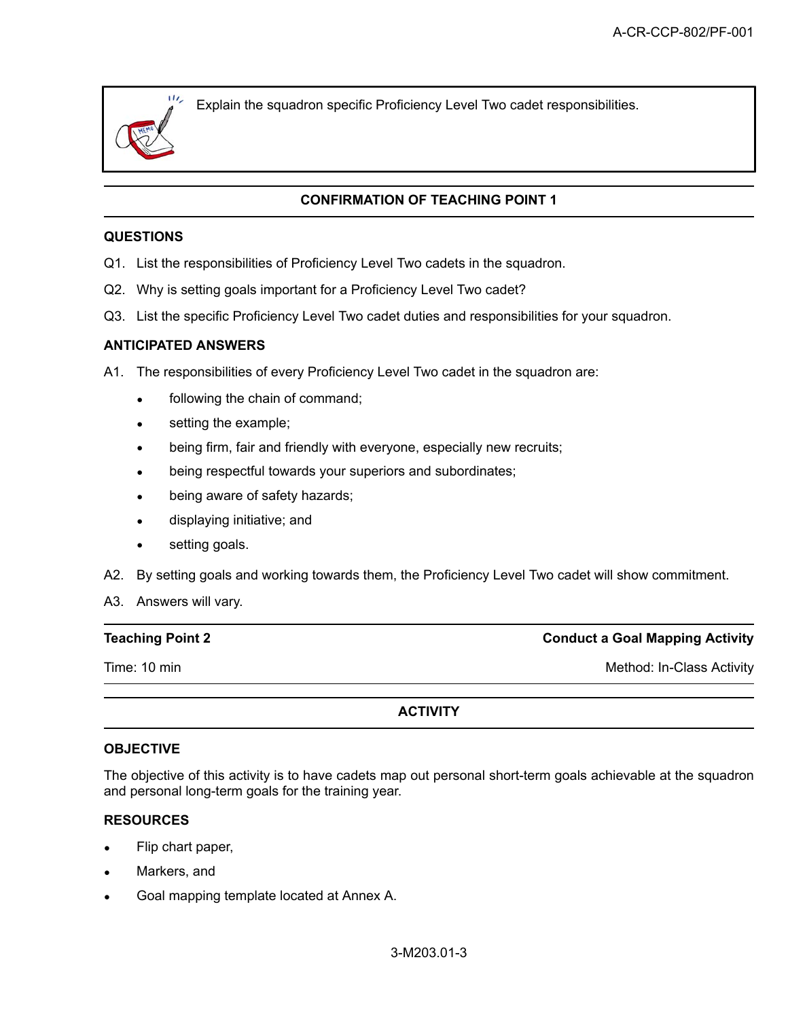

Explain the squadron specific Proficiency Level Two cadet responsibilities.

# **CONFIRMATION OF TEACHING POINT 1**

# **QUESTIONS**

- Q1. List the responsibilities of Proficiency Level Two cadets in the squadron.
- Q2. Why is setting goals important for a Proficiency Level Two cadet?
- Q3. List the specific Proficiency Level Two cadet duties and responsibilities for your squadron.

#### **ANTICIPATED ANSWERS**

A1. The responsibilities of every Proficiency Level Two cadet in the squadron are:

- following the chain of command;
- setting the example;
- being firm, fair and friendly with everyone, especially new recruits;
- being respectful towards your superiors and subordinates;
- being aware of safety hazards;
- displaying initiative; and
- setting goals.
- A2. By setting goals and working towards them, the Proficiency Level Two cadet will show commitment.
- A3. Answers will vary.

# **Teaching Point 2 Conduct a Goal Mapping Activity** Time: 10 min Method: In-Class Activity

# **ACTIVITY**

#### **OBJECTIVE**

The objective of this activity is to have cadets map out personal short-term goals achievable at the squadron and personal long-term goals for the training year.

# **RESOURCES**

- Flip chart paper,
- Markers, and
- Goal mapping template located at Annex A.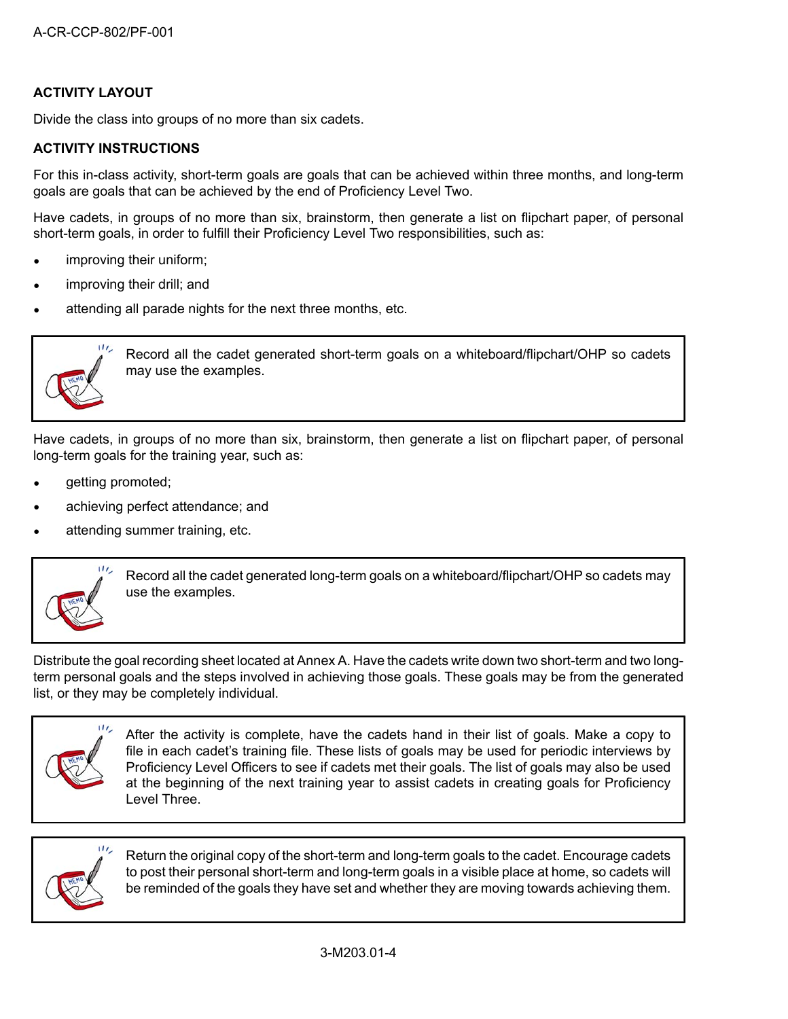# **ACTIVITY LAYOUT**

Divide the class into groups of no more than six cadets.

# **ACTIVITY INSTRUCTIONS**

For this in-class activity, short-term goals are goals that can be achieved within three months, and long-term goals are goals that can be achieved by the end of Proficiency Level Two.

Have cadets, in groups of no more than six, brainstorm, then generate a list on flipchart paper, of personal short-term goals, in order to fulfill their Proficiency Level Two responsibilities, such as:

- improving their uniform;
- improving their drill; and
- attending all parade nights for the next three months, etc.



Record all the cadet generated short-term goals on a whiteboard/flipchart/OHP so cadets may use the examples.

Have cadets, in groups of no more than six, brainstorm, then generate a list on flipchart paper, of personal long-term goals for the training year, such as:

- qetting promoted;
- achieving perfect attendance; and
- attending summer training, etc.



Record all the cadet generated long-term goals on a whiteboard/flipchart/OHP so cadets may use the examples.

Distribute the goal recording sheet located at Annex A. Have the cadets write down two short-term and two longterm personal goals and the steps involved in achieving those goals. These goals may be from the generated list, or they may be completely individual.



After the activity is complete, have the cadets hand in their list of goals. Make a copy to file in each cadet's training file. These lists of goals may be used for periodic interviews by Proficiency Level Officers to see if cadets met their goals. The list of goals may also be used at the beginning of the next training year to assist cadets in creating goals for Proficiency Level Three.



Return the original copy of the short-term and long-term goals to the cadet. Encourage cadets to post their personal short-term and long-term goals in a visible place at home, so cadets will be reminded of the goals they have set and whether they are moving towards achieving them.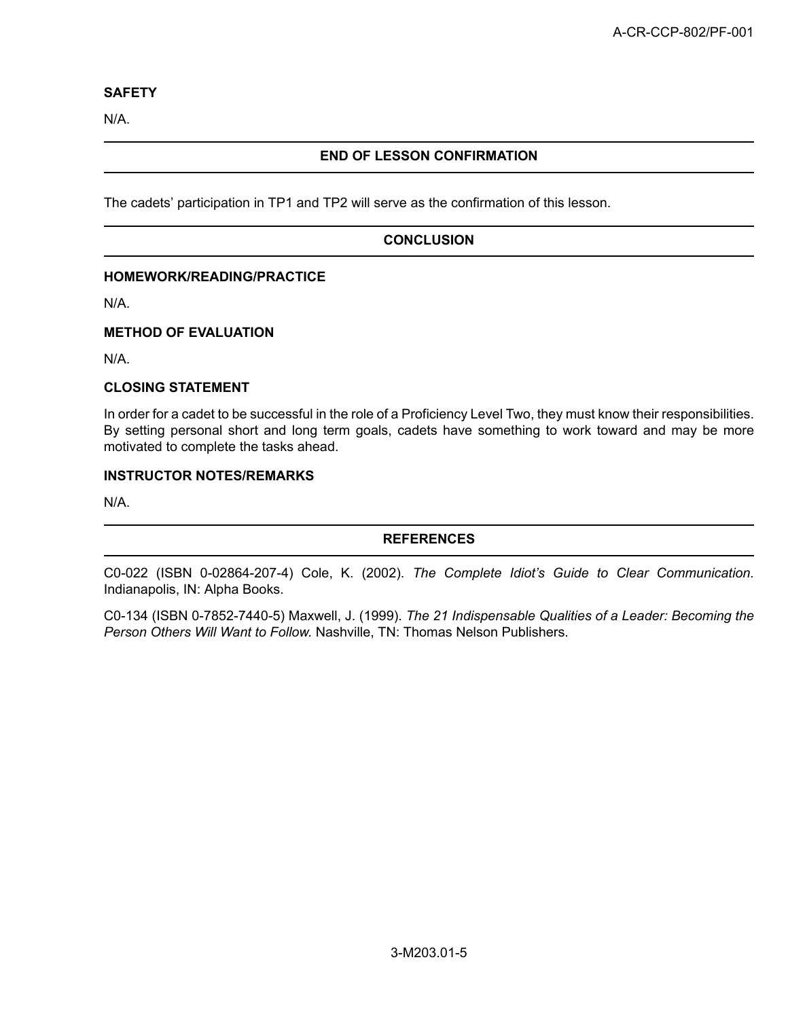# **SAFETY**

N/A.

# **END OF LESSON CONFIRMATION**

The cadets' participation in TP1 and TP2 will serve as the confirmation of this lesson.

# **CONCLUSION**

#### **HOMEWORK/READING/PRACTICE**

N/A.

#### **METHOD OF EVALUATION**

N/A.

#### **CLOSING STATEMENT**

In order for a cadet to be successful in the role of a Proficiency Level Two, they must know their responsibilities. By setting personal short and long term goals, cadets have something to work toward and may be more motivated to complete the tasks ahead.

# **INSTRUCTOR NOTES/REMARKS**

N/A.

# **REFERENCES**

C0-022 (ISBN 0-02864-207-4) Cole, K. (2002). *The Complete Idiot's Guide to Clear Communication.* Indianapolis, IN: Alpha Books.

C0-134 (ISBN 0-7852-7440-5) Maxwell, J. (1999). *The 21 Indispensable Qualities of a Leader: Becoming the Person Others Will Want to Follow.* Nashville, TN: Thomas Nelson Publishers.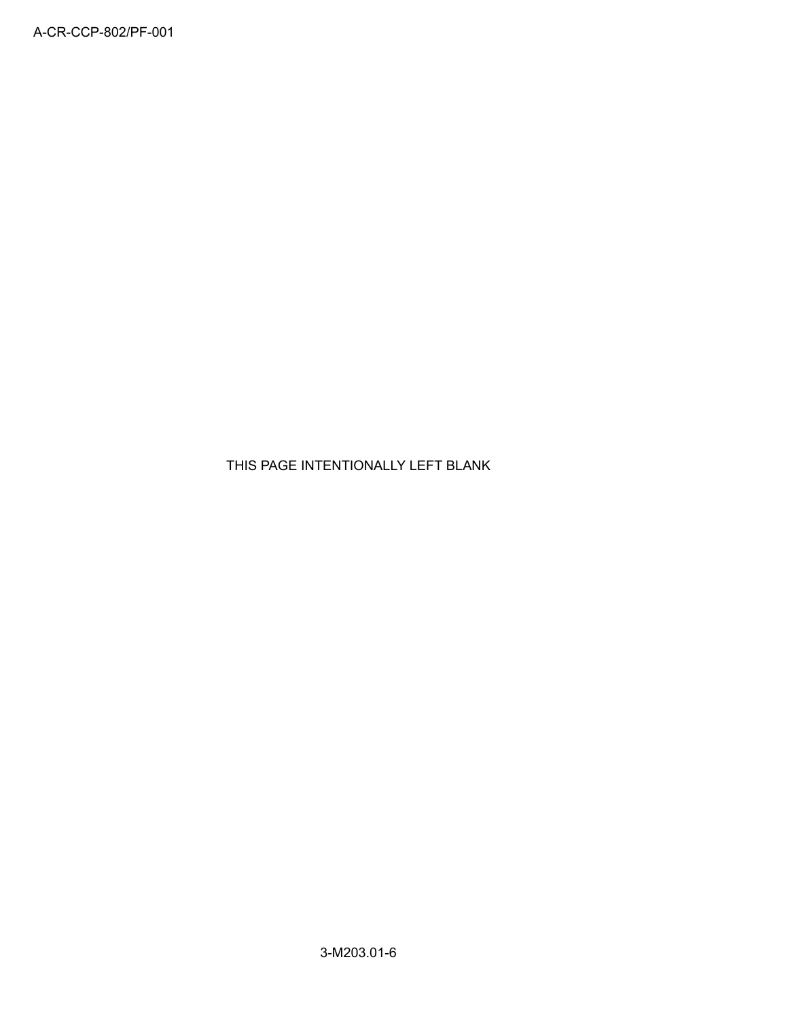THIS PAGE INTENTIONALLY LEFT BLANK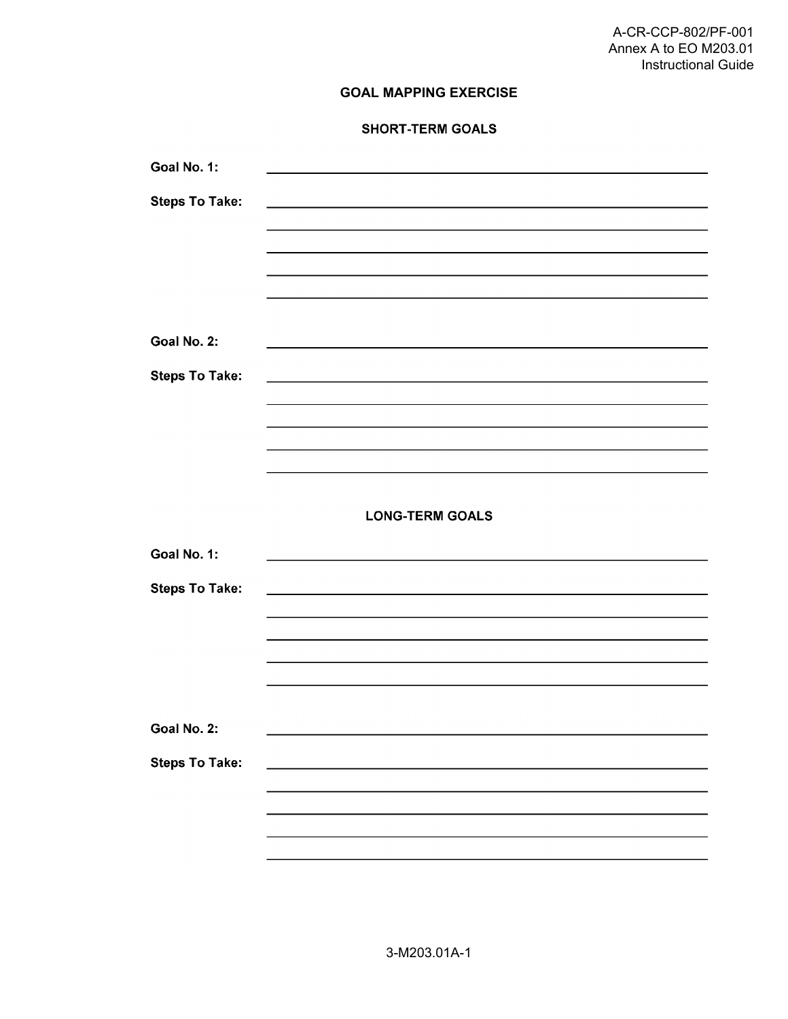# **GOAL MAPPING EXERCISE**

# **SHORT-TERM GOALS**

| Goal No. 1:           |                                                                                                                       |
|-----------------------|-----------------------------------------------------------------------------------------------------------------------|
| <b>Steps To Take:</b> |                                                                                                                       |
|                       |                                                                                                                       |
|                       |                                                                                                                       |
|                       |                                                                                                                       |
| Goal No. 2:           |                                                                                                                       |
| <b>Steps To Take:</b> | <u>and the state of the state of the state of the state of the state of the state of the state of the state of th</u> |
|                       |                                                                                                                       |
|                       |                                                                                                                       |
|                       |                                                                                                                       |
|                       |                                                                                                                       |
|                       |                                                                                                                       |
|                       | <b>LONG-TERM GOALS</b>                                                                                                |
| Goal No. 1:           |                                                                                                                       |
| <b>Steps To Take:</b> |                                                                                                                       |
|                       |                                                                                                                       |
|                       |                                                                                                                       |
|                       |                                                                                                                       |
| Goal No. 2:           |                                                                                                                       |
|                       |                                                                                                                       |
| <b>Steps To Take:</b> |                                                                                                                       |
|                       |                                                                                                                       |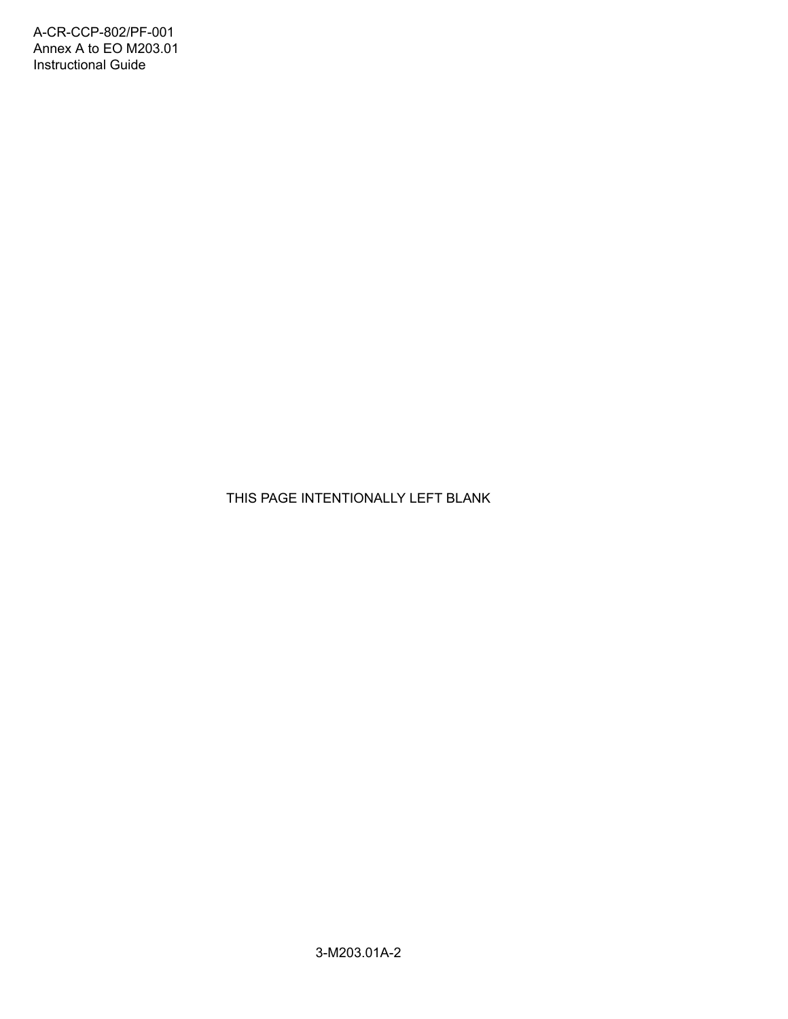THIS PAGE INTENTIONALLY LEFT BLANK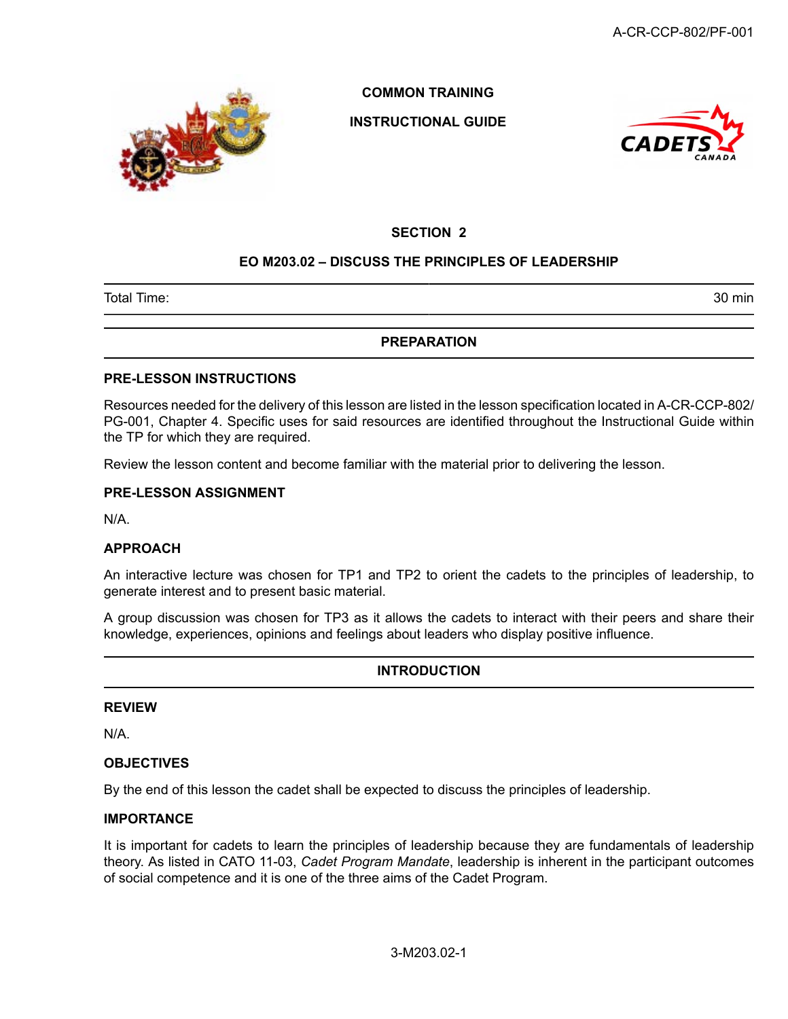

**COMMON TRAINING**

**INSTRUCTIONAL GUIDE**



# **SECTION 2**

# **EO M203.02 – DISCUSS THE PRINCIPLES OF LEADERSHIP**

Total Time: 30 min

# **PREPARATION**

#### **PRE-LESSON INSTRUCTIONS**

Resources needed for the delivery of this lesson are listed in the lesson specification located in A-CR-CCP-802/ PG-001, Chapter 4. Specific uses for said resources are identified throughout the Instructional Guide within the TP for which they are required.

Review the lesson content and become familiar with the material prior to delivering the lesson.

#### **PRE-LESSON ASSIGNMENT**

N/A.

#### **APPROACH**

An interactive lecture was chosen for TP1 and TP2 to orient the cadets to the principles of leadership, to generate interest and to present basic material.

A group discussion was chosen for TP3 as it allows the cadets to interact with their peers and share their knowledge, experiences, opinions and feelings about leaders who display positive influence.

# **INTRODUCTION**

# **REVIEW**

N/A.

# **OBJECTIVES**

By the end of this lesson the cadet shall be expected to discuss the principles of leadership.

#### **IMPORTANCE**

It is important for cadets to learn the principles of leadership because they are fundamentals of leadership theory. As listed in CATO 11-03, *Cadet Program Mandate*, leadership is inherent in the participant outcomes of social competence and it is one of the three aims of the Cadet Program.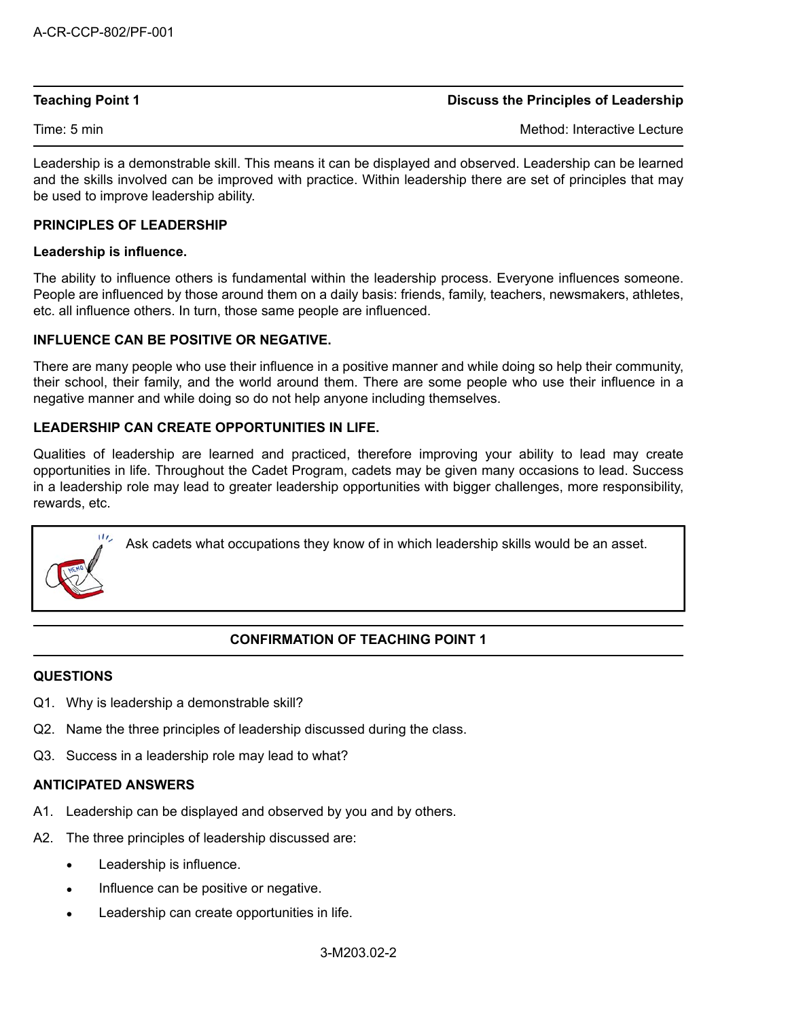| <b>Teaching Point 1</b> | <b>Discuss the Principles of Leadership</b> |
|-------------------------|---------------------------------------------|
|                         |                                             |

Time: 5 min Method: Interactive Lecture Company of Time: 5 min Method: Interactive Lecture

Leadership is a demonstrable skill. This means it can be displayed and observed. Leadership can be learned and the skills involved can be improved with practice. Within leadership there are set of principles that may be used to improve leadership ability.

# **PRINCIPLES OF LEADERSHIP**

# **Leadership is influence.**

The ability to influence others is fundamental within the leadership process. Everyone influences someone. People are influenced by those around them on a daily basis: friends, family, teachers, newsmakers, athletes, etc. all influence others. In turn, those same people are influenced.

# **INFLUENCE CAN BE POSITIVE OR NEGATIVE.**

There are many people who use their influence in a positive manner and while doing so help their community, their school, their family, and the world around them. There are some people who use their influence in a negative manner and while doing so do not help anyone including themselves.

# **LEADERSHIP CAN CREATE OPPORTUNITIES IN LIFE.**

Qualities of leadership are learned and practiced, therefore improving your ability to lead may create opportunities in life. Throughout the Cadet Program, cadets may be given many occasions to lead. Success in a leadership role may lead to greater leadership opportunities with bigger challenges, more responsibility, rewards, etc.

Ask cadets what occupations they know of in which leadership skills would be an asset.

# **CONFIRMATION OF TEACHING POINT 1**

# **QUESTIONS**

- Q1. Why is leadership a demonstrable skill?
- Q2. Name the three principles of leadership discussed during the class.
- Q3. Success in a leadership role may lead to what?

# **ANTICIPATED ANSWERS**

- A1. Leadership can be displayed and observed by you and by others.
- A2. The three principles of leadership discussed are:
	- Leadership is influence.
	- Influence can be positive or negative.
	- Leadership can create opportunities in life.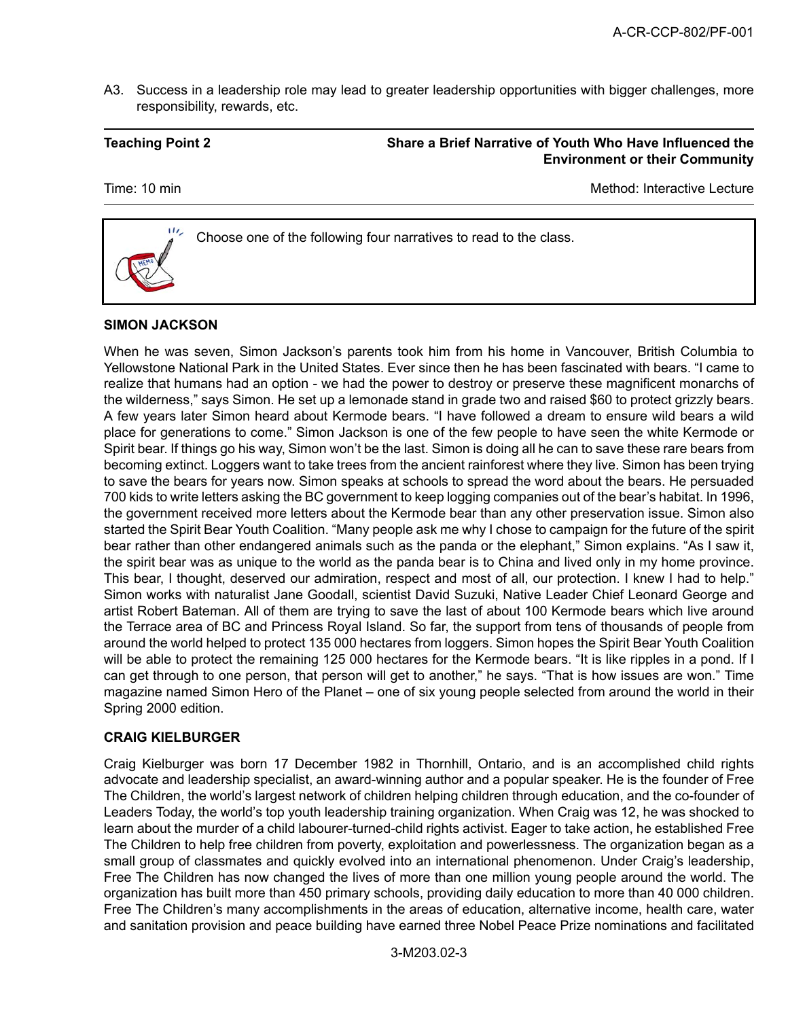A3. Success in a leadership role may lead to greater leadership opportunities with bigger challenges, more responsibility, rewards, etc.

# **Teaching Point 2 Share a Brief Narrative of Youth Who Have Influenced the Environment or their Community**

Time: 10 min Method: Interactive Lecture Communication of the Method: Interactive Lecture

Choose one of the following four narratives to read to the class.

# **SIMON JACKSON**

 $\mathbf{u}_i$ 

When he was seven, Simon Jackson's parents took him from his home in Vancouver, British Columbia to Yellowstone National Park in the United States. Ever since then he has been fascinated with bears. "I came to realize that humans had an option - we had the power to destroy or preserve these magnificent monarchs of the wilderness," says Simon. He set up a lemonade stand in grade two and raised \$60 to protect grizzly bears. A few years later Simon heard about Kermode bears. "I have followed a dream to ensure wild bears a wild place for generations to come." Simon Jackson is one of the few people to have seen the white Kermode or Spirit bear. If things go his way, Simon won't be the last. Simon is doing all he can to save these rare bears from becoming extinct. Loggers want to take trees from the ancient rainforest where they live. Simon has been trying to save the bears for years now. Simon speaks at schools to spread the word about the bears. He persuaded 700 kids to write letters asking the BC government to keep logging companies out of the bear's habitat. In 1996, the government received more letters about the Kermode bear than any other preservation issue. Simon also started the Spirit Bear Youth Coalition. "Many people ask me why I chose to campaign for the future of the spirit bear rather than other endangered animals such as the panda or the elephant," Simon explains. "As I saw it, the spirit bear was as unique to the world as the panda bear is to China and lived only in my home province. This bear, I thought, deserved our admiration, respect and most of all, our protection. I knew I had to help." Simon works with naturalist Jane Goodall, scientist David Suzuki, Native Leader Chief Leonard George and artist Robert Bateman. All of them are trying to save the last of about 100 Kermode bears which live around the Terrace area of BC and Princess Royal Island. So far, the support from tens of thousands of people from around the world helped to protect 135 000 hectares from loggers. Simon hopes the Spirit Bear Youth Coalition will be able to protect the remaining 125 000 hectares for the Kermode bears. "It is like ripples in a pond. If I can get through to one person, that person will get to another," he says. "That is how issues are won." Time magazine named Simon Hero of the Planet – one of six young people selected from around the world in their Spring 2000 edition.

# **CRAIG KIELBURGER**

Craig Kielburger was born 17 December 1982 in Thornhill, Ontario, and is an accomplished child rights advocate and leadership specialist, an award-winning author and a popular speaker. He is the founder of Free The Children, the world's largest network of children helping children through education, and the co-founder of Leaders Today, the world's top youth leadership training organization. When Craig was 12, he was shocked to learn about the murder of a child labourer-turned-child rights activist. Eager to take action, he established Free The Children to help free children from poverty, exploitation and powerlessness. The organization began as a small group of classmates and quickly evolved into an international phenomenon. Under Craig's leadership, Free The Children has now changed the lives of more than one million young people around the world. The organization has built more than 450 primary schools, providing daily education to more than 40 000 children. Free The Children's many accomplishments in the areas of education, alternative income, health care, water and sanitation provision and peace building have earned three Nobel Peace Prize nominations and facilitated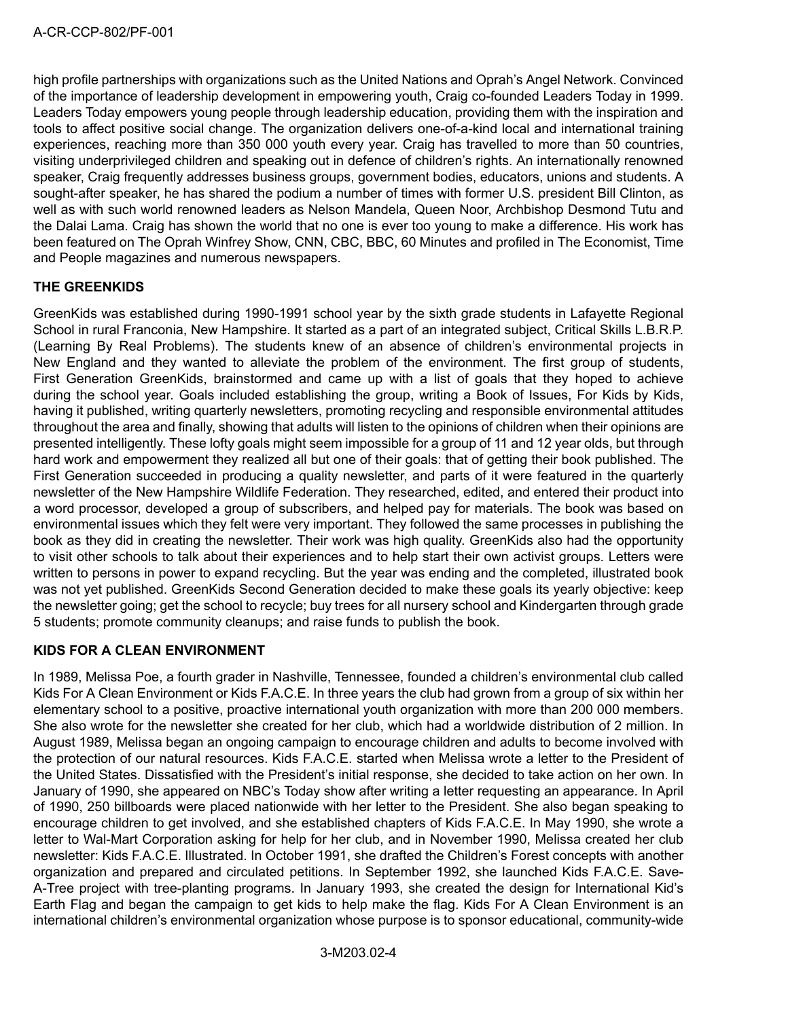high profile partnerships with organizations such as the United Nations and Oprah's Angel Network. Convinced of the importance of leadership development in empowering youth, Craig co-founded Leaders Today in 1999. Leaders Today empowers young people through leadership education, providing them with the inspiration and tools to affect positive social change. The organization delivers one-of-a-kind local and international training experiences, reaching more than 350 000 youth every year. Craig has travelled to more than 50 countries, visiting underprivileged children and speaking out in defence of children's rights. An internationally renowned speaker, Craig frequently addresses business groups, government bodies, educators, unions and students. A sought-after speaker, he has shared the podium a number of times with former U.S. president Bill Clinton, as well as with such world renowned leaders as Nelson Mandela, Queen Noor, Archbishop Desmond Tutu and the Dalai Lama. Craig has shown the world that no one is ever too young to make a difference. His work has been featured on The Oprah Winfrey Show, CNN, CBC, BBC, 60 Minutes and profiled in The Economist, Time and People magazines and numerous newspapers.

# **THE GREENKIDS**

GreenKids was established during 1990-1991 school year by the sixth grade students in Lafayette Regional School in rural Franconia, New Hampshire. It started as a part of an integrated subject, Critical Skills L.B.R.P. (Learning By Real Problems). The students knew of an absence of children's environmental projects in New England and they wanted to alleviate the problem of the environment. The first group of students, First Generation GreenKids, brainstormed and came up with a list of goals that they hoped to achieve during the school year. Goals included establishing the group, writing a Book of Issues, For Kids by Kids, having it published, writing quarterly newsletters, promoting recycling and responsible environmental attitudes throughout the area and finally, showing that adults will listen to the opinions of children when their opinions are presented intelligently. These lofty goals might seem impossible for a group of 11 and 12 year olds, but through hard work and empowerment they realized all but one of their goals: that of getting their book published. The First Generation succeeded in producing a quality newsletter, and parts of it were featured in the quarterly newsletter of the New Hampshire Wildlife Federation. They researched, edited, and entered their product into a word processor, developed a group of subscribers, and helped pay for materials. The book was based on environmental issues which they felt were very important. They followed the same processes in publishing the book as they did in creating the newsletter. Their work was high quality. GreenKids also had the opportunity to visit other schools to talk about their experiences and to help start their own activist groups. Letters were written to persons in power to expand recycling. But the year was ending and the completed, illustrated book was not yet published. GreenKids Second Generation decided to make these goals its yearly objective: keep the newsletter going; get the school to recycle; buy trees for all nursery school and Kindergarten through grade 5 students; promote community cleanups; and raise funds to publish the book.

# **KIDS FOR A CLEAN ENVIRONMENT**

In 1989, Melissa Poe, a fourth grader in Nashville, Tennessee, founded a children's environmental club called Kids For A Clean Environment or Kids F.A.C.E. In three years the club had grown from a group of six within her elementary school to a positive, proactive international youth organization with more than 200 000 members. She also wrote for the newsletter she created for her club, which had a worldwide distribution of 2 million. In August 1989, Melissa began an ongoing campaign to encourage children and adults to become involved with the protection of our natural resources. Kids F.A.C.E. started when Melissa wrote a letter to the President of the United States. Dissatisfied with the President's initial response, she decided to take action on her own. In January of 1990, she appeared on NBC's Today show after writing a letter requesting an appearance. In April of 1990, 250 billboards were placed nationwide with her letter to the President. She also began speaking to encourage children to get involved, and she established chapters of Kids F.A.C.E. In May 1990, she wrote a letter to Wal-Mart Corporation asking for help for her club, and in November 1990, Melissa created her club newsletter: Kids F.A.C.E. Illustrated. In October 1991, she drafted the Children's Forest concepts with another organization and prepared and circulated petitions. In September 1992, she launched Kids F.A.C.E. Save-A-Tree project with tree-planting programs. In January 1993, she created the design for International Kid's Earth Flag and began the campaign to get kids to help make the flag. Kids For A Clean Environment is an international children's environmental organization whose purpose is to sponsor educational, community-wide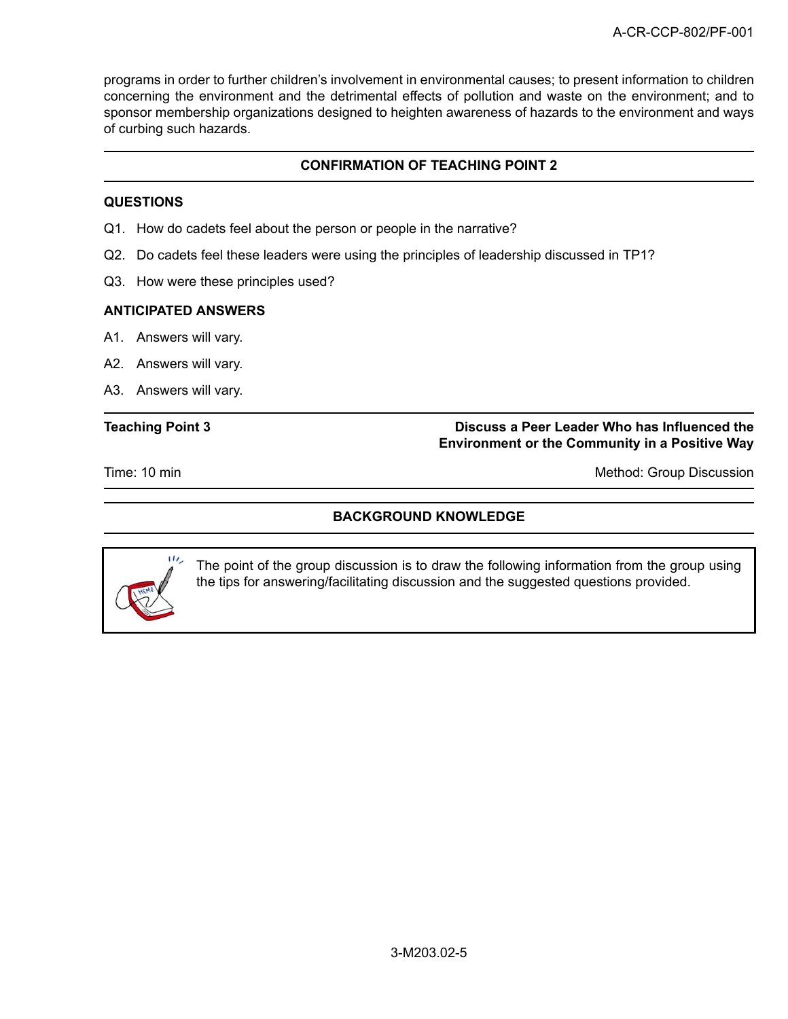programs in order to further children's involvement in environmental causes; to present information to children concerning the environment and the detrimental effects of pollution and waste on the environment; and to sponsor membership organizations designed to heighten awareness of hazards to the environment and ways of curbing such hazards.

# **CONFIRMATION OF TEACHING POINT 2**

#### **QUESTIONS**

- Q1. How do cadets feel about the person or people in the narrative?
- Q2. Do cadets feel these leaders were using the principles of leadership discussed in TP1?
- Q3. How were these principles used?

#### **ANTICIPATED ANSWERS**

- A1. Answers will vary.
- A2. Answers will vary.
- A3. Answers will vary.

# **Teaching Point 3 Discuss a Peer Leader Who has Influenced the Environment or the Community in a Positive Way**

Time: 10 min Method: Group Discussion Nethod: Group Discussion

# **BACKGROUND KNOWLEDGE**



The point of the group discussion is to draw the following information from the group using the tips for answering/facilitating discussion and the suggested questions provided.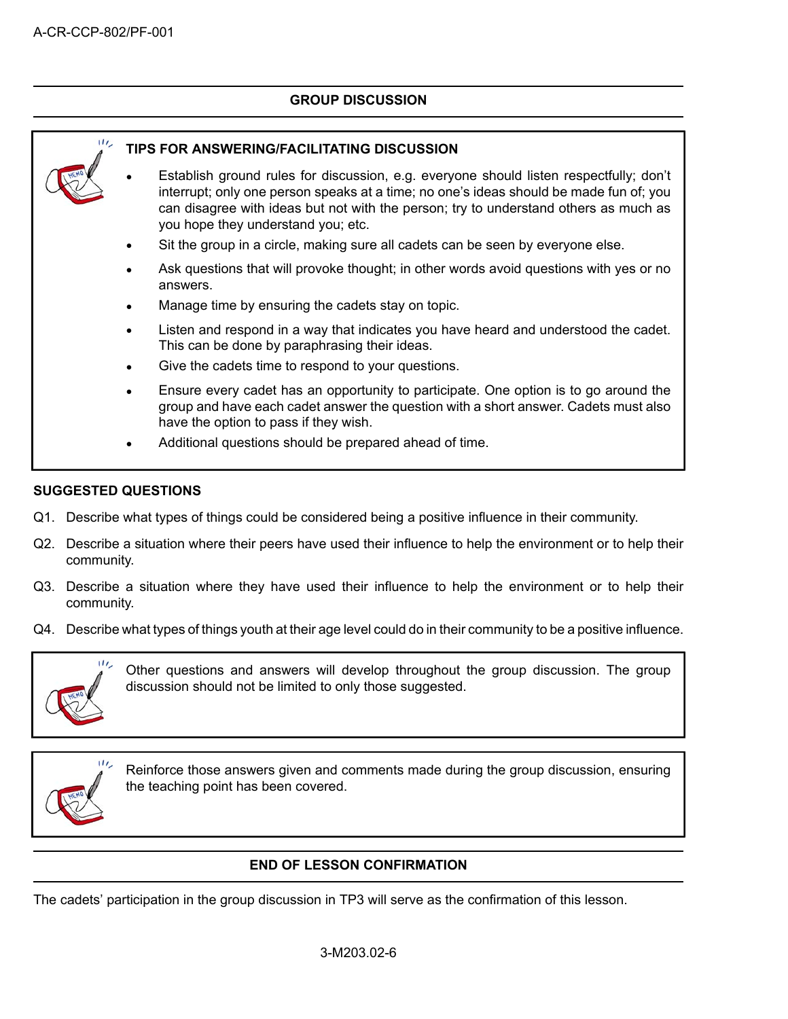# **GROUP DISCUSSION**



# **TIPS FOR ANSWERING/FACILITATING DISCUSSION**

- Establish ground rules for discussion, e.g. everyone should listen respectfully; don't interrupt; only one person speaks at a time; no one's ideas should be made fun of; you can disagree with ideas but not with the person; try to understand others as much as you hope they understand you; etc.
- Sit the group in a circle, making sure all cadets can be seen by everyone else.
- Ask questions that will provoke thought; in other words avoid questions with yes or no answers.
- Manage time by ensuring the cadets stay on topic.
- Listen and respond in a way that indicates you have heard and understood the cadet. This can be done by paraphrasing their ideas.
- Give the cadets time to respond to your questions.
- Ensure every cadet has an opportunity to participate. One option is to go around the group and have each cadet answer the question with a short answer. Cadets must also have the option to pass if they wish.
- Additional questions should be prepared ahead of time.

# **SUGGESTED QUESTIONS**

- Q1. Describe what types of things could be considered being a positive influence in their community.
- Q2. Describe a situation where their peers have used their influence to help the environment or to help their community.
- Q3. Describe a situation where they have used their influence to help the environment or to help their community.
- Q4. Describe what types of things youth at their age level could do in their community to be a positive influence.



Other questions and answers will develop throughout the group discussion. The group discussion should not be limited to only those suggested.



Reinforce those answers given and comments made during the group discussion, ensuring the teaching point has been covered.

# **END OF LESSON CONFIRMATION**

The cadets' participation in the group discussion in TP3 will serve as the confirmation of this lesson.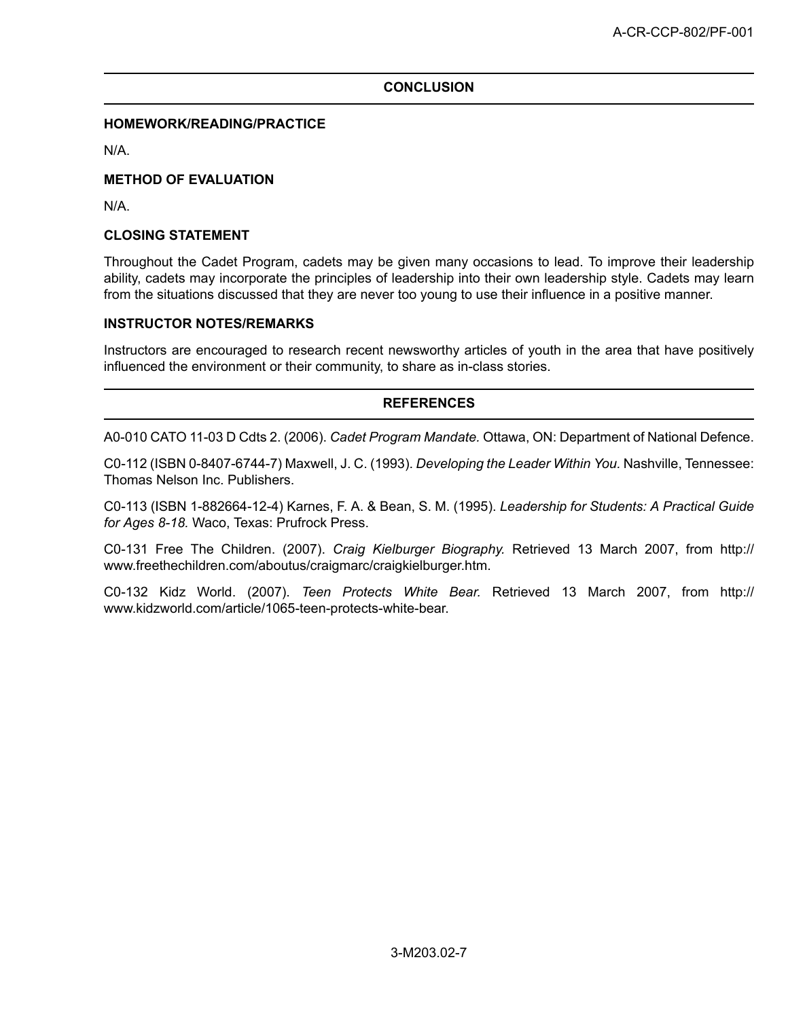#### **CONCLUSION**

#### **HOMEWORK/READING/PRACTICE**

N/A.

#### **METHOD OF EVALUATION**

N/A.

#### **CLOSING STATEMENT**

Throughout the Cadet Program, cadets may be given many occasions to lead. To improve their leadership ability, cadets may incorporate the principles of leadership into their own leadership style. Cadets may learn from the situations discussed that they are never too young to use their influence in a positive manner.

#### **INSTRUCTOR NOTES/REMARKS**

Instructors are encouraged to research recent newsworthy articles of youth in the area that have positively influenced the environment or their community, to share as in-class stories.

# **REFERENCES**

A0-010 CATO 11-03 D Cdts 2. (2006). *Cadet Program Mandate.* Ottawa, ON: Department of National Defence.

C0-112 (ISBN 0-8407-6744-7) Maxwell, J. C. (1993). *Developing the Leader Within You.* Nashville, Tennessee: Thomas Nelson Inc. Publishers.

C0-113 (ISBN 1-882664-12-4) Karnes, F. A. & Bean, S. M. (1995). *Leadership for Students: A Practical Guide for Ages 8-18.* Waco, Texas: Prufrock Press.

C0-131 Free The Children. (2007). *Craig Kielburger Biography.* Retrieved 13 March 2007, from http:// www.freethechildren.com/aboutus/craigmarc/craigkielburger.htm.

C0-132 Kidz World. (2007). *Teen Protects White Bear.* Retrieved 13 March 2007, from http:// www.kidzworld.com/article/1065-teen-protects-white-bear.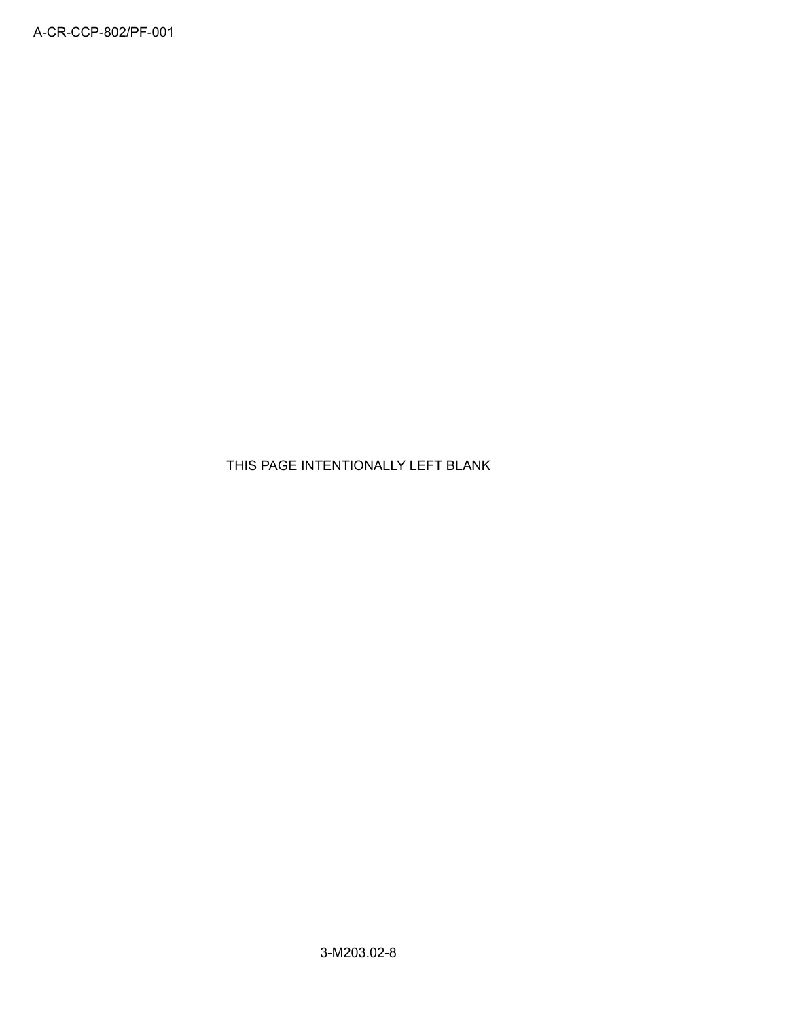THIS PAGE INTENTIONALLY LEFT BLANK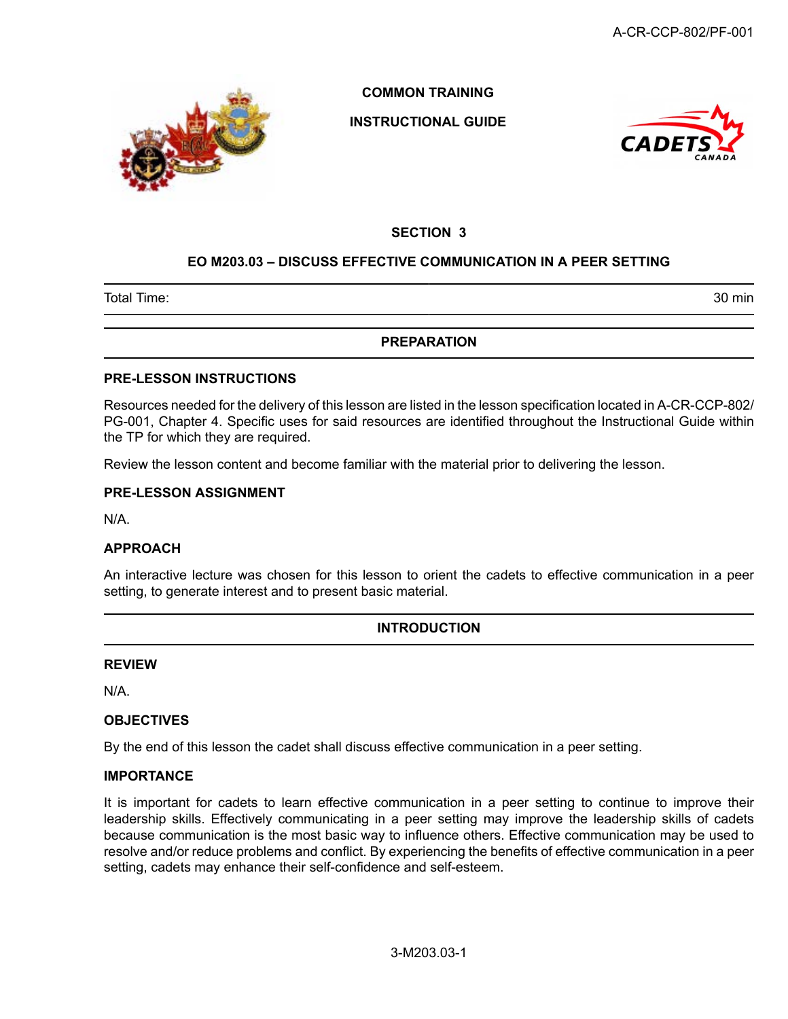

**COMMON TRAINING**

**INSTRUCTIONAL GUIDE**



#### **SECTION 3**

# **EO M203.03 – DISCUSS EFFECTIVE COMMUNICATION IN A PEER SETTING**

Total Time: 30 min

# **PREPARATION**

#### **PRE-LESSON INSTRUCTIONS**

Resources needed for the delivery of this lesson are listed in the lesson specification located in A-CR-CCP-802/ PG-001, Chapter 4. Specific uses for said resources are identified throughout the Instructional Guide within the TP for which they are required.

Review the lesson content and become familiar with the material prior to delivering the lesson.

#### **PRE-LESSON ASSIGNMENT**

N/A.

#### **APPROACH**

An interactive lecture was chosen for this lesson to orient the cadets to effective communication in a peer setting, to generate interest and to present basic material.

# **INTRODUCTION**

#### **REVIEW**

N/A.

#### **OBJECTIVES**

By the end of this lesson the cadet shall discuss effective communication in a peer setting.

#### **IMPORTANCE**

It is important for cadets to learn effective communication in a peer setting to continue to improve their leadership skills. Effectively communicating in a peer setting may improve the leadership skills of cadets because communication is the most basic way to influence others. Effective communication may be used to resolve and/or reduce problems and conflict. By experiencing the benefits of effective communication in a peer setting, cadets may enhance their self-confidence and self-esteem.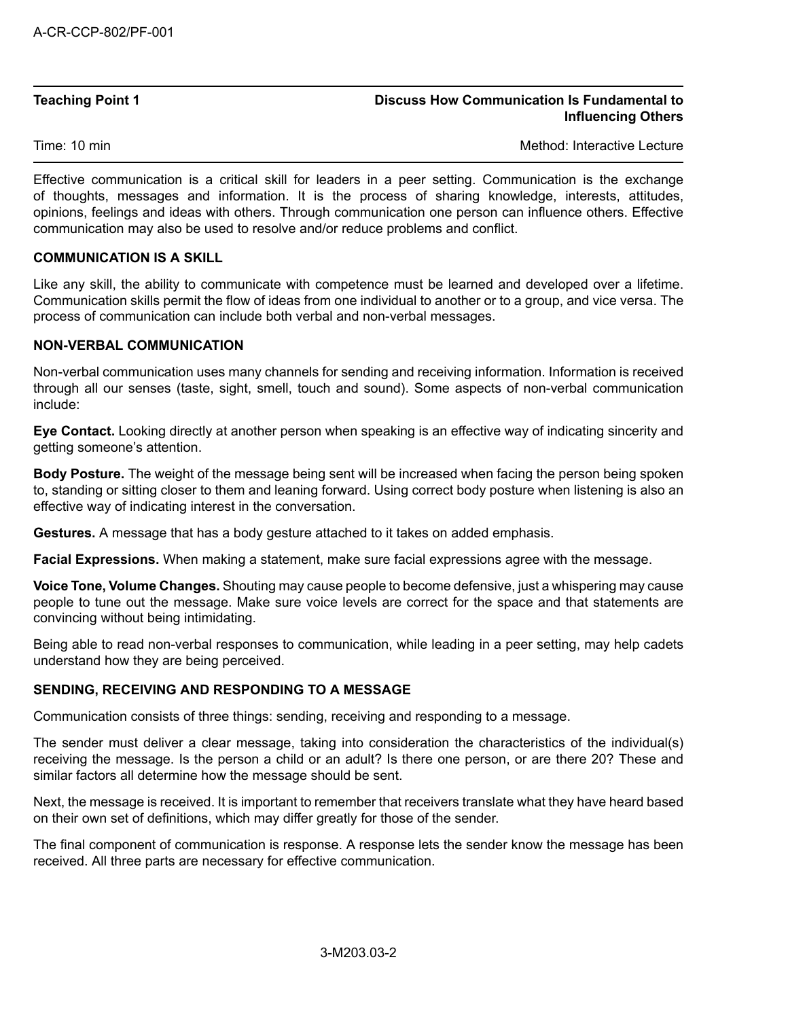| Teaching Point 1 |  |
|------------------|--|
|                  |  |

# **Discuss How Communication Is Fundamental to Influencing Others**

Time: 10 min Method: Interactive Lecture Communication of the Method: Interactive Lecture

Effective communication is a critical skill for leaders in a peer setting. Communication is the exchange of thoughts, messages and information. It is the process of sharing knowledge, interests, attitudes, opinions, feelings and ideas with others. Through communication one person can influence others. Effective communication may also be used to resolve and/or reduce problems and conflict.

# **COMMUNICATION IS A SKILL**

Like any skill, the ability to communicate with competence must be learned and developed over a lifetime. Communication skills permit the flow of ideas from one individual to another or to a group, and vice versa. The process of communication can include both verbal and non-verbal messages.

# **NON-VERBAL COMMUNICATION**

Non-verbal communication uses many channels for sending and receiving information. Information is received through all our senses (taste, sight, smell, touch and sound). Some aspects of non-verbal communication include:

**Eye Contact.** Looking directly at another person when speaking is an effective way of indicating sincerity and getting someone's attention.

**Body Posture.** The weight of the message being sent will be increased when facing the person being spoken to, standing or sitting closer to them and leaning forward. Using correct body posture when listening is also an effective way of indicating interest in the conversation.

**Gestures.** A message that has a body gesture attached to it takes on added emphasis.

**Facial Expressions.** When making a statement, make sure facial expressions agree with the message.

**Voice Tone, Volume Changes.** Shouting may cause people to become defensive, just a whispering may cause people to tune out the message. Make sure voice levels are correct for the space and that statements are convincing without being intimidating.

Being able to read non-verbal responses to communication, while leading in a peer setting, may help cadets understand how they are being perceived.

# **SENDING, RECEIVING AND RESPONDING TO A MESSAGE**

Communication consists of three things: sending, receiving and responding to a message.

The sender must deliver a clear message, taking into consideration the characteristics of the individual(s) receiving the message. Is the person a child or an adult? Is there one person, or are there 20? These and similar factors all determine how the message should be sent.

Next, the message is received. It is important to remember that receivers translate what they have heard based on their own set of definitions, which may differ greatly for those of the sender.

The final component of communication is response. A response lets the sender know the message has been received. All three parts are necessary for effective communication.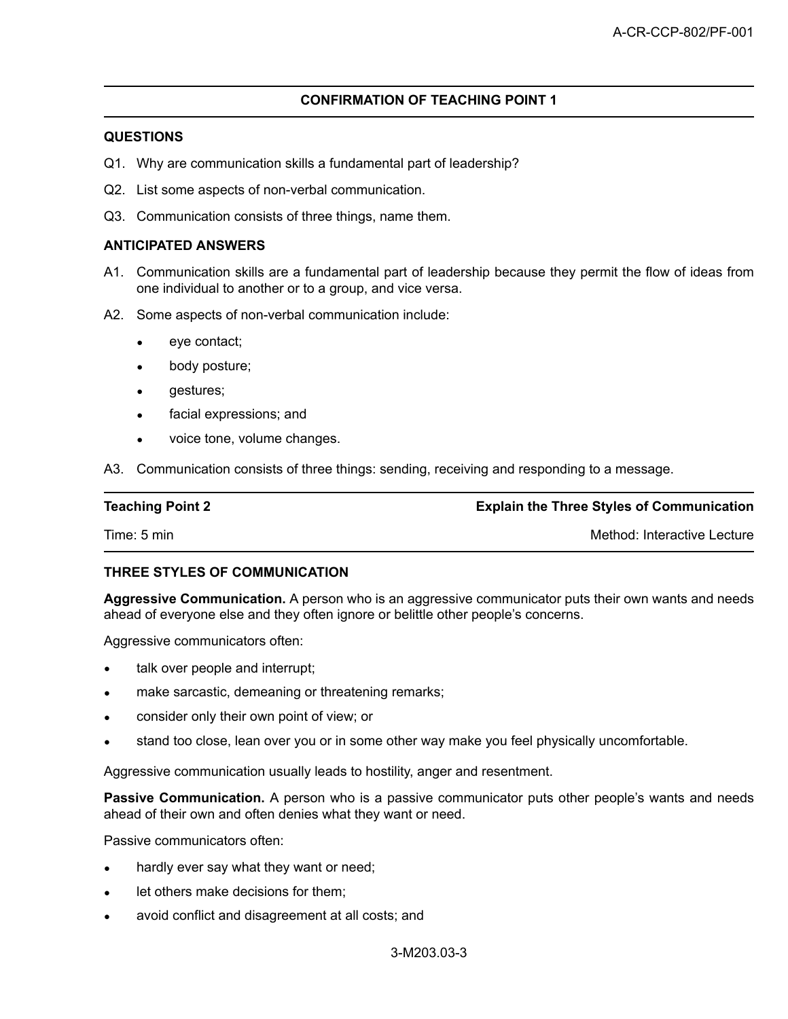#### **CONFIRMATION OF TEACHING POINT 1**

#### **QUESTIONS**

- Q1. Why are communication skills a fundamental part of leadership?
- Q2. List some aspects of non-verbal communication.
- Q3. Communication consists of three things, name them.

#### **ANTICIPATED ANSWERS**

- A1. Communication skills are a fundamental part of leadership because they permit the flow of ideas from one individual to another or to a group, and vice versa.
- A2. Some aspects of non-verbal communication include:
	- eye contact;
	- body posture;
	- gestures;
	- facial expressions; and
	- voice tone, volume changes.

A3. Communication consists of three things: sending, receiving and responding to a message.

# **Teaching Point 2 Explain the Three Styles of Communication**

# Time: 5 min Method: Interactive Lecture Company of Time: 5 min Method: Interactive Lecture

# **THREE STYLES OF COMMUNICATION**

**Aggressive Communication.** A person who is an aggressive communicator puts their own wants and needs ahead of everyone else and they often ignore or belittle other people's concerns.

Aggressive communicators often:

- talk over people and interrupt;
- make sarcastic, demeaning or threatening remarks;
- consider only their own point of view; or
- stand too close, lean over you or in some other way make you feel physically uncomfortable.

Aggressive communication usually leads to hostility, anger and resentment.

**Passive Communication.** A person who is a passive communicator puts other people's wants and needs ahead of their own and often denies what they want or need.

Passive communicators often:

- hardly ever say what they want or need;
- let others make decisions for them;
- avoid conflict and disagreement at all costs; and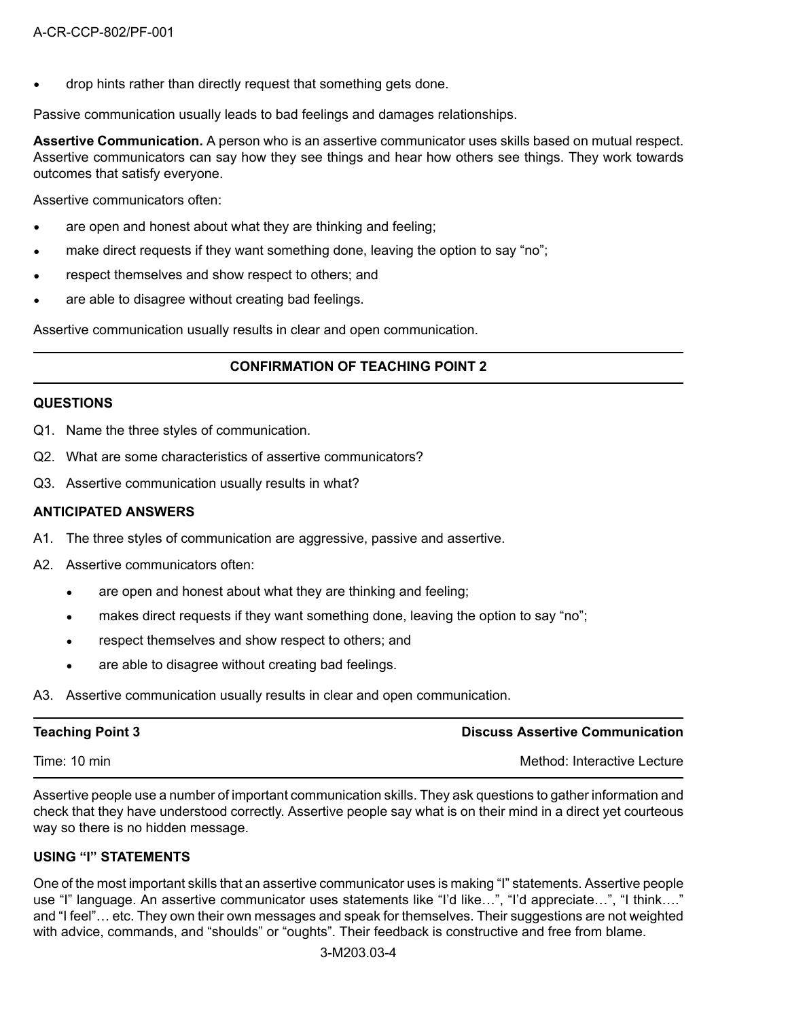• drop hints rather than directly request that something gets done.

Passive communication usually leads to bad feelings and damages relationships.

**Assertive Communication.** A person who is an assertive communicator uses skills based on mutual respect. Assertive communicators can say how they see things and hear how others see things. They work towards outcomes that satisfy everyone.

Assertive communicators often:

- are open and honest about what they are thinking and feeling;
- make direct requests if they want something done, leaving the option to say "no";
- respect themselves and show respect to others; and
- are able to disagree without creating bad feelings.

Assertive communication usually results in clear and open communication.

# **CONFIRMATION OF TEACHING POINT 2**

#### **QUESTIONS**

- Q1. Name the three styles of communication.
- Q2. What are some characteristics of assertive communicators?
- Q3. Assertive communication usually results in what?

# **ANTICIPATED ANSWERS**

- A1. The three styles of communication are aggressive, passive and assertive.
- A2. Assertive communicators often:
	- are open and honest about what they are thinking and feeling;
	- makes direct requests if they want something done, leaving the option to say "no";
	- respect themselves and show respect to others; and
	- are able to disagree without creating bad feelings.
- A3. Assertive communication usually results in clear and open communication.

# **Teaching Point 3 Discuss Assertive Communication**

Time: 10 min Method: Interactive Lecture Communication of the Method: Interactive Lecture

Assertive people use a number of important communication skills. They ask questions to gather information and check that they have understood correctly. Assertive people say what is on their mind in a direct yet courteous way so there is no hidden message.

# **USING "I" STATEMENTS**

One of the most important skills that an assertive communicator uses is making "I" statements. Assertive people use "I" language. An assertive communicator uses statements like "I'd like…", "I'd appreciate…", "I think…." and "I feel"… etc. They own their own messages and speak for themselves. Their suggestions are not weighted with advice, commands, and "shoulds" or "oughts". Their feedback is constructive and free from blame.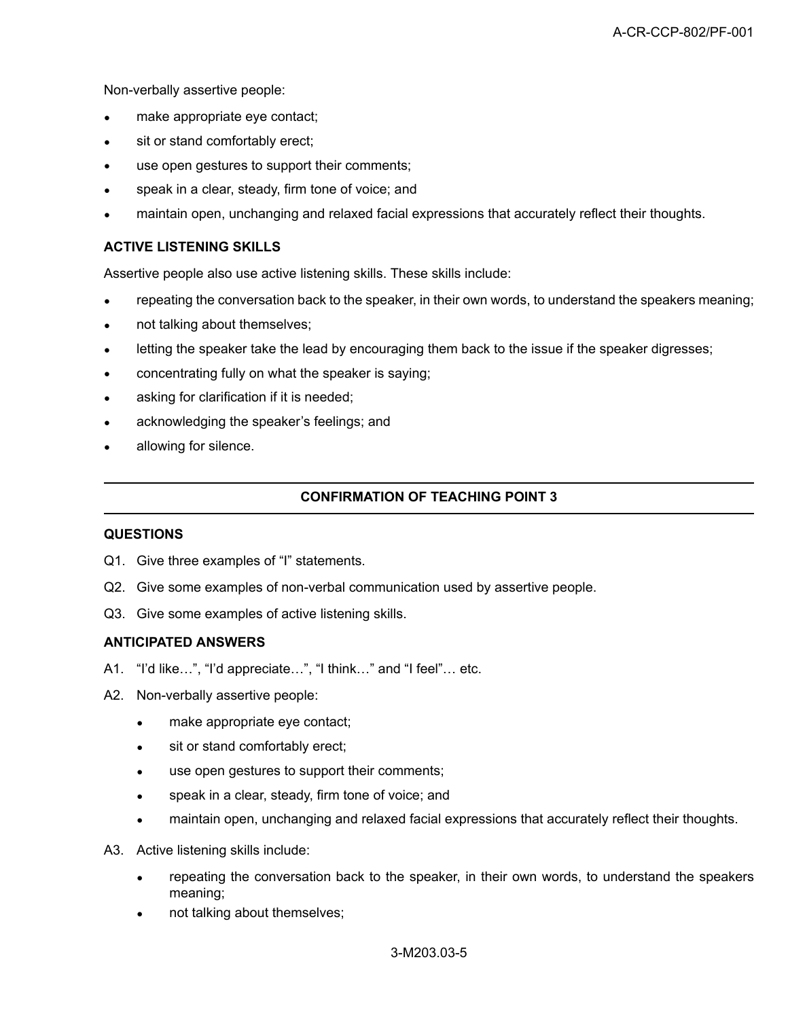Non-verbally assertive people:

- make appropriate eye contact;
- sit or stand comfortably erect;
- use open gestures to support their comments;
- speak in a clear, steady, firm tone of voice; and
- maintain open, unchanging and relaxed facial expressions that accurately reflect their thoughts.

#### **ACTIVE LISTENING SKILLS**

Assertive people also use active listening skills. These skills include:

- repeating the conversation back to the speaker, in their own words, to understand the speakers meaning;
- not talking about themselves;
- letting the speaker take the lead by encouraging them back to the issue if the speaker digresses;
- concentrating fully on what the speaker is saying;
- asking for clarification if it is needed;
- acknowledging the speaker's feelings; and
- allowing for silence.

#### **CONFIRMATION OF TEACHING POINT 3**

#### **QUESTIONS**

- Q1. Give three examples of "I" statements.
- Q2. Give some examples of non-verbal communication used by assertive people.
- Q3. Give some examples of active listening skills.

#### **ANTICIPATED ANSWERS**

- A1. "I'd like…", "I'd appreciate…", "I think…" and "I feel"… etc.
- A2. Non-verbally assertive people:
	- make appropriate eye contact;
	- sit or stand comfortably erect;
	- use open gestures to support their comments;
	- speak in a clear, steady, firm tone of voice; and
	- maintain open, unchanging and relaxed facial expressions that accurately reflect their thoughts.
- A3. Active listening skills include:
	- repeating the conversation back to the speaker, in their own words, to understand the speakers meaning;
	- not talking about themselves;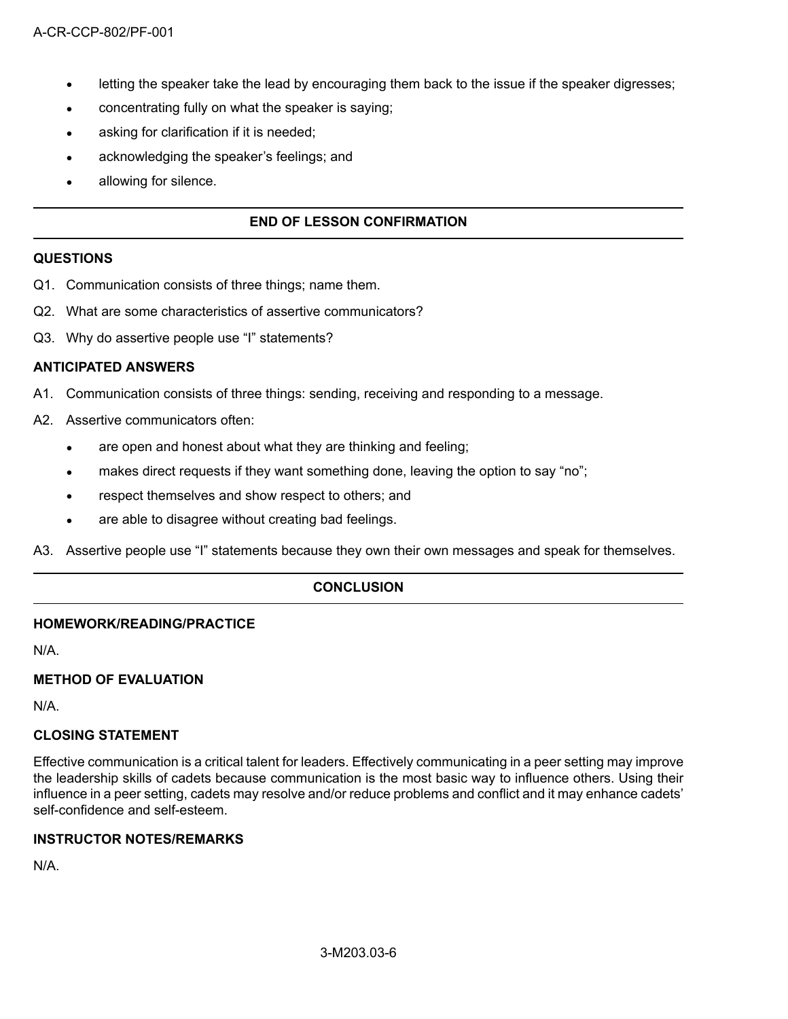- letting the speaker take the lead by encouraging them back to the issue if the speaker digresses;
- concentrating fully on what the speaker is saying;
- asking for clarification if it is needed;
- acknowledging the speaker's feelings; and
- allowing for silence.

# **END OF LESSON CONFIRMATION**

# **QUESTIONS**

- Q1. Communication consists of three things; name them.
- Q2. What are some characteristics of assertive communicators?
- Q3. Why do assertive people use "I" statements?

# **ANTICIPATED ANSWERS**

- A1. Communication consists of three things: sending, receiving and responding to a message.
- A2. Assertive communicators often:
	- are open and honest about what they are thinking and feeling;
	- makes direct requests if they want something done, leaving the option to say "no";
	- respect themselves and show respect to others; and
	- are able to disagree without creating bad feelings.
- A3. Assertive people use "I" statements because they own their own messages and speak for themselves.

# **CONCLUSION**

# **HOMEWORK/READING/PRACTICE**

N/A.

# **METHOD OF EVALUATION**

N/A.

# **CLOSING STATEMENT**

Effective communication is a critical talent for leaders. Effectively communicating in a peer setting may improve the leadership skills of cadets because communication is the most basic way to influence others. Using their influence in a peer setting, cadets may resolve and/or reduce problems and conflict and it may enhance cadets' self-confidence and self-esteem.

# **INSTRUCTOR NOTES/REMARKS**

N/A.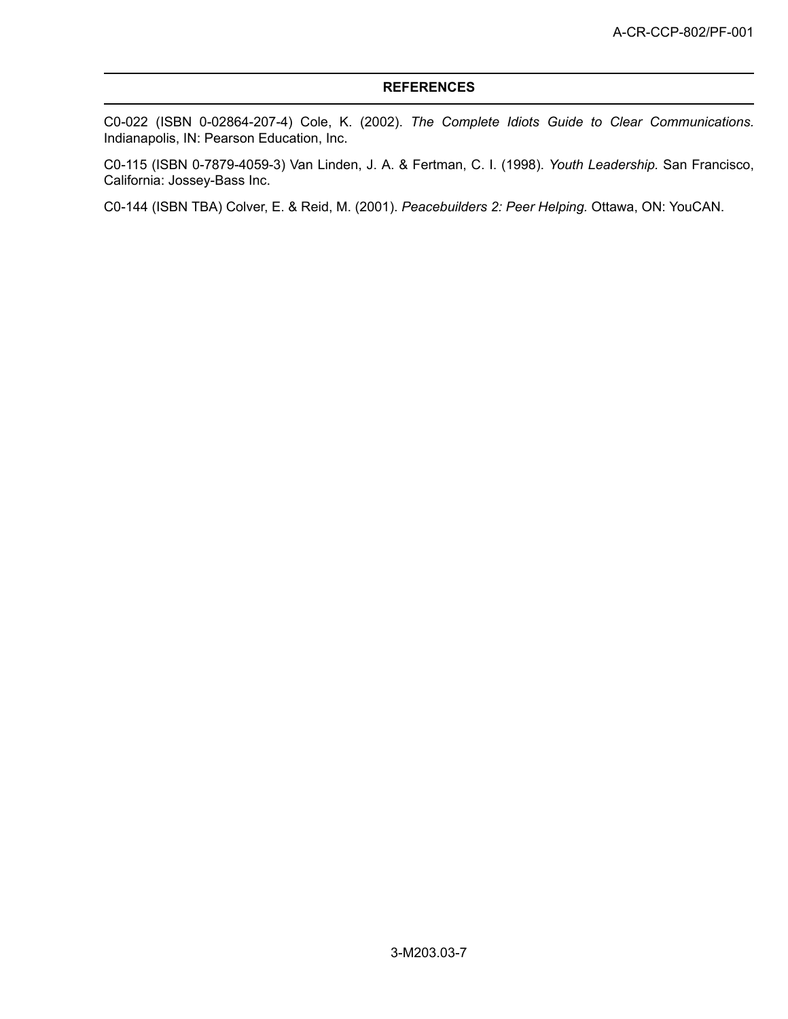# **REFERENCES**

C0-022 (ISBN 0-02864-207-4) Cole, K. (2002). *The Complete Idiots Guide to Clear Communications.* Indianapolis, IN: Pearson Education, Inc.

C0-115 (ISBN 0-7879-4059-3) Van Linden, J. A. & Fertman, C. I. (1998). *Youth Leadership.* San Francisco, California: Jossey-Bass Inc.

C0-144 (ISBN TBA) Colver, E. & Reid, M. (2001). *Peacebuilders 2: Peer Helping.* Ottawa, ON: YouCAN.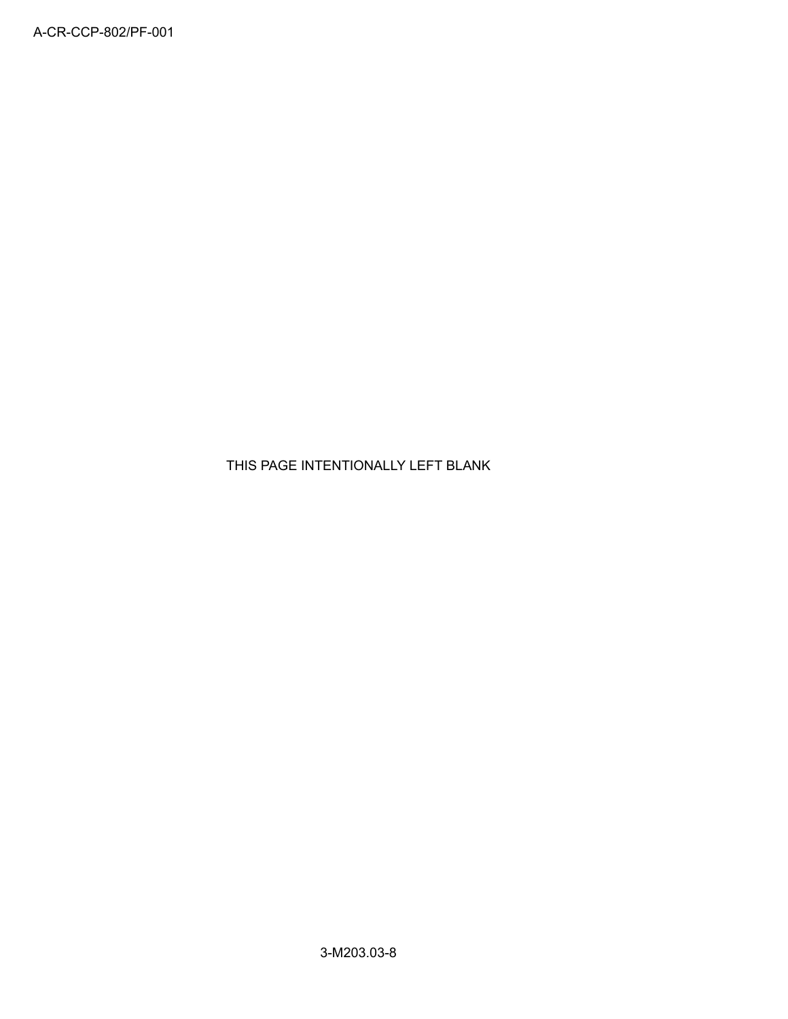THIS PAGE INTENTIONALLY LEFT BLANK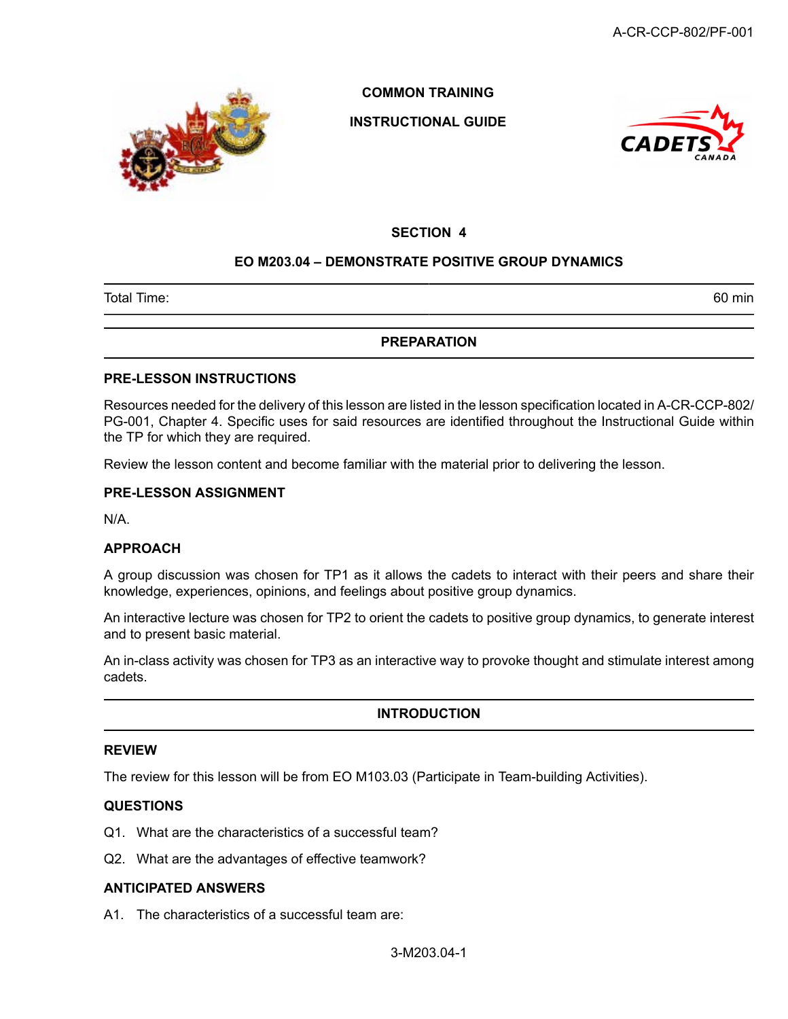

**COMMON TRAINING**

**INSTRUCTIONAL GUIDE**



#### **SECTION 4**

#### **EO M203.04 – DEMONSTRATE POSITIVE GROUP DYNAMICS**

Total Time: 60 min

# **PREPARATION**

#### **PRE-LESSON INSTRUCTIONS**

Resources needed for the delivery of this lesson are listed in the lesson specification located in A-CR-CCP-802/ PG-001, Chapter 4. Specific uses for said resources are identified throughout the Instructional Guide within the TP for which they are required.

Review the lesson content and become familiar with the material prior to delivering the lesson.

#### **PRE-LESSON ASSIGNMENT**

N/A.

#### **APPROACH**

A group discussion was chosen for TP1 as it allows the cadets to interact with their peers and share their knowledge, experiences, opinions, and feelings about positive group dynamics.

An interactive lecture was chosen for TP2 to orient the cadets to positive group dynamics, to generate interest and to present basic material.

An in-class activity was chosen for TP3 as an interactive way to provoke thought and stimulate interest among cadets.

#### **INTRODUCTION**

#### **REVIEW**

The review for this lesson will be from EO M103.03 (Participate in Team-building Activities).

#### **QUESTIONS**

- Q1. What are the characteristics of a successful team?
- Q2. What are the advantages of effective teamwork?

#### **ANTICIPATED ANSWERS**

A1. The characteristics of a successful team are: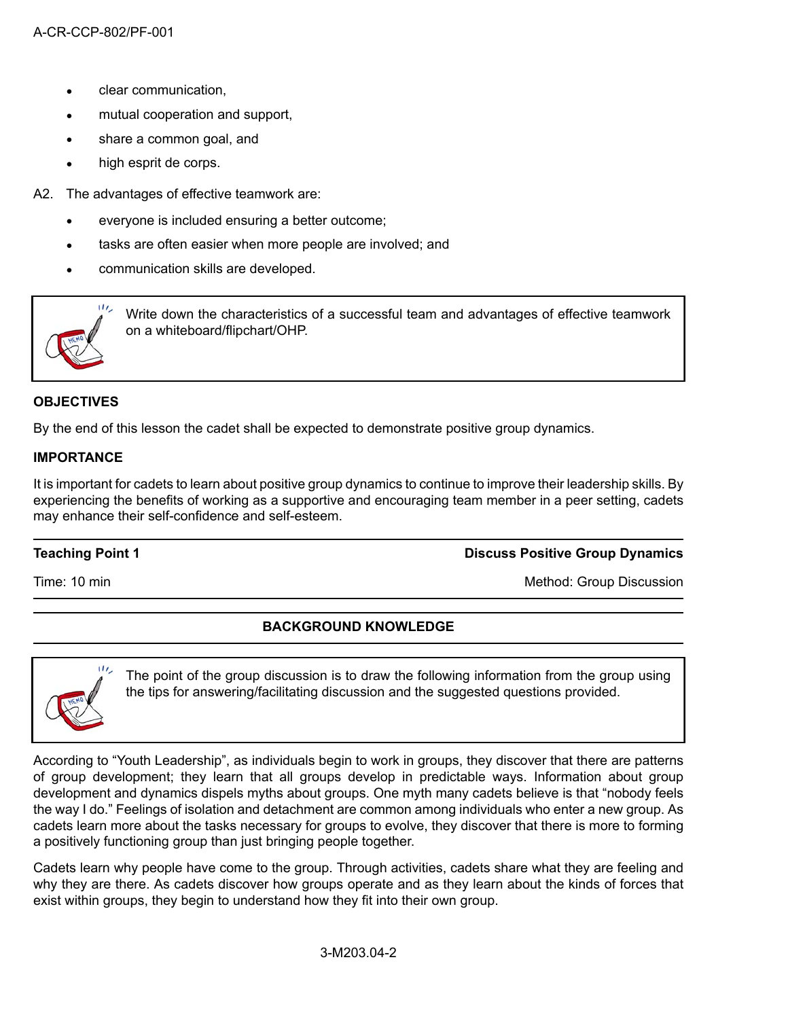- clear communication,
- mutual cooperation and support,
- share a common goal, and
- high esprit de corps.
- A2. The advantages of effective teamwork are:
	- everyone is included ensuring a better outcome;
	- tasks are often easier when more people are involved; and
	- communication skills are developed.



Write down the characteristics of a successful team and advantages of effective teamwork on a whiteboard/flipchart/OHP.

# **OBJECTIVES**

By the end of this lesson the cadet shall be expected to demonstrate positive group dynamics.

# **IMPORTANCE**

It is important for cadets to learn about positive group dynamics to continue to improve their leadership skills. By experiencing the benefits of working as a supportive and encouraging team member in a peer setting, cadets may enhance their self-confidence and self-esteem.

**Teaching Point 1 Discuss Positive Group Dynamics**

Time: 10 min Method: Group Discussion Method: Group Discussion

# **BACKGROUND KNOWLEDGE**



The point of the group discussion is to draw the following information from the group using the tips for answering/facilitating discussion and the suggested questions provided.

According to "Youth Leadership", as individuals begin to work in groups, they discover that there are patterns of group development; they learn that all groups develop in predictable ways. Information about group development and dynamics dispels myths about groups. One myth many cadets believe is that "nobody feels the way I do." Feelings of isolation and detachment are common among individuals who enter a new group. As cadets learn more about the tasks necessary for groups to evolve, they discover that there is more to forming a positively functioning group than just bringing people together.

Cadets learn why people have come to the group. Through activities, cadets share what they are feeling and why they are there. As cadets discover how groups operate and as they learn about the kinds of forces that exist within groups, they begin to understand how they fit into their own group.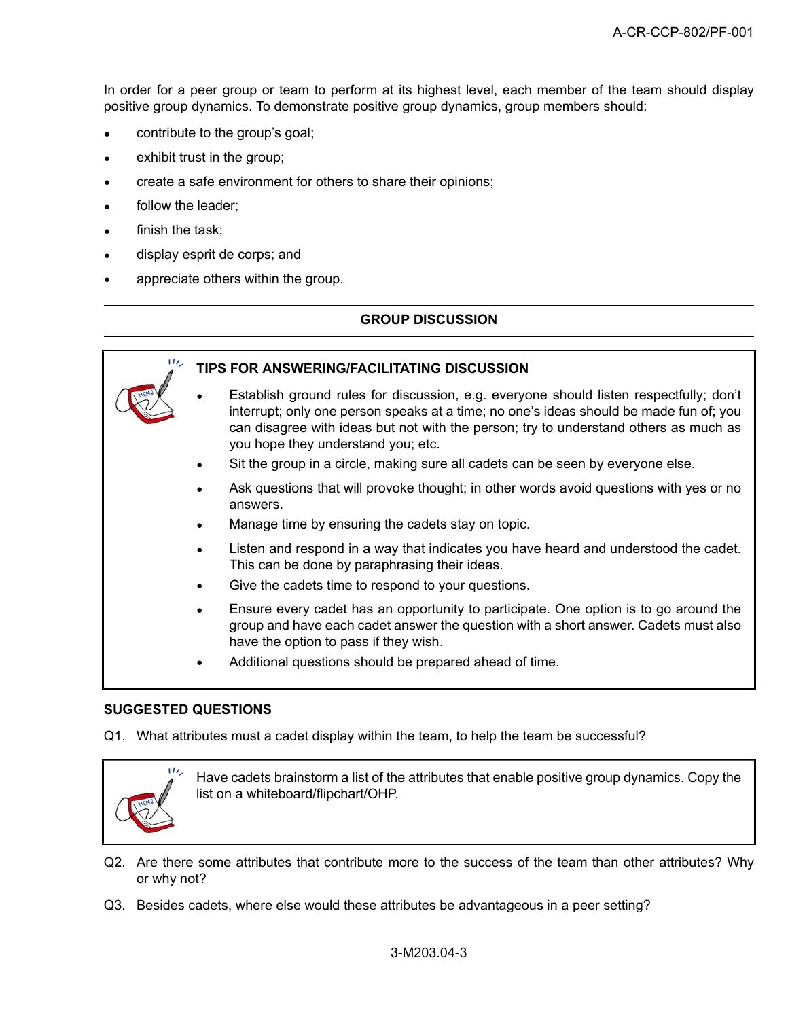In order for a peer group or team to perform at its highest level, each member of the team should display positive group dynamics. To demonstrate positive group dynamics, group members should:

- contribute to the group's goal;
- exhibit trust in the group;
- create a safe environment for others to share their opinions;
- follow the leader;
- finish the task;
- display esprit de corps; and
- appreciate others within the group.

# **GROUP DISCUSSION**



# **SUGGESTED QUESTIONS**

Q1. What attributes must a cadet display within the team, to help the team be successful?



Have cadets brainstorm a list of the attributes that enable positive group dynamics. Copy the list on a whiteboard/flipchart/OHP.

- Q2. Are there some attributes that contribute more to the success of the team than other attributes? Why or why not?
- Q3. Besides cadets, where else would these attributes be advantageous in a peer setting?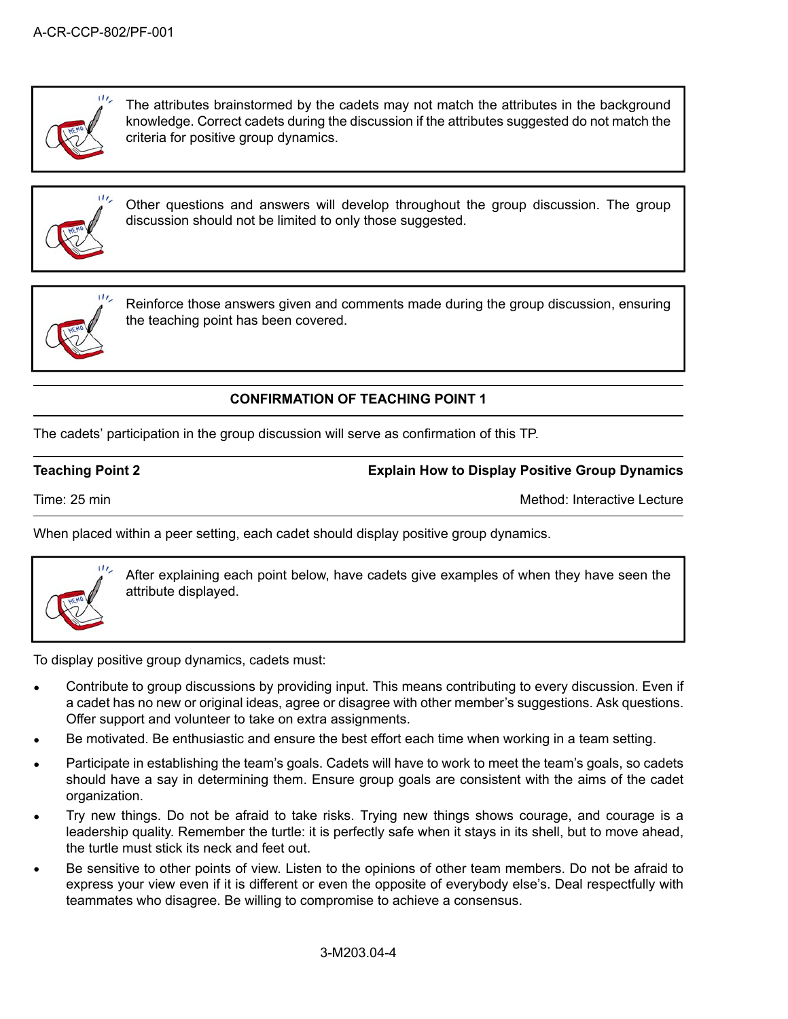

The attributes brainstormed by the cadets may not match the attributes in the background knowledge. Correct cadets during the discussion if the attributes suggested do not match the criteria for positive group dynamics.



Other questions and answers will develop throughout the group discussion. The group discussion should not be limited to only those suggested.



Reinforce those answers given and comments made during the group discussion, ensuring the teaching point has been covered.

# **CONFIRMATION OF TEACHING POINT 1**

The cadets' participation in the group discussion will serve as confirmation of this TP.

**Teaching Point 2 Explain How to Display Positive Group Dynamics**

Time: 25 min Method: Interactive Lecture Communication of the Method: Interactive Lecture

When placed within a peer setting, each cadet should display positive group dynamics.



After explaining each point below, have cadets give examples of when they have seen the attribute displayed.

To display positive group dynamics, cadets must:

- Contribute to group discussions by providing input. This means contributing to every discussion. Even if a cadet has no new or original ideas, agree or disagree with other member's suggestions. Ask questions. Offer support and volunteer to take on extra assignments.
- Be motivated. Be enthusiastic and ensure the best effort each time when working in a team setting.
- Participate in establishing the team's goals. Cadets will have to work to meet the team's goals, so cadets should have a say in determining them. Ensure group goals are consistent with the aims of the cadet organization.
- Try new things. Do not be afraid to take risks. Trying new things shows courage, and courage is a leadership quality. Remember the turtle: it is perfectly safe when it stays in its shell, but to move ahead, the turtle must stick its neck and feet out.
- Be sensitive to other points of view. Listen to the opinions of other team members. Do not be afraid to express your view even if it is different or even the opposite of everybody else's. Deal respectfully with teammates who disagree. Be willing to compromise to achieve a consensus.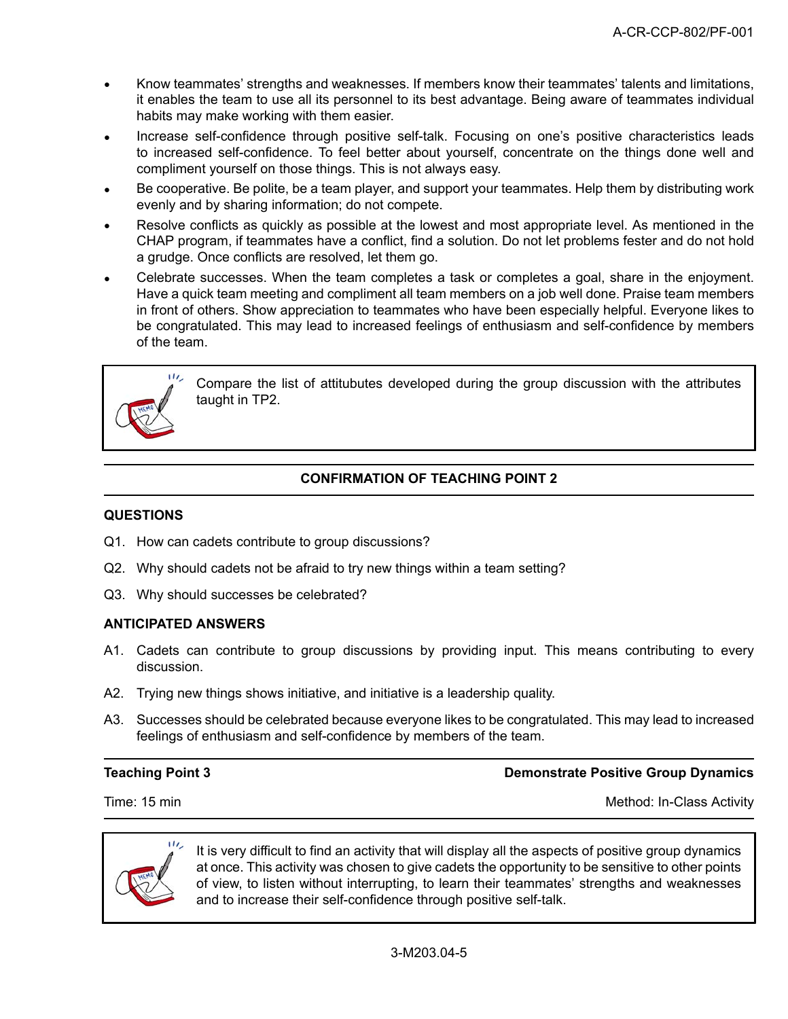- Know teammates' strengths and weaknesses. If members know their teammates' talents and limitations, it enables the team to use all its personnel to its best advantage. Being aware of teammates individual habits may make working with them easier.
- Increase self-confidence through positive self-talk. Focusing on one's positive characteristics leads to increased self-confidence. To feel better about yourself, concentrate on the things done well and compliment yourself on those things. This is not always easy.
- Be cooperative. Be polite, be a team player, and support your teammates. Help them by distributing work evenly and by sharing information; do not compete.
- Resolve conflicts as quickly as possible at the lowest and most appropriate level. As mentioned in the CHAP program, if teammates have a conflict, find a solution. Do not let problems fester and do not hold a grudge. Once conflicts are resolved, let them go.
- Celebrate successes. When the team completes a task or completes a goal, share in the enjoyment. Have a quick team meeting and compliment all team members on a job well done. Praise team members in front of others. Show appreciation to teammates who have been especially helpful. Everyone likes to be congratulated. This may lead to increased feelings of enthusiasm and self-confidence by members of the team.



Compare the list of attitubutes developed during the group discussion with the attributes taught in TP2.

# **CONFIRMATION OF TEACHING POINT 2**

#### **QUESTIONS**

- Q1. How can cadets contribute to group discussions?
- Q2. Why should cadets not be afraid to try new things within a team setting?
- Q3. Why should successes be celebrated?

#### **ANTICIPATED ANSWERS**

- A1. Cadets can contribute to group discussions by providing input. This means contributing to every discussion.
- A2. Trying new things shows initiative, and initiative is a leadership quality.
- A3. Successes should be celebrated because everyone likes to be congratulated. This may lead to increased feelings of enthusiasm and self-confidence by members of the team.

# **Teaching Point 3 Demonstrate Positive Group Dynamics**

#### Time: 15 min Method: In-Class Activity



It is very difficult to find an activity that will display all the aspects of positive group dynamics at once. This activity was chosen to give cadets the opportunity to be sensitive to other points of view, to listen without interrupting, to learn their teammates' strengths and weaknesses and to increase their self-confidence through positive self-talk.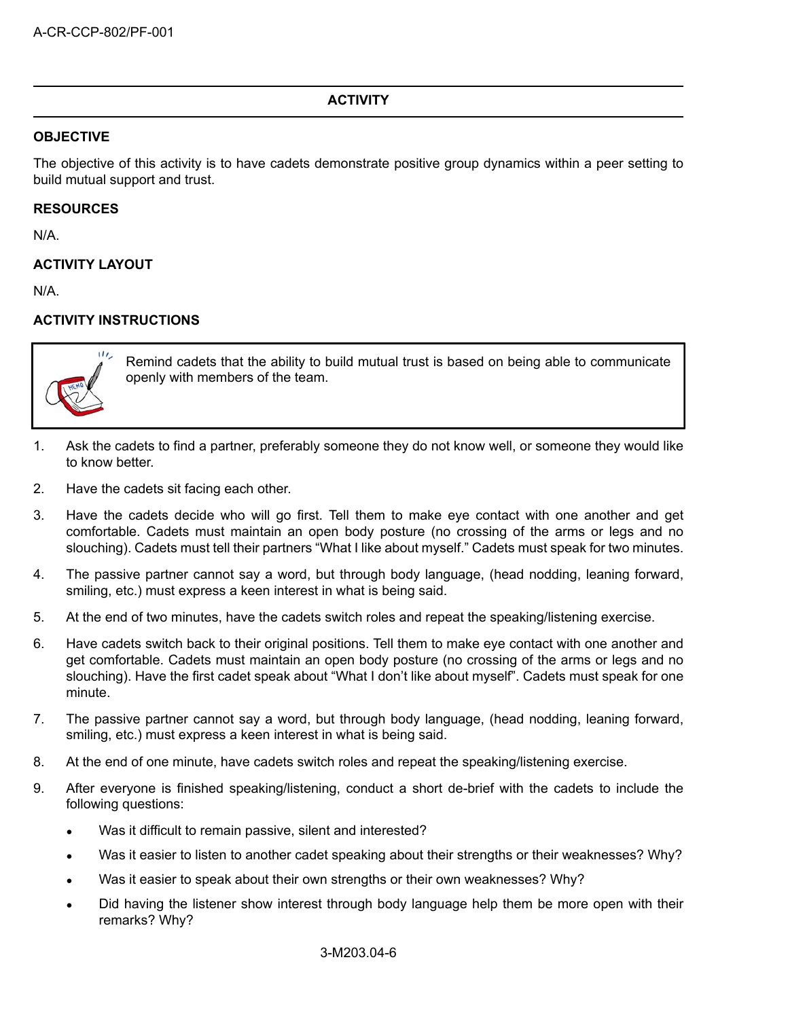# **ACTIVITY**

#### **OBJECTIVE**

The objective of this activity is to have cadets demonstrate positive group dynamics within a peer setting to build mutual support and trust.

#### **RESOURCES**

N/A.

# **ACTIVITY LAYOUT**

N/A.

# **ACTIVITY INSTRUCTIONS**



Remind cadets that the ability to build mutual trust is based on being able to communicate openly with members of the team.

- 1. Ask the cadets to find a partner, preferably someone they do not know well, or someone they would like to know better.
- 2. Have the cadets sit facing each other.
- 3. Have the cadets decide who will go first. Tell them to make eye contact with one another and get comfortable. Cadets must maintain an open body posture (no crossing of the arms or legs and no slouching). Cadets must tell their partners "What I like about myself." Cadets must speak for two minutes.
- 4. The passive partner cannot say a word, but through body language, (head nodding, leaning forward, smiling, etc.) must express a keen interest in what is being said.
- 5. At the end of two minutes, have the cadets switch roles and repeat the speaking/listening exercise.
- 6. Have cadets switch back to their original positions. Tell them to make eye contact with one another and get comfortable. Cadets must maintain an open body posture (no crossing of the arms or legs and no slouching). Have the first cadet speak about "What I don't like about myself". Cadets must speak for one minute.
- 7. The passive partner cannot say a word, but through body language, (head nodding, leaning forward, smiling, etc.) must express a keen interest in what is being said.
- 8. At the end of one minute, have cadets switch roles and repeat the speaking/listening exercise.
- 9. After everyone is finished speaking/listening, conduct a short de-brief with the cadets to include the following questions:
	- Was it difficult to remain passive, silent and interested?
	- Was it easier to listen to another cadet speaking about their strengths or their weaknesses? Why?
	- Was it easier to speak about their own strengths or their own weaknesses? Why?
	- Did having the listener show interest through body language help them be more open with their remarks? Why?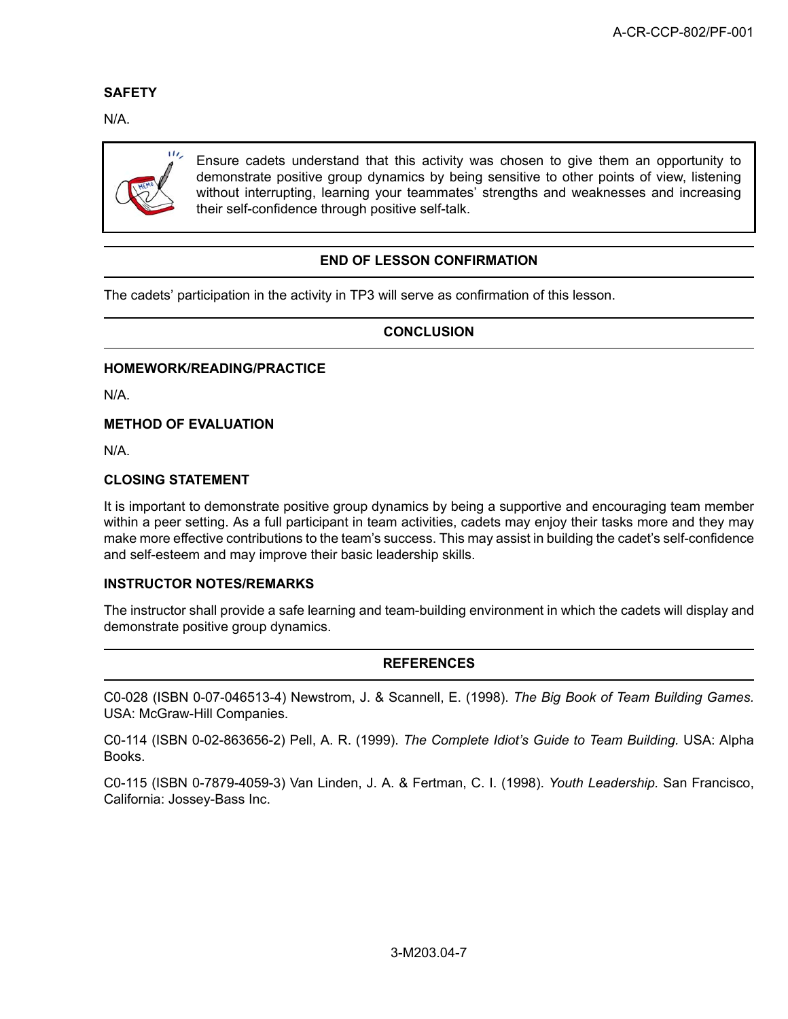# **SAFETY**

N/A.



Ensure cadets understand that this activity was chosen to give them an opportunity to demonstrate positive group dynamics by being sensitive to other points of view, listening without interrupting, learning your teammates' strengths and weaknesses and increasing their self-confidence through positive self-talk.

#### **END OF LESSON CONFIRMATION**

The cadets' participation in the activity in TP3 will serve as confirmation of this lesson.

# **CONCLUSION**

#### **HOMEWORK/READING/PRACTICE**

N/A.

**METHOD OF EVALUATION**

N/A.

#### **CLOSING STATEMENT**

It is important to demonstrate positive group dynamics by being a supportive and encouraging team member within a peer setting. As a full participant in team activities, cadets may enjoy their tasks more and they may make more effective contributions to the team's success. This may assist in building the cadet's self-confidence and self-esteem and may improve their basic leadership skills.

#### **INSTRUCTOR NOTES/REMARKS**

The instructor shall provide a safe learning and team-building environment in which the cadets will display and demonstrate positive group dynamics.

#### **REFERENCES**

C0-028 (ISBN 0-07-046513-4) Newstrom, J. & Scannell, E. (1998). *The Big Book of Team Building Games.* USA: McGraw-Hill Companies.

C0-114 (ISBN 0-02-863656-2) Pell, A. R. (1999). *The Complete Idiot's Guide to Team Building.* USA: Alpha Books.

C0-115 (ISBN 0-7879-4059-3) Van Linden, J. A. & Fertman, C. I. (1998). *Youth Leadership.* San Francisco, California: Jossey-Bass Inc.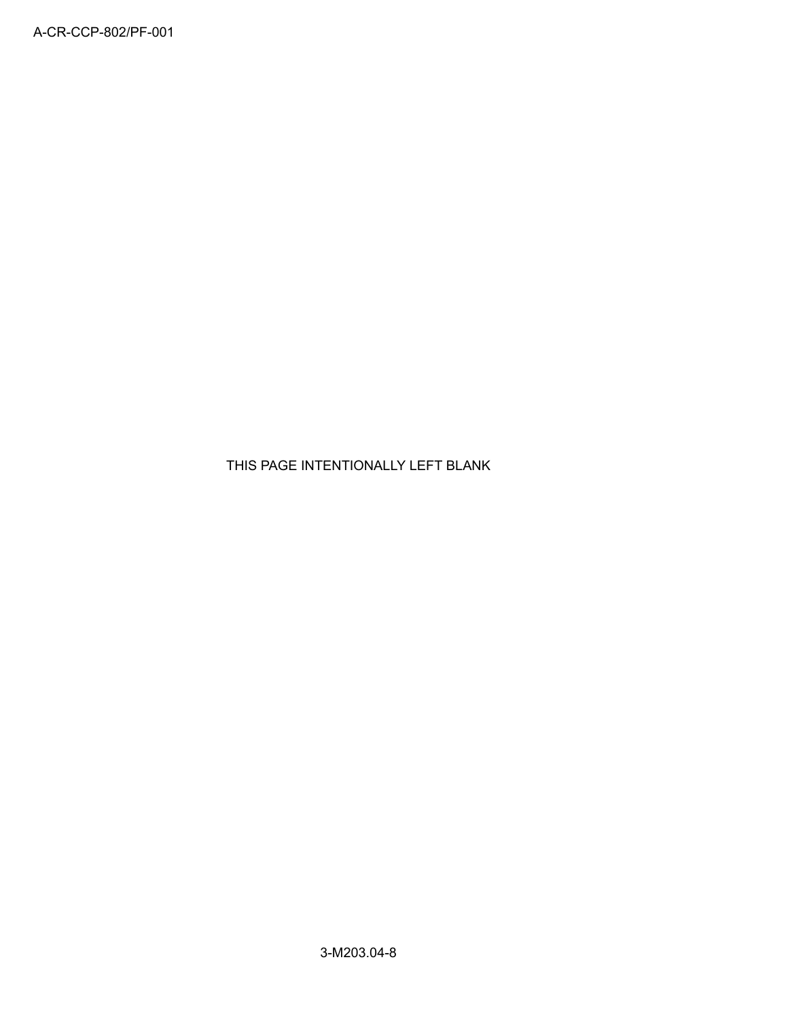THIS PAGE INTENTIONALLY LEFT BLANK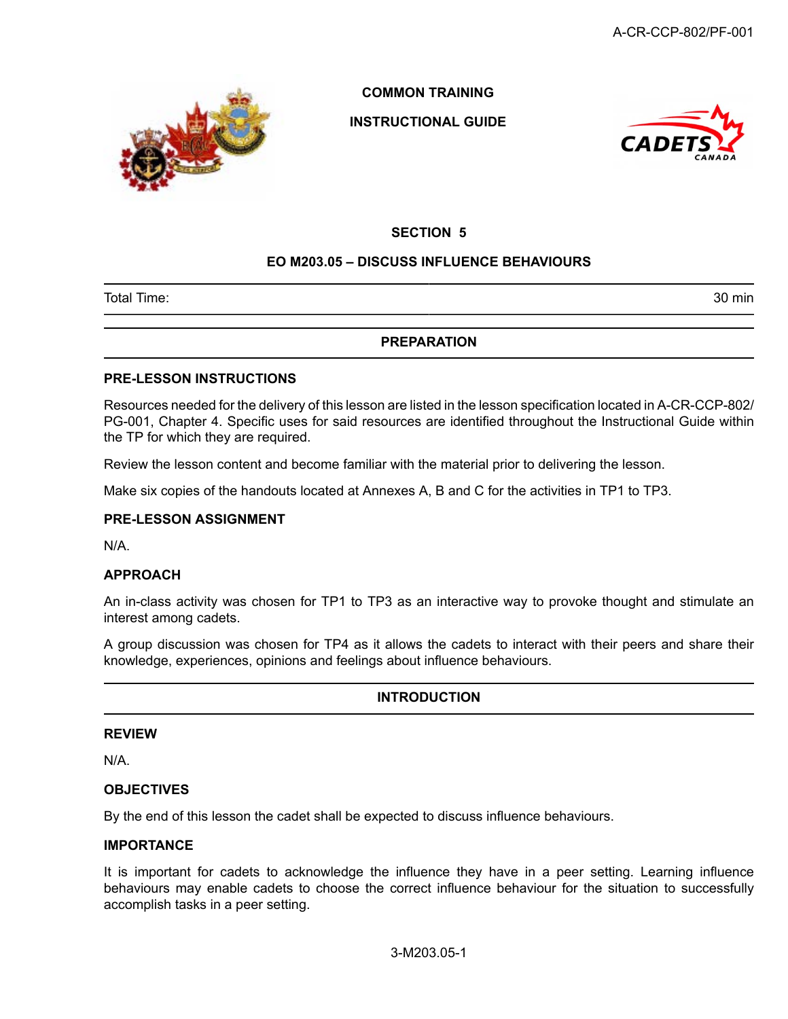

**COMMON TRAINING**

**INSTRUCTIONAL GUIDE**



#### **SECTION 5**

#### **EO M203.05 – DISCUSS INFLUENCE BEHAVIOURS**

Total Time: 30 min

# **PREPARATION**

#### **PRE-LESSON INSTRUCTIONS**

Resources needed for the delivery of this lesson are listed in the lesson specification located in A-CR-CCP-802/ PG-001, Chapter 4. Specific uses for said resources are identified throughout the Instructional Guide within the TP for which they are required.

Review the lesson content and become familiar with the material prior to delivering the lesson.

Make six copies of the handouts located at Annexes A, B and C for the activities in TP1 to TP3.

# **PRE-LESSON ASSIGNMENT**

N/A.

#### **APPROACH**

An in-class activity was chosen for TP1 to TP3 as an interactive way to provoke thought and stimulate an interest among cadets.

A group discussion was chosen for TP4 as it allows the cadets to interact with their peers and share their knowledge, experiences, opinions and feelings about influence behaviours.

# **INTRODUCTION**

#### **REVIEW**

N/A.

#### **OBJECTIVES**

By the end of this lesson the cadet shall be expected to discuss influence behaviours.

#### **IMPORTANCE**

It is important for cadets to acknowledge the influence they have in a peer setting. Learning influence behaviours may enable cadets to choose the correct influence behaviour for the situation to successfully accomplish tasks in a peer setting.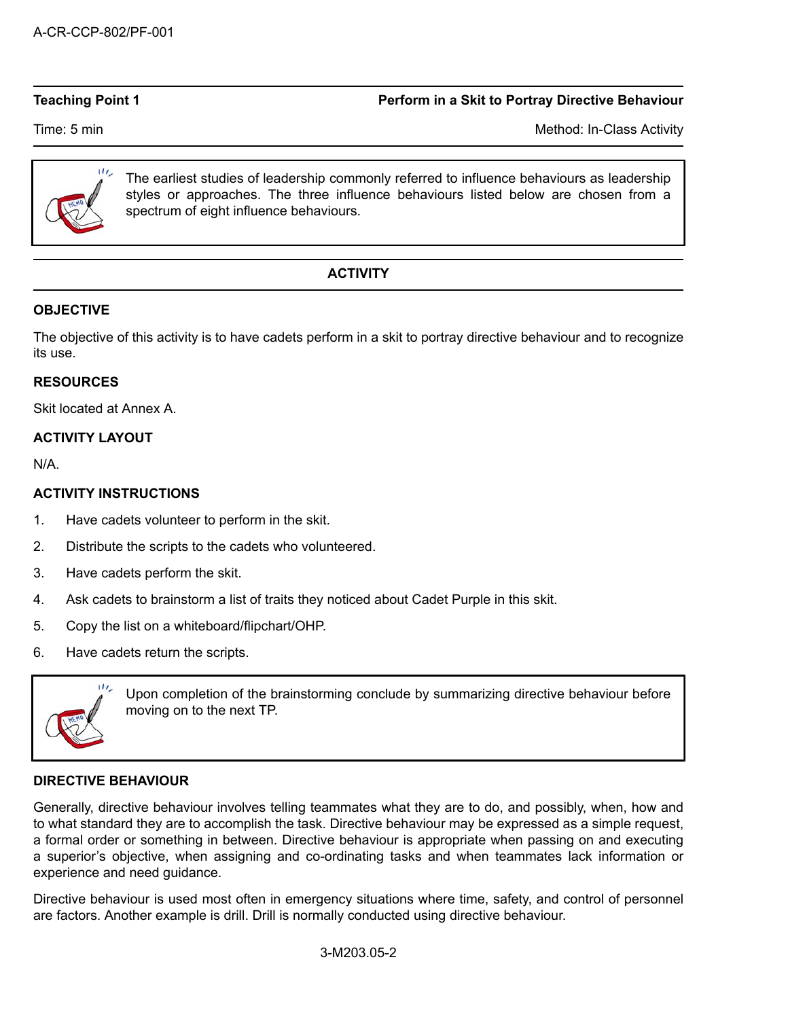**Teaching Point 1 Perform in a Skit to Portray Directive Behaviour**

Time: 5 min Method: In-Class Activity



The earliest studies of leadership commonly referred to influence behaviours as leadership styles or approaches. The three influence behaviours listed below are chosen from a spectrum of eight influence behaviours.

# **ACTIVITY**

# **OBJECTIVE**

The objective of this activity is to have cadets perform in a skit to portray directive behaviour and to recognize its use.

# **RESOURCES**

Skit located at Annex A.

# **ACTIVITY LAYOUT**

N/A.

# **ACTIVITY INSTRUCTIONS**

- 1. Have cadets volunteer to perform in the skit.
- 2. Distribute the scripts to the cadets who volunteered.
- 3. Have cadets perform the skit.
- 4. Ask cadets to brainstorm a list of traits they noticed about Cadet Purple in this skit.
- 5. Copy the list on a whiteboard/flipchart/OHP.
- 6. Have cadets return the scripts.



Upon completion of the brainstorming conclude by summarizing directive behaviour before moving on to the next TP.

# **DIRECTIVE BEHAVIOUR**

Generally, directive behaviour involves telling teammates what they are to do, and possibly, when, how and to what standard they are to accomplish the task. Directive behaviour may be expressed as a simple request, a formal order or something in between. Directive behaviour is appropriate when passing on and executing a superior's objective, when assigning and co-ordinating tasks and when teammates lack information or experience and need guidance.

Directive behaviour is used most often in emergency situations where time, safety, and control of personnel are factors. Another example is drill. Drill is normally conducted using directive behaviour.

3-M203.05-2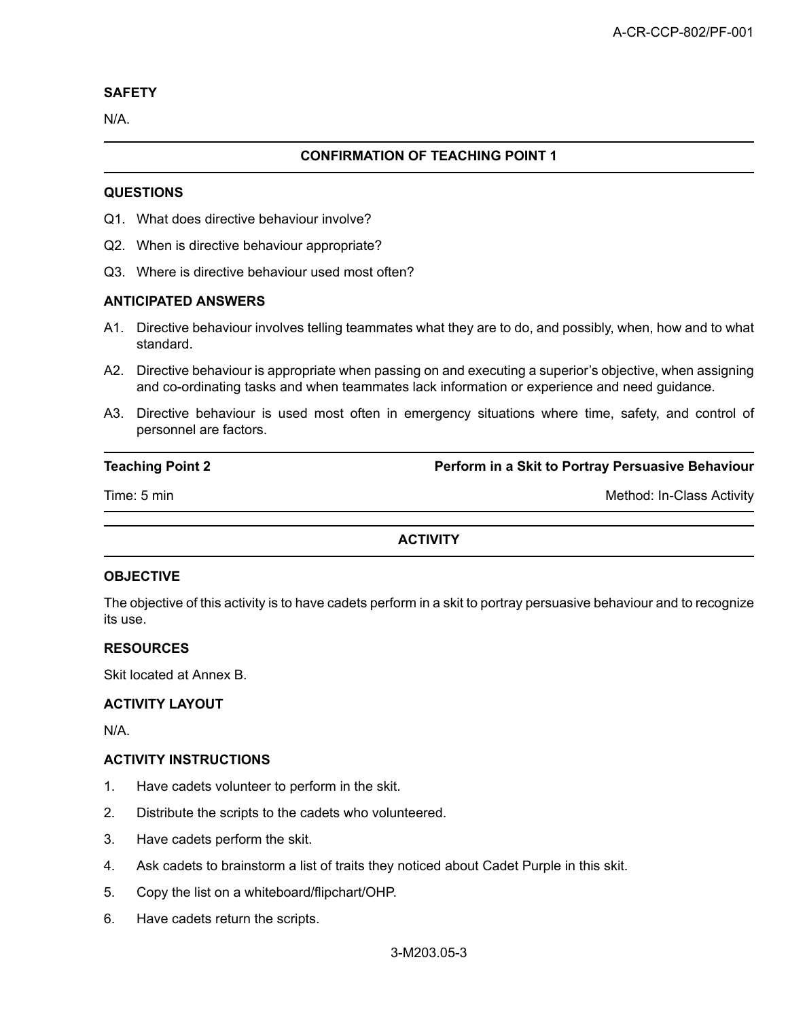#### **SAFETY**

N/A.

## **CONFIRMATION OF TEACHING POINT 1**

#### **QUESTIONS**

- Q1. What does directive behaviour involve?
- Q2. When is directive behaviour appropriate?
- Q3. Where is directive behaviour used most often?

#### **ANTICIPATED ANSWERS**

- A1. Directive behaviour involves telling teammates what they are to do, and possibly, when, how and to what standard.
- A2. Directive behaviour is appropriate when passing on and executing a superior's objective, when assigning and co-ordinating tasks and when teammates lack information or experience and need guidance.
- A3. Directive behaviour is used most often in emergency situations where time, safety, and control of personnel are factors.

#### **Teaching Point 2 Perform in a Skit to Portray Persuasive Behaviour**

Time: 5 min Method: In-Class Activity

## **ACTIVITY**

#### **OBJECTIVE**

The objective of this activity is to have cadets perform in a skit to portray persuasive behaviour and to recognize its use.

## **RESOURCES**

Skit located at Annex B.

#### **ACTIVITY LAYOUT**

N/A.

#### **ACTIVITY INSTRUCTIONS**

- 1. Have cadets volunteer to perform in the skit.
- 2. Distribute the scripts to the cadets who volunteered.
- 3. Have cadets perform the skit.
- 4. Ask cadets to brainstorm a list of traits they noticed about Cadet Purple in this skit.
- 5. Copy the list on a whiteboard/flipchart/OHP.
- 6. Have cadets return the scripts.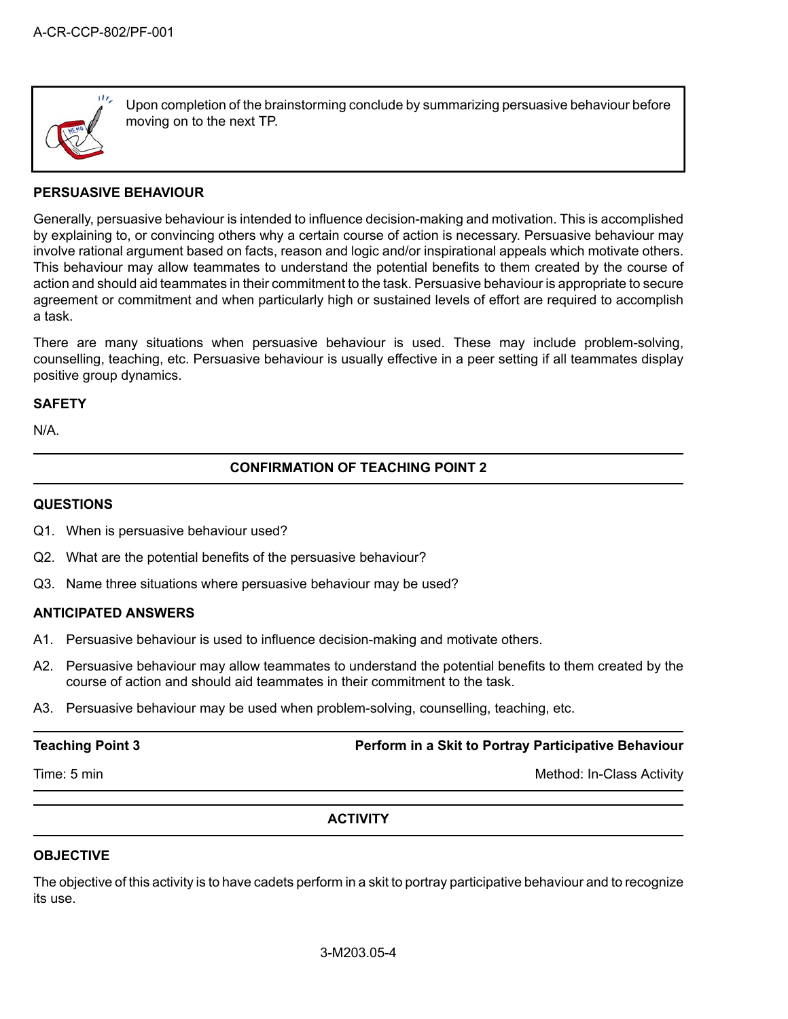

Upon completion of the brainstorming conclude by summarizing persuasive behaviour before moving on to the next TP.

## **PERSUASIVE BEHAVIOUR**

Generally, persuasive behaviour is intended to influence decision-making and motivation. This is accomplished by explaining to, or convincing others why a certain course of action is necessary. Persuasive behaviour may involve rational argument based on facts, reason and logic and/or inspirational appeals which motivate others. This behaviour may allow teammates to understand the potential benefits to them created by the course of action and should aid teammates in their commitment to the task. Persuasive behaviour is appropriate to secure agreement or commitment and when particularly high or sustained levels of effort are required to accomplish a task.

There are many situations when persuasive behaviour is used. These may include problem-solving, counselling, teaching, etc. Persuasive behaviour is usually effective in a peer setting if all teammates display positive group dynamics.

#### **SAFETY**

N/A.

# **CONFIRMATION OF TEACHING POINT 2**

#### **QUESTIONS**

- Q1. When is persuasive behaviour used?
- Q2. What are the potential benefits of the persuasive behaviour?
- Q3. Name three situations where persuasive behaviour may be used?

## **ANTICIPATED ANSWERS**

- A1. Persuasive behaviour is used to influence decision-making and motivate others.
- A2. Persuasive behaviour may allow teammates to understand the potential benefits to them created by the course of action and should aid teammates in their commitment to the task.
- A3. Persuasive behaviour may be used when problem-solving, counselling, teaching, etc.

**Teaching Point 3 Perform in a Skit to Portray Participative Behaviour**

Time: 5 min Method: In-Class Activity

#### **ACTIVITY**

## **OBJECTIVE**

The objective of this activity is to have cadets perform in a skit to portray participative behaviour and to recognize its use.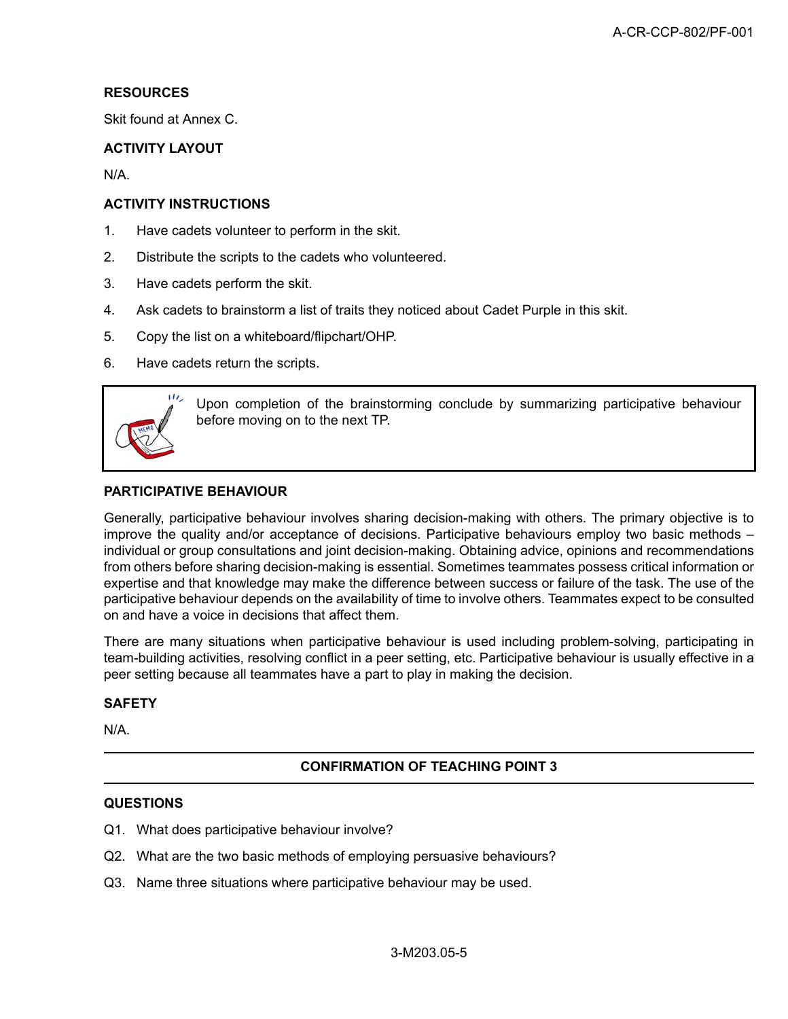# **RESOURCES**

Skit found at Annex C.

# **ACTIVITY LAYOUT**

N/A.

## **ACTIVITY INSTRUCTIONS**

- 1. Have cadets volunteer to perform in the skit.
- 2. Distribute the scripts to the cadets who volunteered.
- 3. Have cadets perform the skit.
- 4. Ask cadets to brainstorm a list of traits they noticed about Cadet Purple in this skit.
- 5. Copy the list on a whiteboard/flipchart/OHP.
- 6. Have cadets return the scripts.



Upon completion of the brainstorming conclude by summarizing participative behaviour before moving on to the next TP.

## **PARTICIPATIVE BEHAVIOUR**

Generally, participative behaviour involves sharing decision-making with others. The primary objective is to improve the quality and/or acceptance of decisions. Participative behaviours employ two basic methods – individual or group consultations and joint decision-making. Obtaining advice, opinions and recommendations from others before sharing decision-making is essential. Sometimes teammates possess critical information or expertise and that knowledge may make the difference between success or failure of the task. The use of the participative behaviour depends on the availability of time to involve others. Teammates expect to be consulted on and have a voice in decisions that affect them.

There are many situations when participative behaviour is used including problem-solving, participating in team-building activities, resolving conflict in a peer setting, etc. Participative behaviour is usually effective in a peer setting because all teammates have a part to play in making the decision.

## **SAFETY**

N/A.

## **CONFIRMATION OF TEACHING POINT 3**

## **QUESTIONS**

- Q1. What does participative behaviour involve?
- Q2. What are the two basic methods of employing persuasive behaviours?
- Q3. Name three situations where participative behaviour may be used.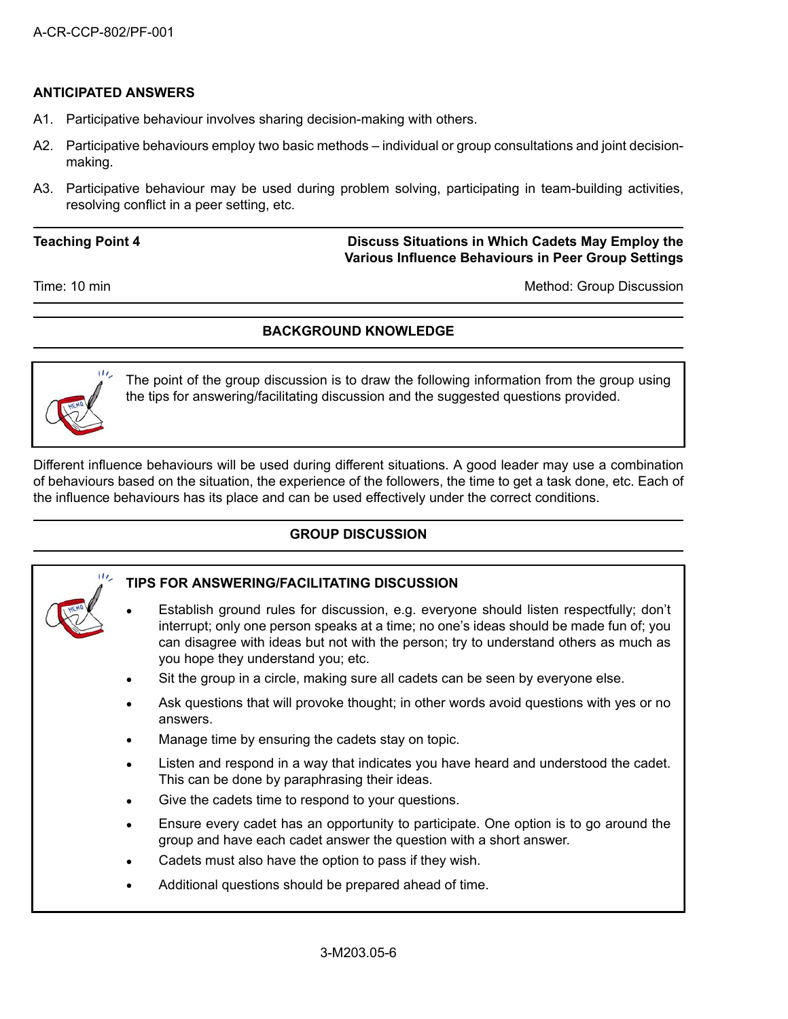## **ANTICIPATED ANSWERS**

- A1. Participative behaviour involves sharing decision-making with others.
- A2. Participative behaviours employ two basic methods individual or group consultations and joint decisionmaking.
- A3. Participative behaviour may be used during problem solving, participating in team-building activities, resolving conflict in a peer setting, etc.

 $\overline{11}$ 

**Teaching Point 4 Discuss Situations in Which Cadets May Employ the Various Influence Behaviours in Peer Group Settings**

Time: 10 min Method: Group Discussion Method: Group Discussion

#### **BACKGROUND KNOWLEDGE**

The point of the group discussion is to draw the following information from the group using the tips for answering/facilitating discussion and the suggested questions provided.

Different influence behaviours will be used during different situations. A good leader may use a combination of behaviours based on the situation, the experience of the followers, the time to get a task done, etc. Each of the influence behaviours has its place and can be used effectively under the correct conditions.

## **GROUP DISCUSSION**

#### $111,$ **TIPS FOR ANSWERING/FACILITATING DISCUSSION**

- Establish ground rules for discussion, e.g. everyone should listen respectfully; don't interrupt; only one person speaks at a time; no one's ideas should be made fun of; you can disagree with ideas but not with the person; try to understand others as much as you hope they understand you; etc.
- Sit the group in a circle, making sure all cadets can be seen by everyone else.
- Ask questions that will provoke thought; in other words avoid questions with yes or no answers.
- Manage time by ensuring the cadets stay on topic.
- Listen and respond in a way that indicates you have heard and understood the cadet. This can be done by paraphrasing their ideas.
- Give the cadets time to respond to your questions.
- Ensure every cadet has an opportunity to participate. One option is to go around the group and have each cadet answer the question with a short answer.
- Cadets must also have the option to pass if they wish.
- Additional questions should be prepared ahead of time.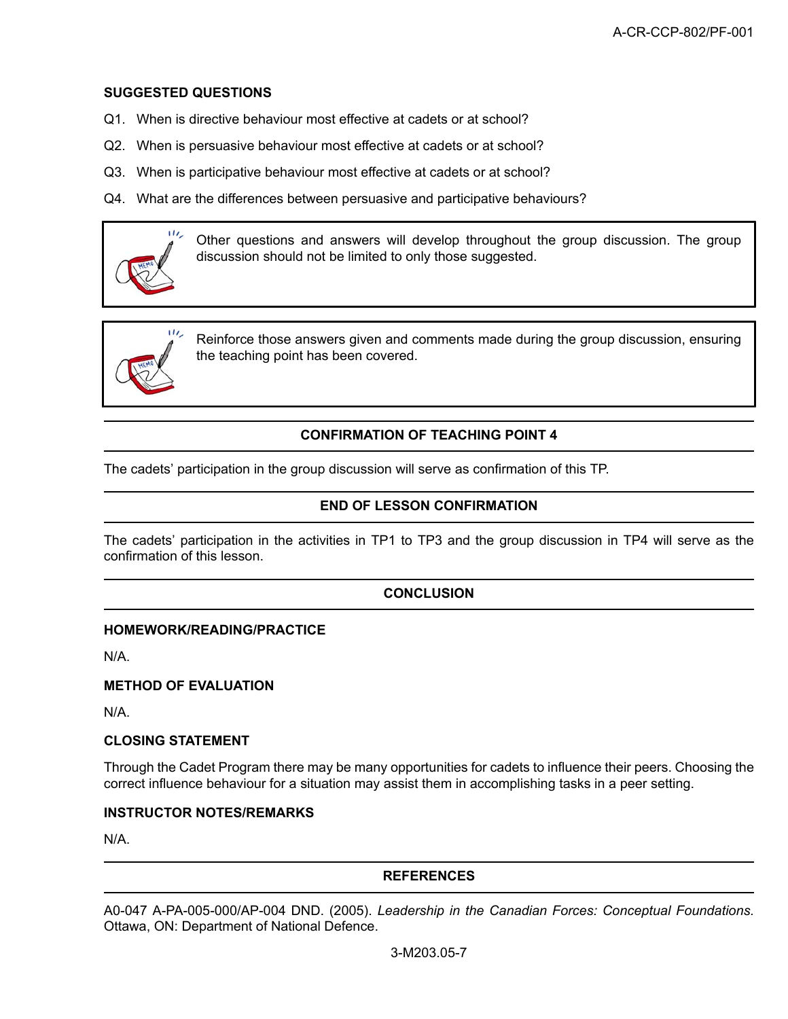## **SUGGESTED QUESTIONS**

- Q1. When is directive behaviour most effective at cadets or at school?
- Q2. When is persuasive behaviour most effective at cadets or at school?
- Q3. When is participative behaviour most effective at cadets or at school?
- Q4. What are the differences between persuasive and participative behaviours?



Other questions and answers will develop throughout the group discussion. The group discussion should not be limited to only those suggested.



Reinforce those answers given and comments made during the group discussion, ensuring the teaching point has been covered.

# **CONFIRMATION OF TEACHING POINT 4**

The cadets' participation in the group discussion will serve as confirmation of this TP.

## **END OF LESSON CONFIRMATION**

The cadets' participation in the activities in TP1 to TP3 and the group discussion in TP4 will serve as the confirmation of this lesson.

## **CONCLUSION**

#### **HOMEWORK/READING/PRACTICE**

N/A.

#### **METHOD OF EVALUATION**

N/A.

#### **CLOSING STATEMENT**

Through the Cadet Program there may be many opportunities for cadets to influence their peers. Choosing the correct influence behaviour for a situation may assist them in accomplishing tasks in a peer setting.

#### **INSTRUCTOR NOTES/REMARKS**

N/A.

## **REFERENCES**

A0-047 A-PA-005-000/AP-004 DND. (2005). *Leadership in the Canadian Forces: Conceptual Foundations.* Ottawa, ON: Department of National Defence.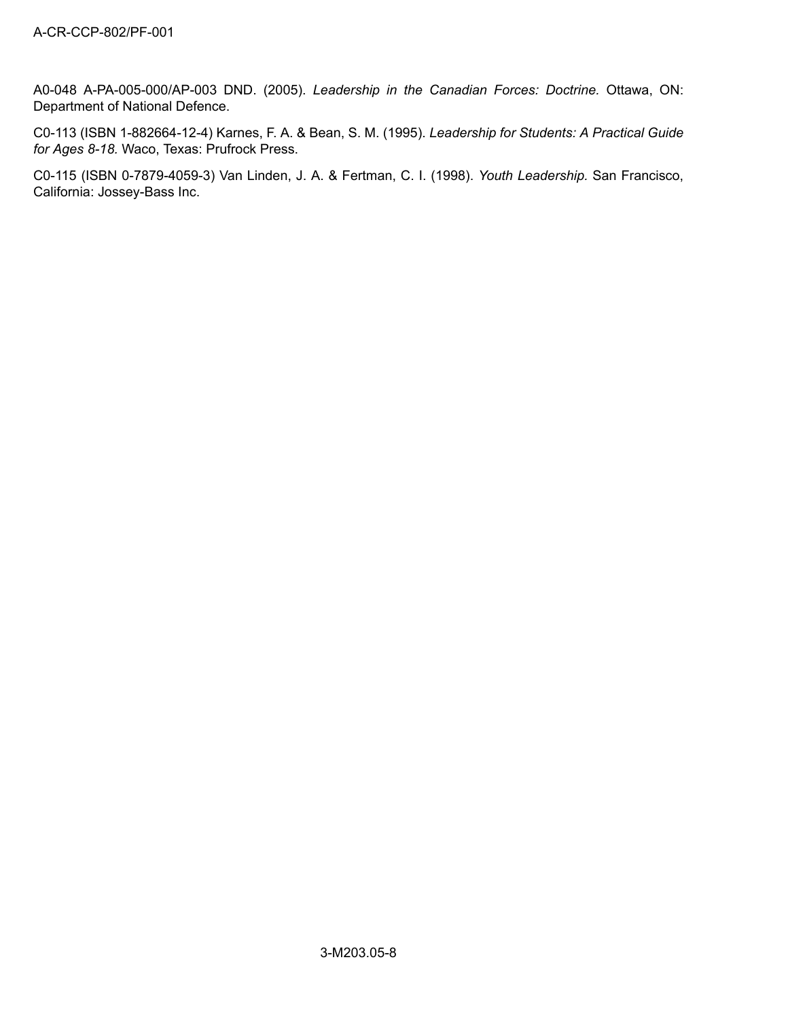A0-048 A-PA-005-000/AP-003 DND. (2005). *Leadership in the Canadian Forces: Doctrine.* Ottawa, ON: Department of National Defence.

C0-113 (ISBN 1-882664-12-4) Karnes, F. A. & Bean, S. M. (1995). *Leadership for Students: A Practical Guide for Ages 8-18.* Waco, Texas: Prufrock Press.

C0-115 (ISBN 0-7879-4059-3) Van Linden, J. A. & Fertman, C. I. (1998). *Youth Leadership.* San Francisco, California: Jossey-Bass Inc.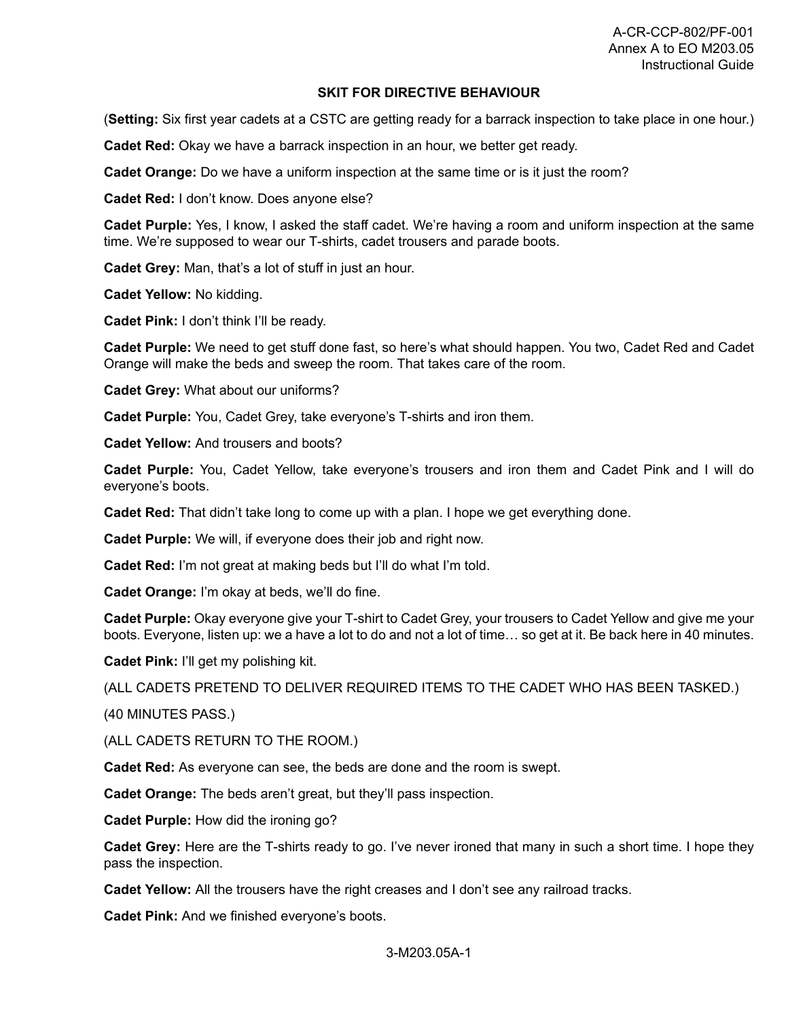#### **SKIT FOR DIRECTIVE BEHAVIOUR**

(**Setting:** Six first year cadets at a CSTC are getting ready for a barrack inspection to take place in one hour.)

**Cadet Red:** Okay we have a barrack inspection in an hour, we better get ready.

**Cadet Orange:** Do we have a uniform inspection at the same time or is it just the room?

**Cadet Red:** I don't know. Does anyone else?

**Cadet Purple:** Yes, I know, I asked the staff cadet. We're having a room and uniform inspection at the same time. We're supposed to wear our T-shirts, cadet trousers and parade boots.

**Cadet Grey:** Man, that's a lot of stuff in just an hour.

**Cadet Yellow:** No kidding.

**Cadet Pink:** I don't think I'll be ready.

**Cadet Purple:** We need to get stuff done fast, so here's what should happen. You two, Cadet Red and Cadet Orange will make the beds and sweep the room. That takes care of the room.

**Cadet Grey:** What about our uniforms?

**Cadet Purple:** You, Cadet Grey, take everyone's T-shirts and iron them.

**Cadet Yellow:** And trousers and boots?

**Cadet Purple:** You, Cadet Yellow, take everyone's trousers and iron them and Cadet Pink and I will do everyone's boots.

**Cadet Red:** That didn't take long to come up with a plan. I hope we get everything done.

**Cadet Purple:** We will, if everyone does their job and right now.

**Cadet Red:** I'm not great at making beds but I'll do what I'm told.

**Cadet Orange:** I'm okay at beds, we'll do fine.

**Cadet Purple:** Okay everyone give your T-shirt to Cadet Grey, your trousers to Cadet Yellow and give me your boots. Everyone, listen up: we a have a lot to do and not a lot of time… so get at it. Be back here in 40 minutes.

**Cadet Pink:** I'll get my polishing kit.

(ALL CADETS PRETEND TO DELIVER REQUIRED ITEMS TO THE CADET WHO HAS BEEN TASKED.)

(40 MINUTES PASS.)

(ALL CADETS RETURN TO THE ROOM.)

**Cadet Red:** As everyone can see, the beds are done and the room is swept.

**Cadet Orange:** The beds aren't great, but they'll pass inspection.

**Cadet Purple:** How did the ironing go?

**Cadet Grey:** Here are the T-shirts ready to go. I've never ironed that many in such a short time. I hope they pass the inspection.

**Cadet Yellow:** All the trousers have the right creases and I don't see any railroad tracks.

**Cadet Pink:** And we finished everyone's boots.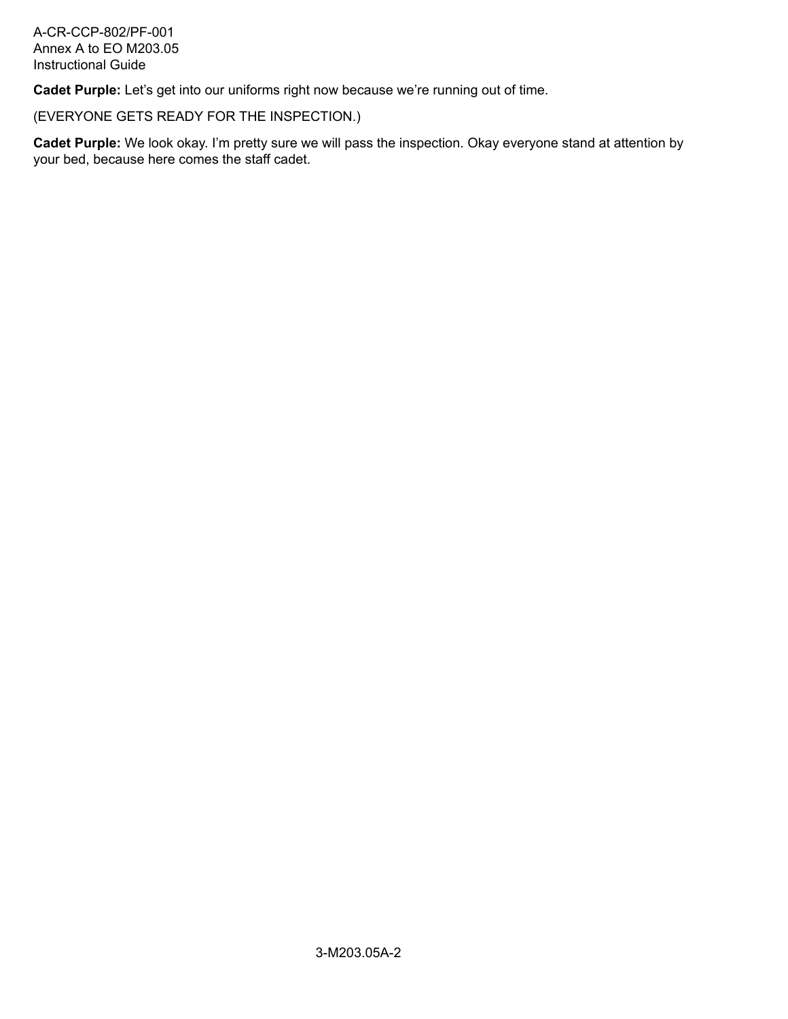**Cadet Purple:** Let's get into our uniforms right now because we're running out of time.

(EVERYONE GETS READY FOR THE INSPECTION.)

**Cadet Purple:** We look okay. I'm pretty sure we will pass the inspection. Okay everyone stand at attention by your bed, because here comes the staff cadet.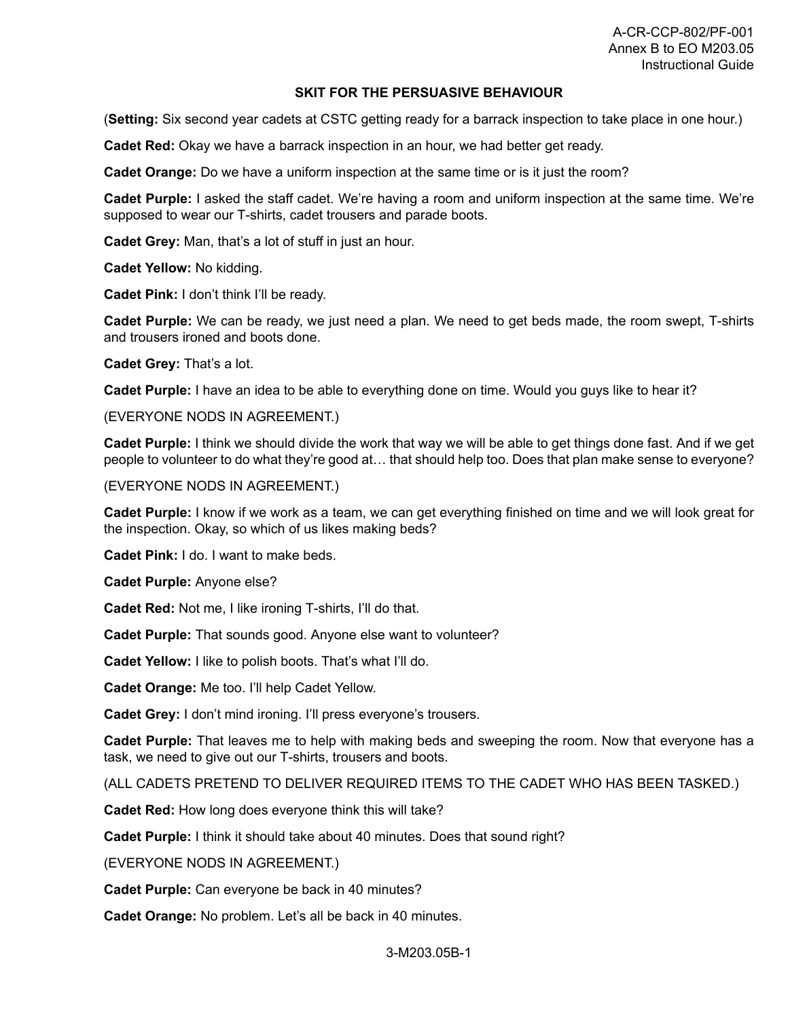#### **SKIT FOR THE PERSUASIVE BEHAVIOUR**

(**Setting:** Six second year cadets at CSTC getting ready for a barrack inspection to take place in one hour.)

**Cadet Red:** Okay we have a barrack inspection in an hour, we had better get ready.

**Cadet Orange:** Do we have a uniform inspection at the same time or is it just the room?

**Cadet Purple:** I asked the staff cadet. We're having a room and uniform inspection at the same time. We're supposed to wear our T-shirts, cadet trousers and parade boots.

**Cadet Grey:** Man, that's a lot of stuff in just an hour.

**Cadet Yellow:** No kidding.

**Cadet Pink:** I don't think I'll be ready.

**Cadet Purple:** We can be ready, we just need a plan. We need to get beds made, the room swept, T-shirts and trousers ironed and boots done.

**Cadet Grey:** That's a lot.

**Cadet Purple:** I have an idea to be able to everything done on time. Would you guys like to hear it?

(EVERYONE NODS IN AGREEMENT.)

**Cadet Purple:** I think we should divide the work that way we will be able to get things done fast. And if we get people to volunteer to do what they're good at… that should help too. Does that plan make sense to everyone?

(EVERYONE NODS IN AGREEMENT.)

**Cadet Purple:** I know if we work as a team, we can get everything finished on time and we will look great for the inspection. Okay, so which of us likes making beds?

**Cadet Pink:** I do. I want to make beds.

**Cadet Purple:** Anyone else?

**Cadet Red:** Not me, I like ironing T-shirts, I'll do that.

**Cadet Purple:** That sounds good. Anyone else want to volunteer?

**Cadet Yellow:** I like to polish boots. That's what I'll do.

**Cadet Orange:** Me too. I'll help Cadet Yellow.

**Cadet Grey:** I don't mind ironing. I'll press everyone's trousers.

**Cadet Purple:** That leaves me to help with making beds and sweeping the room. Now that everyone has a task, we need to give out our T-shirts, trousers and boots.

(ALL CADETS PRETEND TO DELIVER REQUIRED ITEMS TO THE CADET WHO HAS BEEN TASKED.)

**Cadet Red:** How long does everyone think this will take?

**Cadet Purple:** I think it should take about 40 minutes. Does that sound right?

(EVERYONE NODS IN AGREEMENT.)

**Cadet Purple:** Can everyone be back in 40 minutes?

**Cadet Orange:** No problem. Let's all be back in 40 minutes.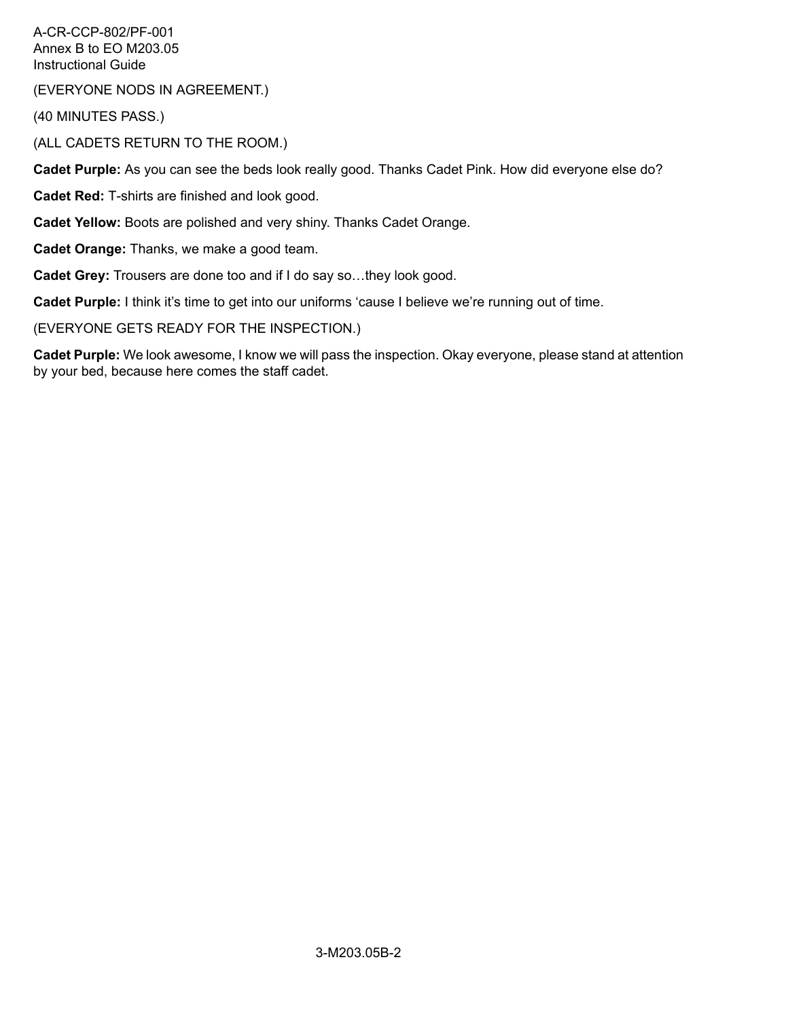A-CR-CCP-802/PF-001 Annex B to EO M203.05 Instructional Guide

(EVERYONE NODS IN AGREEMENT.)

(40 MINUTES PASS.)

(ALL CADETS RETURN TO THE ROOM.)

**Cadet Purple:** As you can see the beds look really good. Thanks Cadet Pink. How did everyone else do?

**Cadet Red:** T-shirts are finished and look good.

**Cadet Yellow:** Boots are polished and very shiny. Thanks Cadet Orange.

**Cadet Orange:** Thanks, we make a good team.

**Cadet Grey:** Trousers are done too and if I do say so…they look good.

**Cadet Purple:** I think it's time to get into our uniforms 'cause I believe we're running out of time.

(EVERYONE GETS READY FOR THE INSPECTION.)

**Cadet Purple:** We look awesome, I know we will pass the inspection. Okay everyone, please stand at attention by your bed, because here comes the staff cadet.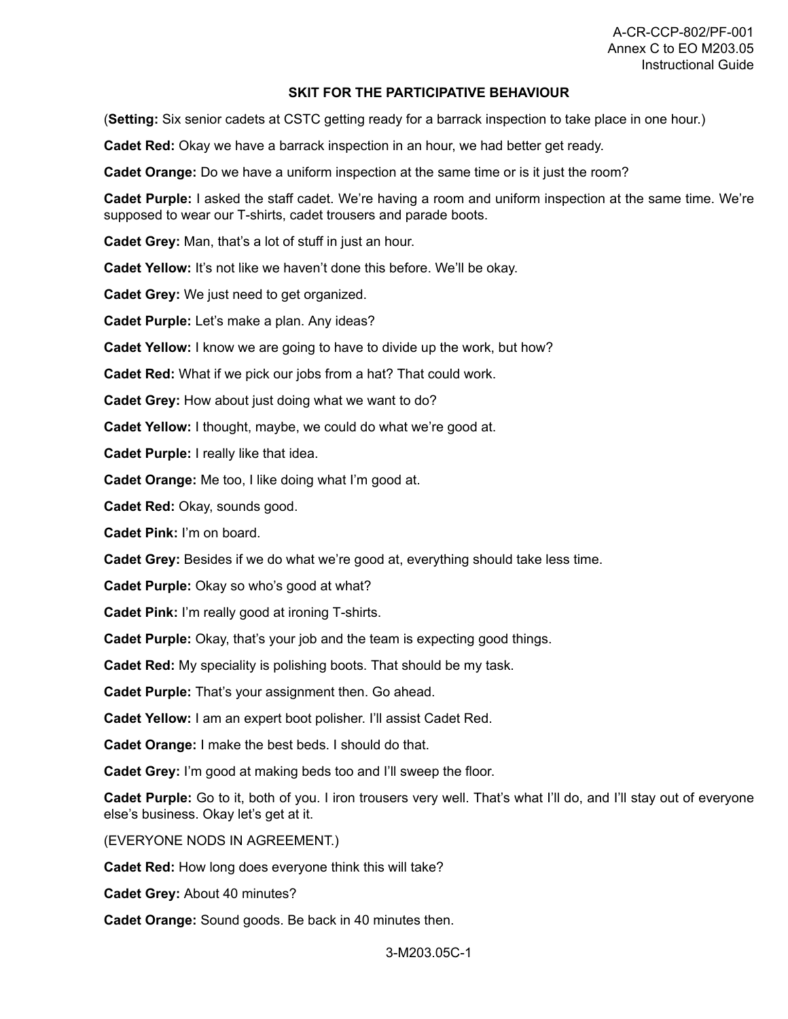## **SKIT FOR THE PARTICIPATIVE BEHAVIOUR**

(**Setting:** Six senior cadets at CSTC getting ready for a barrack inspection to take place in one hour.)

**Cadet Red:** Okay we have a barrack inspection in an hour, we had better get ready.

**Cadet Orange:** Do we have a uniform inspection at the same time or is it just the room?

**Cadet Purple:** I asked the staff cadet. We're having a room and uniform inspection at the same time. We're supposed to wear our T-shirts, cadet trousers and parade boots.

**Cadet Grey:** Man, that's a lot of stuff in just an hour.

**Cadet Yellow:** It's not like we haven't done this before. We'll be okay.

**Cadet Grey:** We just need to get organized.

**Cadet Purple:** Let's make a plan. Any ideas?

**Cadet Yellow:** I know we are going to have to divide up the work, but how?

**Cadet Red:** What if we pick our jobs from a hat? That could work.

**Cadet Grey:** How about just doing what we want to do?

**Cadet Yellow:** I thought, maybe, we could do what we're good at.

**Cadet Purple:** I really like that idea.

**Cadet Orange:** Me too, I like doing what I'm good at.

**Cadet Red:** Okay, sounds good.

**Cadet Pink:** I'm on board.

**Cadet Grey:** Besides if we do what we're good at, everything should take less time.

**Cadet Purple:** Okay so who's good at what?

**Cadet Pink:** I'm really good at ironing T-shirts.

**Cadet Purple:** Okay, that's your job and the team is expecting good things.

**Cadet Red:** My speciality is polishing boots. That should be my task.

**Cadet Purple:** That's your assignment then. Go ahead.

**Cadet Yellow:** I am an expert boot polisher. I'll assist Cadet Red.

**Cadet Orange:** I make the best beds. I should do that.

**Cadet Grey:** I'm good at making beds too and I'll sweep the floor.

**Cadet Purple:** Go to it, both of you. I iron trousers very well. That's what I'll do, and I'll stay out of everyone else's business. Okay let's get at it.

(EVERYONE NODS IN AGREEMENT.)

**Cadet Red:** How long does everyone think this will take?

**Cadet Grey:** About 40 minutes?

**Cadet Orange:** Sound goods. Be back in 40 minutes then.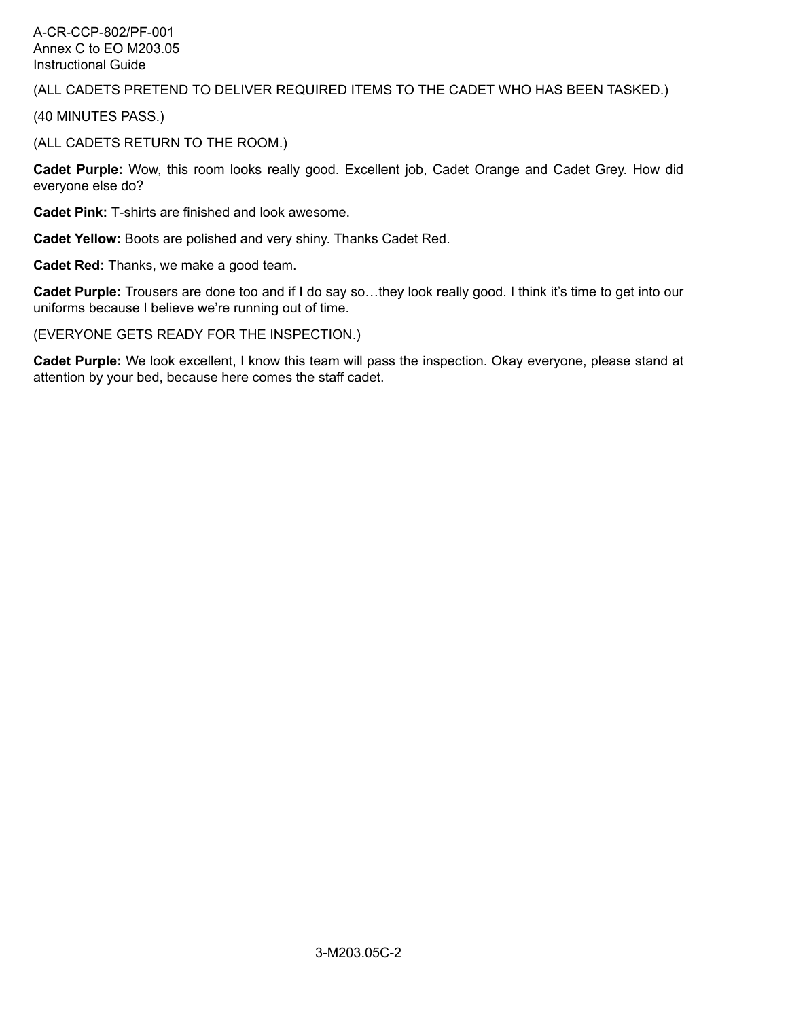(ALL CADETS PRETEND TO DELIVER REQUIRED ITEMS TO THE CADET WHO HAS BEEN TASKED.)

(40 MINUTES PASS.)

(ALL CADETS RETURN TO THE ROOM.)

**Cadet Purple:** Wow, this room looks really good. Excellent job, Cadet Orange and Cadet Grey. How did everyone else do?

**Cadet Pink:** T-shirts are finished and look awesome.

**Cadet Yellow:** Boots are polished and very shiny. Thanks Cadet Red.

**Cadet Red:** Thanks, we make a good team.

**Cadet Purple:** Trousers are done too and if I do say so…they look really good. I think it's time to get into our uniforms because I believe we're running out of time.

(EVERYONE GETS READY FOR THE INSPECTION.)

**Cadet Purple:** We look excellent, I know this team will pass the inspection. Okay everyone, please stand at attention by your bed, because here comes the staff cadet.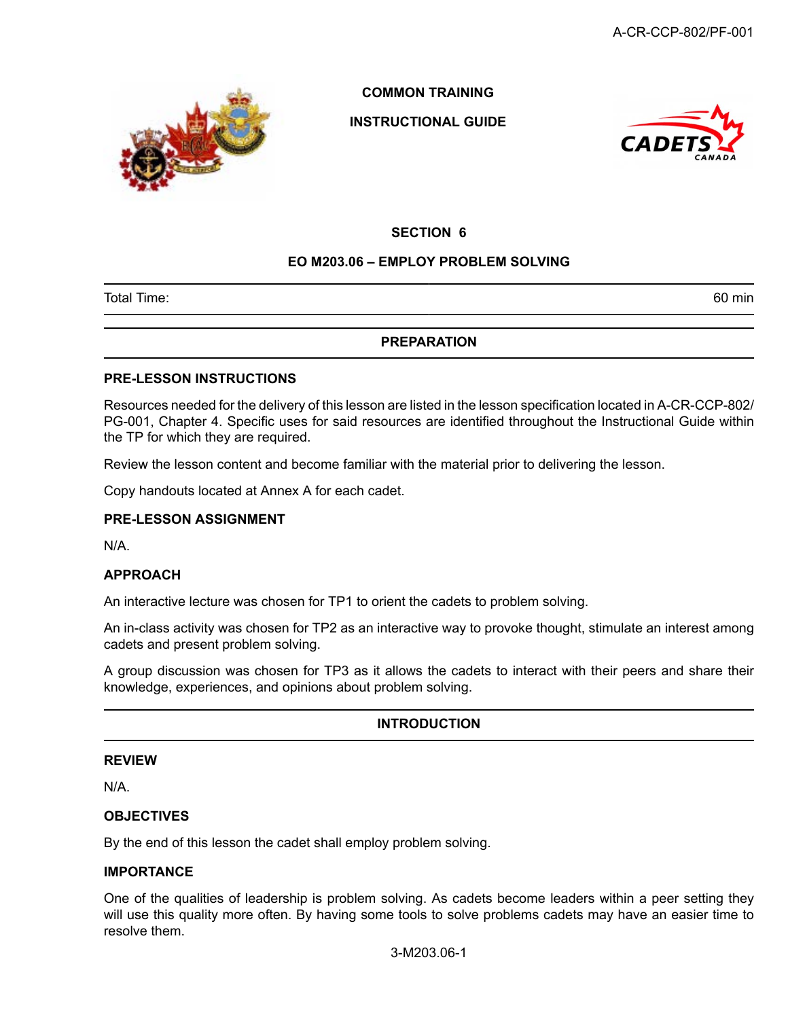

**COMMON TRAINING**

**INSTRUCTIONAL GUIDE**



## **SECTION 6**

#### **EO M203.06 – EMPLOY PROBLEM SOLVING**

Total Time: 60 min

# **PREPARATION**

#### **PRE-LESSON INSTRUCTIONS**

Resources needed for the delivery of this lesson are listed in the lesson specification located in A-CR-CCP-802/ PG-001, Chapter 4. Specific uses for said resources are identified throughout the Instructional Guide within the TP for which they are required.

Review the lesson content and become familiar with the material prior to delivering the lesson.

Copy handouts located at Annex A for each cadet.

## **PRE-LESSON ASSIGNMENT**

N/A.

#### **APPROACH**

An interactive lecture was chosen for TP1 to orient the cadets to problem solving.

An in-class activity was chosen for TP2 as an interactive way to provoke thought, stimulate an interest among cadets and present problem solving.

A group discussion was chosen for TP3 as it allows the cadets to interact with their peers and share their knowledge, experiences, and opinions about problem solving.

## **INTRODUCTION**

#### **REVIEW**

N/A.

#### **OBJECTIVES**

By the end of this lesson the cadet shall employ problem solving.

## **IMPORTANCE**

One of the qualities of leadership is problem solving. As cadets become leaders within a peer setting they will use this quality more often. By having some tools to solve problems cadets may have an easier time to resolve them.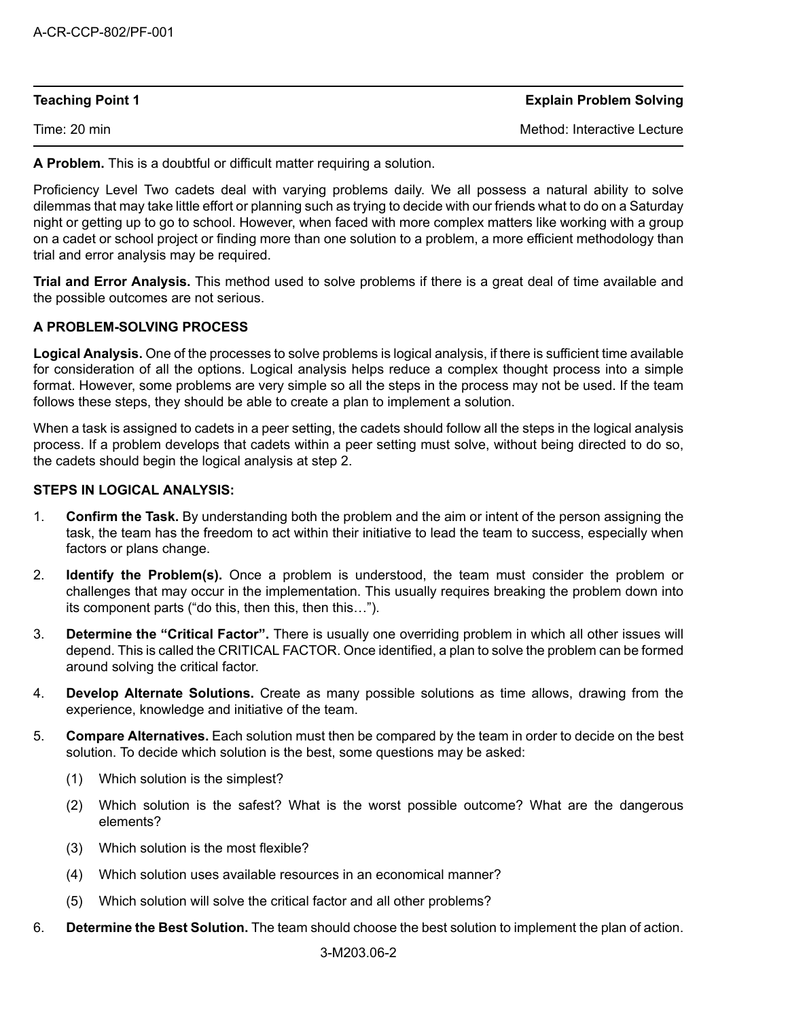| <b>Teaching Point 1</b> | <b>Explain Problem Solving</b> |
|-------------------------|--------------------------------|
| Time: 20 min            | Method: Interactive Lecture    |

**A Problem.** This is a doubtful or difficult matter requiring a solution.

Proficiency Level Two cadets deal with varying problems daily. We all possess a natural ability to solve dilemmas that may take little effort or planning such as trying to decide with our friends what to do on a Saturday night or getting up to go to school. However, when faced with more complex matters like working with a group on a cadet or school project or finding more than one solution to a problem, a more efficient methodology than trial and error analysis may be required.

**Trial and Error Analysis.** This method used to solve problems if there is a great deal of time available and the possible outcomes are not serious.

## **A PROBLEM-SOLVING PROCESS**

**Logical Analysis.** One of the processes to solve problems is logical analysis, if there is sufficient time available for consideration of all the options. Logical analysis helps reduce a complex thought process into a simple format. However, some problems are very simple so all the steps in the process may not be used. If the team follows these steps, they should be able to create a plan to implement a solution.

When a task is assigned to cadets in a peer setting, the cadets should follow all the steps in the logical analysis process. If a problem develops that cadets within a peer setting must solve, without being directed to do so, the cadets should begin the logical analysis at step 2.

#### **STEPS IN LOGICAL ANALYSIS:**

- 1. **Confirm the Task.** By understanding both the problem and the aim or intent of the person assigning the task, the team has the freedom to act within their initiative to lead the team to success, especially when factors or plans change.
- 2. **Identify the Problem(s).** Once a problem is understood, the team must consider the problem or challenges that may occur in the implementation. This usually requires breaking the problem down into its component parts ("do this, then this, then this…").
- 3. **Determine the "Critical Factor".** There is usually one overriding problem in which all other issues will depend. This is called the CRITICAL FACTOR. Once identified, a plan to solve the problem can be formed around solving the critical factor.
- 4. **Develop Alternate Solutions.** Create as many possible solutions as time allows, drawing from the experience, knowledge and initiative of the team.
- 5. **Compare Alternatives.** Each solution must then be compared by the team in order to decide on the best solution. To decide which solution is the best, some questions may be asked:
	- (1) Which solution is the simplest?
	- (2) Which solution is the safest? What is the worst possible outcome? What are the dangerous elements?
	- (3) Which solution is the most flexible?
	- (4) Which solution uses available resources in an economical manner?
	- (5) Which solution will solve the critical factor and all other problems?
- 6. **Determine the Best Solution.** The team should choose the best solution to implement the plan of action.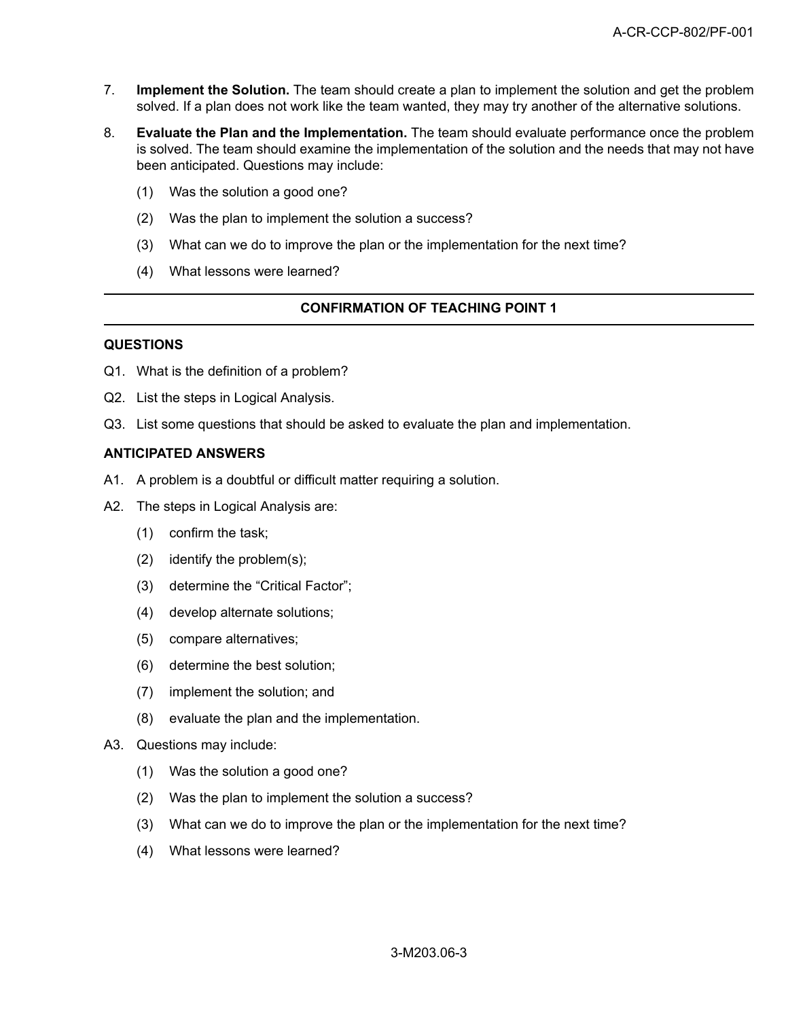- 7. **Implement the Solution.** The team should create a plan to implement the solution and get the problem solved. If a plan does not work like the team wanted, they may try another of the alternative solutions.
- 8. **Evaluate the Plan and the Implementation.** The team should evaluate performance once the problem is solved. The team should examine the implementation of the solution and the needs that may not have been anticipated. Questions may include:
	- (1) Was the solution a good one?
	- (2) Was the plan to implement the solution a success?
	- (3) What can we do to improve the plan or the implementation for the next time?
	- (4) What lessons were learned?

# **CONFIRMATION OF TEACHING POINT 1**

#### **QUESTIONS**

- Q1. What is the definition of a problem?
- Q2. List the steps in Logical Analysis.
- Q3. List some questions that should be asked to evaluate the plan and implementation.

#### **ANTICIPATED ANSWERS**

- A1. A problem is a doubtful or difficult matter requiring a solution.
- A2. The steps in Logical Analysis are:
	- (1) confirm the task;
	- (2) identify the problem(s);
	- (3) determine the "Critical Factor";
	- (4) develop alternate solutions;
	- (5) compare alternatives;
	- (6) determine the best solution;
	- (7) implement the solution; and
	- (8) evaluate the plan and the implementation.
- A3. Questions may include:
	- (1) Was the solution a good one?
	- (2) Was the plan to implement the solution a success?
	- (3) What can we do to improve the plan or the implementation for the next time?
	- (4) What lessons were learned?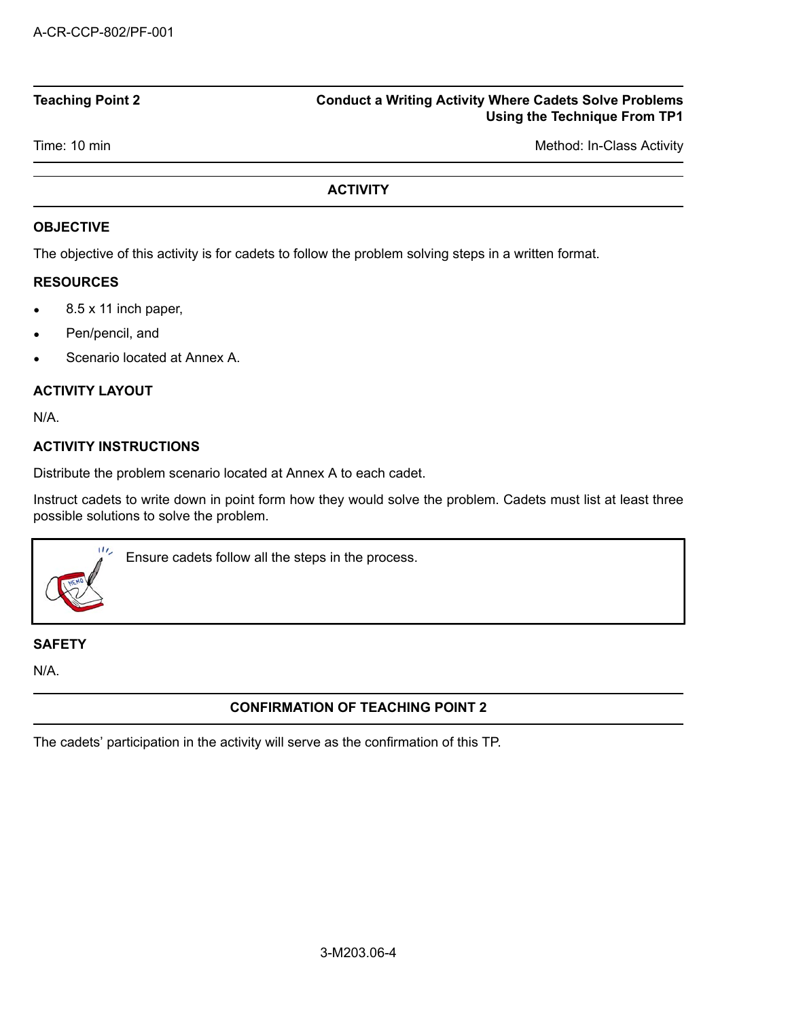# **Teaching Point 2 Conduct a Writing Activity Where Cadets Solve Problems Using the Technique From TP1**

Time: 10 min Method: In-Class Activity

# **ACTIVITY**

## **OBJECTIVE**

The objective of this activity is for cadets to follow the problem solving steps in a written format.

# **RESOURCES**

- $\bullet$  8.5 x 11 inch paper,
- Pen/pencil, and
- Scenario located at Annex A.

# **ACTIVITY LAYOUT**

N/A.

# **ACTIVITY INSTRUCTIONS**

 $\mathbf{u}_i$ 

Distribute the problem scenario located at Annex A to each cadet.

Instruct cadets to write down in point form how they would solve the problem. Cadets must list at least three possible solutions to solve the problem.

Ensure cadets follow all the steps in the process.

## **SAFETY**

N/A.

# **CONFIRMATION OF TEACHING POINT 2**

The cadets' participation in the activity will serve as the confirmation of this TP.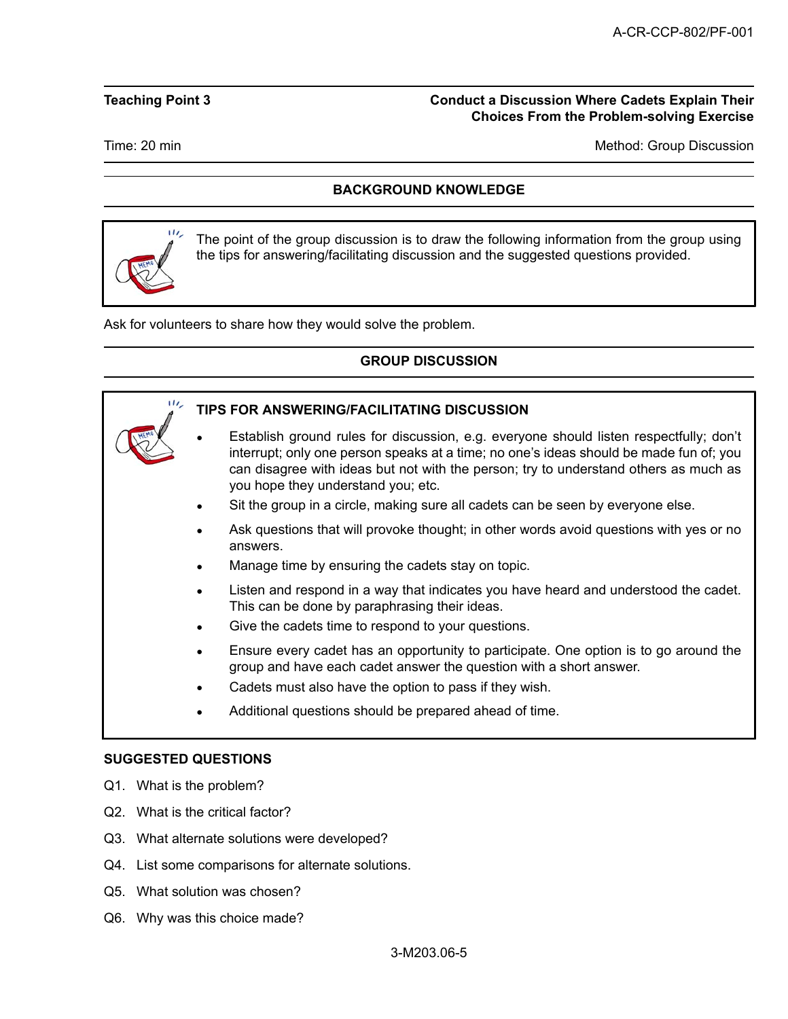#### **Teaching Point 3 Conduct a Discussion Where Cadets Explain Their Choices From the Problem-solving Exercise**

Time: 20 min Method: Group Discussion

# **BACKGROUND KNOWLEDGE**



The point of the group discussion is to draw the following information from the group using the tips for answering/facilitating discussion and the suggested questions provided.

Ask for volunteers to share how they would solve the problem.

## **GROUP DISCUSSION**

| 111,                       | TIPS FOR ANSWERING/FACILITATING DISCUSSION                                                                                                                                                                                                                                                                                                                                                        |
|----------------------------|---------------------------------------------------------------------------------------------------------------------------------------------------------------------------------------------------------------------------------------------------------------------------------------------------------------------------------------------------------------------------------------------------|
|                            | Establish ground rules for discussion, e.g. everyone should listen respectfully; don't<br>interrupt; only one person speaks at a time; no one's ideas should be made fun of; you<br>can disagree with ideas but not with the person; try to understand others as much as<br>you hope they understand you; etc.<br>Sit the group in a circle, making sure all cadets can be seen by everyone else. |
|                            | Ask questions that will provoke thought; in other words avoid questions with yes or no<br>answers.                                                                                                                                                                                                                                                                                                |
|                            | Manage time by ensuring the cadets stay on topic.                                                                                                                                                                                                                                                                                                                                                 |
|                            | Listen and respond in a way that indicates you have heard and understood the cadet.<br>This can be done by paraphrasing their ideas.                                                                                                                                                                                                                                                              |
|                            | Give the cadets time to respond to your questions.                                                                                                                                                                                                                                                                                                                                                |
|                            | Ensure every cadet has an opportunity to participate. One option is to go around the<br>group and have each cadet answer the question with a short answer.                                                                                                                                                                                                                                        |
|                            | Cadets must also have the option to pass if they wish.                                                                                                                                                                                                                                                                                                                                            |
|                            | Additional questions should be prepared ahead of time.                                                                                                                                                                                                                                                                                                                                            |
| <b>SUGGESTED QUESTIONS</b> |                                                                                                                                                                                                                                                                                                                                                                                                   |

- Q1. What is the problem?
- Q2. What is the critical factor?
- Q3. What alternate solutions were developed?
- Q4. List some comparisons for alternate solutions.
- Q5. What solution was chosen?
- Q6. Why was this choice made?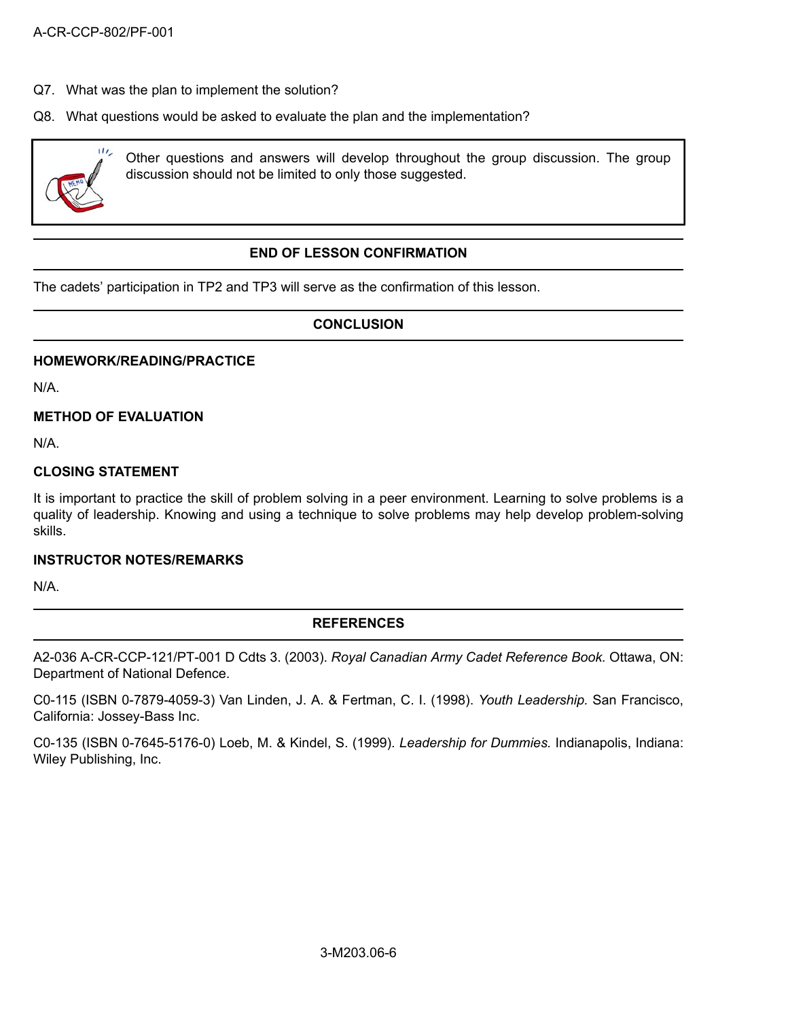- Q7. What was the plan to implement the solution?
- Q8. What questions would be asked to evaluate the plan and the implementation?



Other questions and answers will develop throughout the group discussion. The group discussion should not be limited to only those suggested.

# **END OF LESSON CONFIRMATION**

The cadets' participation in TP2 and TP3 will serve as the confirmation of this lesson.

## **CONCLUSION**

#### **HOMEWORK/READING/PRACTICE**

N/A.

# **METHOD OF EVALUATION**

N/A.

#### **CLOSING STATEMENT**

It is important to practice the skill of problem solving in a peer environment. Learning to solve problems is a quality of leadership. Knowing and using a technique to solve problems may help develop problem-solving skills.

#### **INSTRUCTOR NOTES/REMARKS**

N/A.

## **REFERENCES**

A2-036 A-CR-CCP-121/PT-001 D Cdts 3. (2003). *Royal Canadian Army Cadet Reference Book.* Ottawa, ON: Department of National Defence.

C0-115 (ISBN 0-7879-4059-3) Van Linden, J. A. & Fertman, C. I. (1998). *Youth Leadership.* San Francisco, California: Jossey-Bass Inc.

C0-135 (ISBN 0-7645-5176-0) Loeb, M. & Kindel, S. (1999). *Leadership for Dummies.* Indianapolis, Indiana: Wiley Publishing, Inc.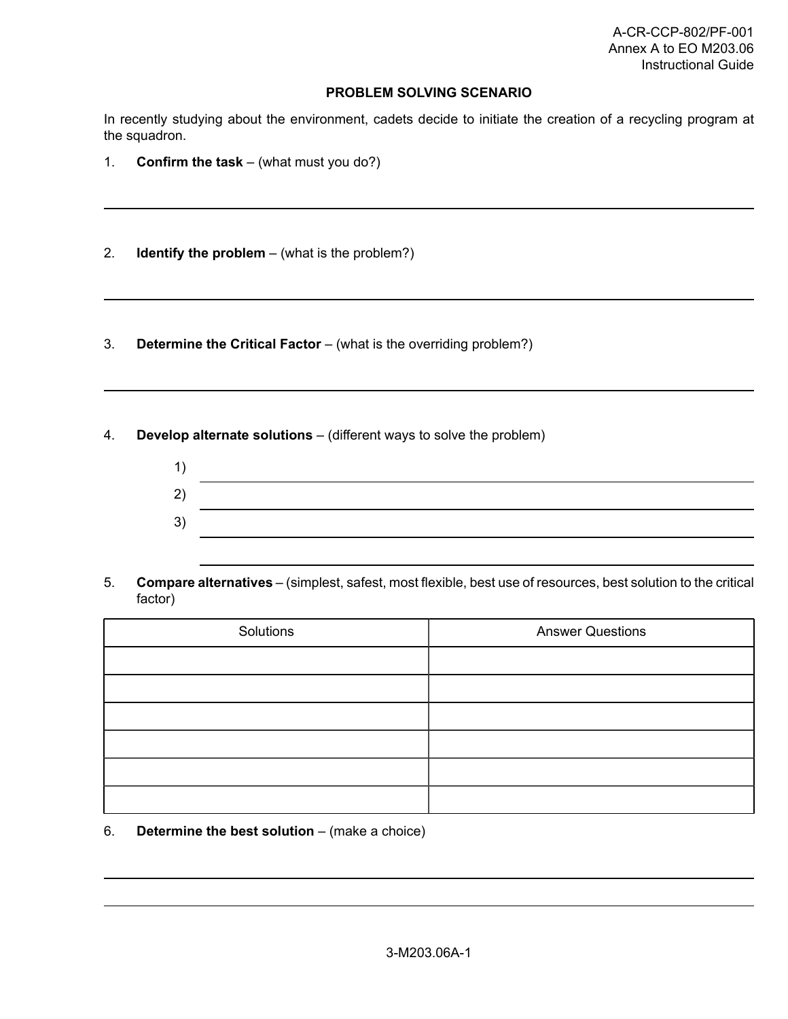## **PROBLEM SOLVING SCENARIO**

In recently studying about the environment, cadets decide to initiate the creation of a recycling program at the squadron.

- 1. **Confirm the task** (what must you do?)
- 2. **Identify the problem** (what is the problem?)
- 3. **Determine the Critical Factor** (what is the overriding problem?)
- 4. **Develop alternate solutions** (different ways to solve the problem)
	- 1) 2) 3)
- 5. **Compare alternatives** (simplest, safest, most flexible, best use of resources, best solution to the critical factor)

| Solutions | <b>Answer Questions</b> |
|-----------|-------------------------|
|           |                         |
|           |                         |
|           |                         |
|           |                         |
|           |                         |
|           |                         |

6. **Determine the best solution** – (make a choice)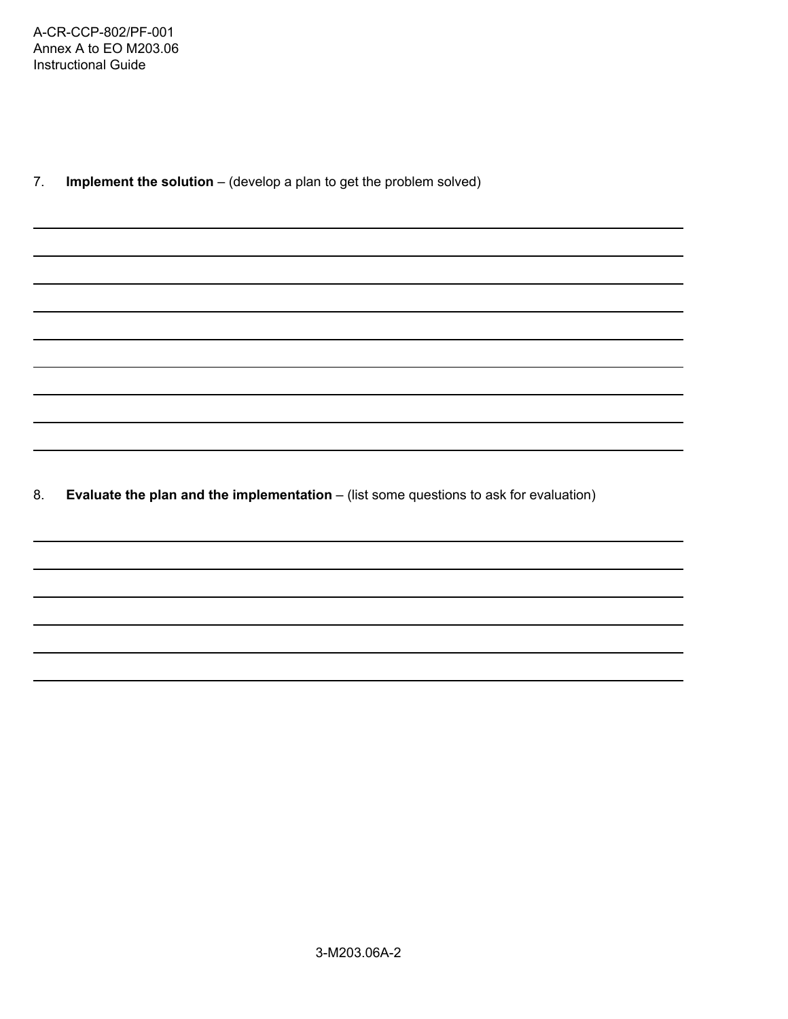7. **Implement the solution** – (develop a plan to get the problem solved)

8. **Evaluate the plan and the implementation** – (list some questions to ask for evaluation)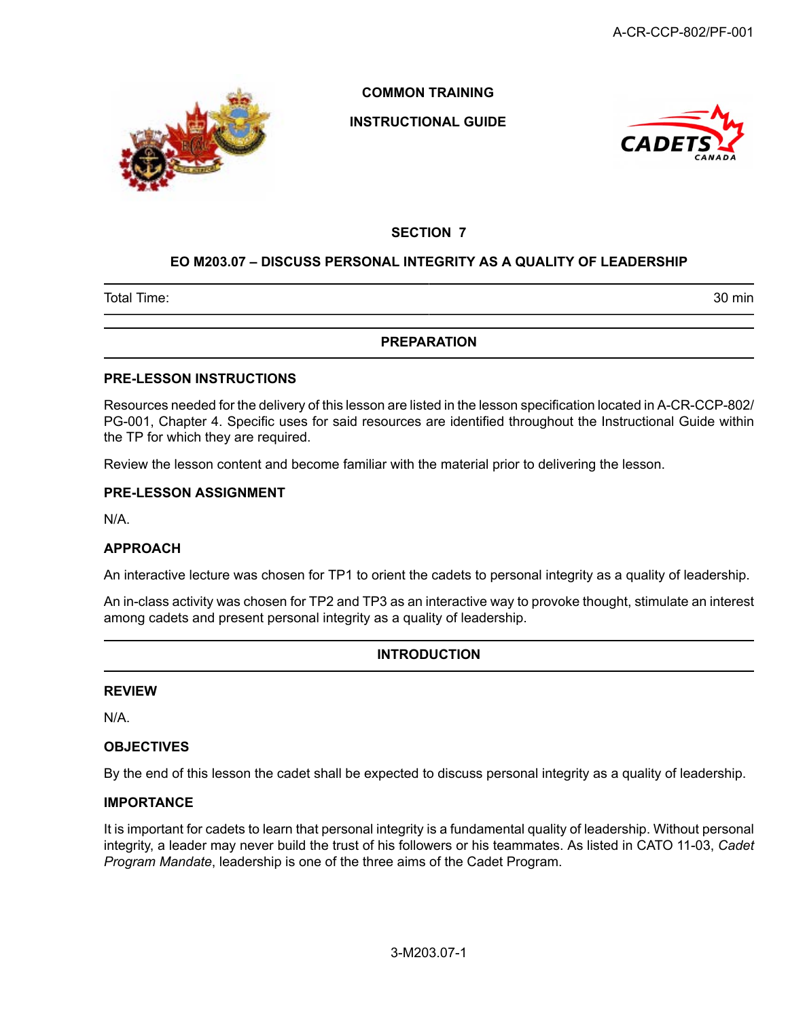

**COMMON TRAINING**

**INSTRUCTIONAL GUIDE**



## **SECTION 7**

# **EO M203.07 – DISCUSS PERSONAL INTEGRITY AS A QUALITY OF LEADERSHIP**

Total Time: 30 min

## **PREPARATION**

#### **PRE-LESSON INSTRUCTIONS**

Resources needed for the delivery of this lesson are listed in the lesson specification located in A-CR-CCP-802/ PG-001, Chapter 4. Specific uses for said resources are identified throughout the Instructional Guide within the TP for which they are required.

Review the lesson content and become familiar with the material prior to delivering the lesson.

#### **PRE-LESSON ASSIGNMENT**

N/A.

#### **APPROACH**

An interactive lecture was chosen for TP1 to orient the cadets to personal integrity as a quality of leadership.

An in-class activity was chosen for TP2 and TP3 as an interactive way to provoke thought, stimulate an interest among cadets and present personal integrity as a quality of leadership.

# **INTRODUCTION**

#### **REVIEW**

N/A.

## **OBJECTIVES**

By the end of this lesson the cadet shall be expected to discuss personal integrity as a quality of leadership.

#### **IMPORTANCE**

It is important for cadets to learn that personal integrity is a fundamental quality of leadership. Without personal integrity, a leader may never build the trust of his followers or his teammates. As listed in CATO 11-03, *Cadet Program Mandate*, leadership is one of the three aims of the Cadet Program.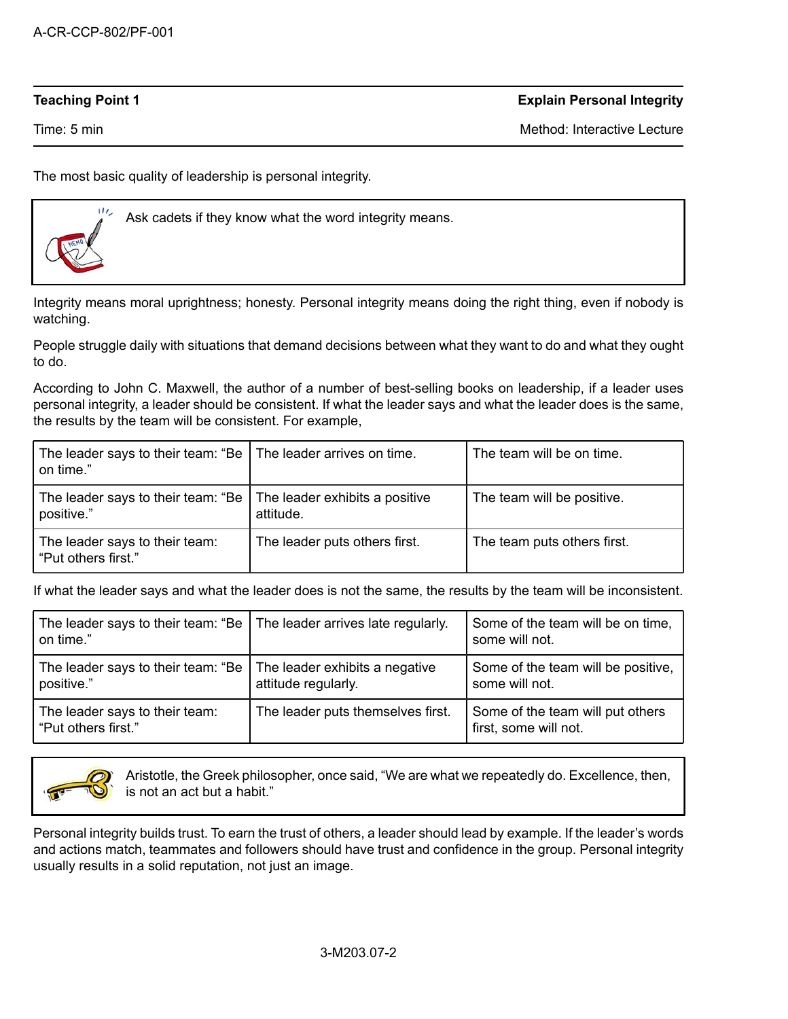**Teaching Point 1 Explain Personal Integrity**

Time: 5 min Method: Interactive Lecture Company of Time: 5 min Method: Interactive Lecture

The most basic quality of leadership is personal integrity.



Ask cadets if they know what the word integrity means.

Integrity means moral uprightness; honesty. Personal integrity means doing the right thing, even if nobody is watching.

People struggle daily with situations that demand decisions between what they want to do and what they ought to do.

According to John C. Maxwell, the author of a number of best-selling books on leadership, if a leader uses personal integrity, a leader should be consistent. If what the leader says and what the leader does is the same, the results by the team will be consistent. For example,

| The leader says to their team: "Be   The leader arrives on time.<br>on time."     |                               | The team will be on time.   |
|-----------------------------------------------------------------------------------|-------------------------------|-----------------------------|
| The leader says to their team: "Be   The leader exhibits a positive<br>positive." | attitude.                     | The team will be positive.  |
| The leader says to their team:<br>"Put others first."                             | The leader puts others first. | The team puts others first. |

If what the leader says and what the leader does is not the same, the results by the team will be inconsistent.

| The leader says to their team: "Be $\vert$ The leader arrives late regularly.<br>on time." |                                   | Some of the team will be on time,<br>some will not.       |
|--------------------------------------------------------------------------------------------|-----------------------------------|-----------------------------------------------------------|
| The leader says to their team: "Be $\vert$ The leader exhibits a negative<br>positive."    | attitude regularly.               | Some of the team will be positive,<br>some will not.      |
| The leader says to their team:<br>"Put others first."                                      | The leader puts themselves first. | Some of the team will put others<br>first, some will not. |



Aristotle, the Greek philosopher, once said, "We are what we repeatedly do. Excellence, then, is not an act but a habit."

Personal integrity builds trust. To earn the trust of others, a leader should lead by example. If the leader's words and actions match, teammates and followers should have trust and confidence in the group. Personal integrity usually results in a solid reputation, not just an image.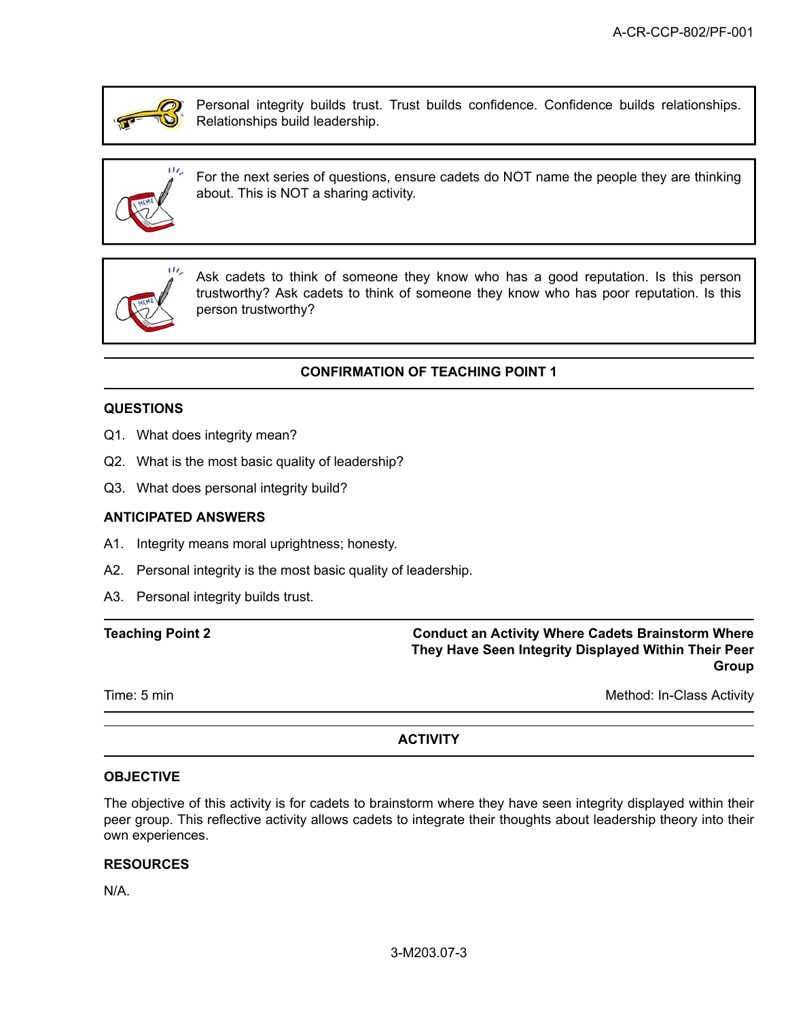

Personal integrity builds trust. Trust builds confidence. Confidence builds relationships. Relationships build leadership.



For the next series of questions, ensure cadets do NOT name the people they are thinking about. This is NOT a sharing activity.



Ask cadets to think of someone they know who has a good reputation. Is this person trustworthy? Ask cadets to think of someone they know who has poor reputation. Is this person trustworthy?

# **CONFIRMATION OF TEACHING POINT 1**

#### **QUESTIONS**

- Q1. What does integrity mean?
- Q2. What is the most basic quality of leadership?
- Q3. What does personal integrity build?

#### **ANTICIPATED ANSWERS**

- A1. Integrity means moral uprightness; honesty.
- A2. Personal integrity is the most basic quality of leadership.
- A3. Personal integrity builds trust.

**Teaching Point 2 Conduct an Activity Where Cadets Brainstorm Where They Have Seen Integrity Displayed Within Their Peer Group** Time: 5 min Method: In-Class Activity

**ACTIVITY**

#### **OBJECTIVE**

The objective of this activity is for cadets to brainstorm where they have seen integrity displayed within their peer group. This reflective activity allows cadets to integrate their thoughts about leadership theory into their own experiences.

#### **RESOURCES**

N/A.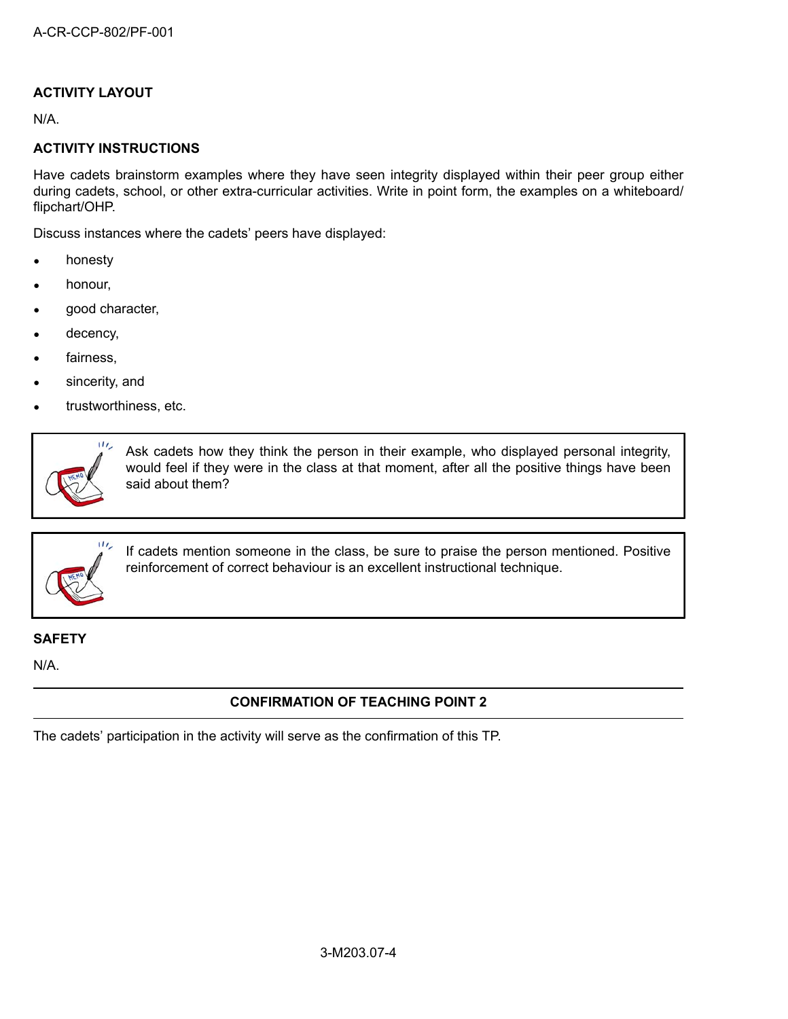# **ACTIVITY LAYOUT**

N/A.

# **ACTIVITY INSTRUCTIONS**

Have cadets brainstorm examples where they have seen integrity displayed within their peer group either during cadets, school, or other extra-curricular activities. Write in point form, the examples on a whiteboard/ flipchart/OHP.

Discuss instances where the cadets' peers have displayed:

- honesty
- honour,
- good character,
- decency,
- fairness,
- sincerity, and
- trustworthiness, etc.



Ask cadets how they think the person in their example, who displayed personal integrity, would feel if they were in the class at that moment, after all the positive things have been said about them?



If cadets mention someone in the class, be sure to praise the person mentioned. Positive reinforcement of correct behaviour is an excellent instructional technique.

## **SAFETY**

N/A.

# **CONFIRMATION OF TEACHING POINT 2**

The cadets' participation in the activity will serve as the confirmation of this TP.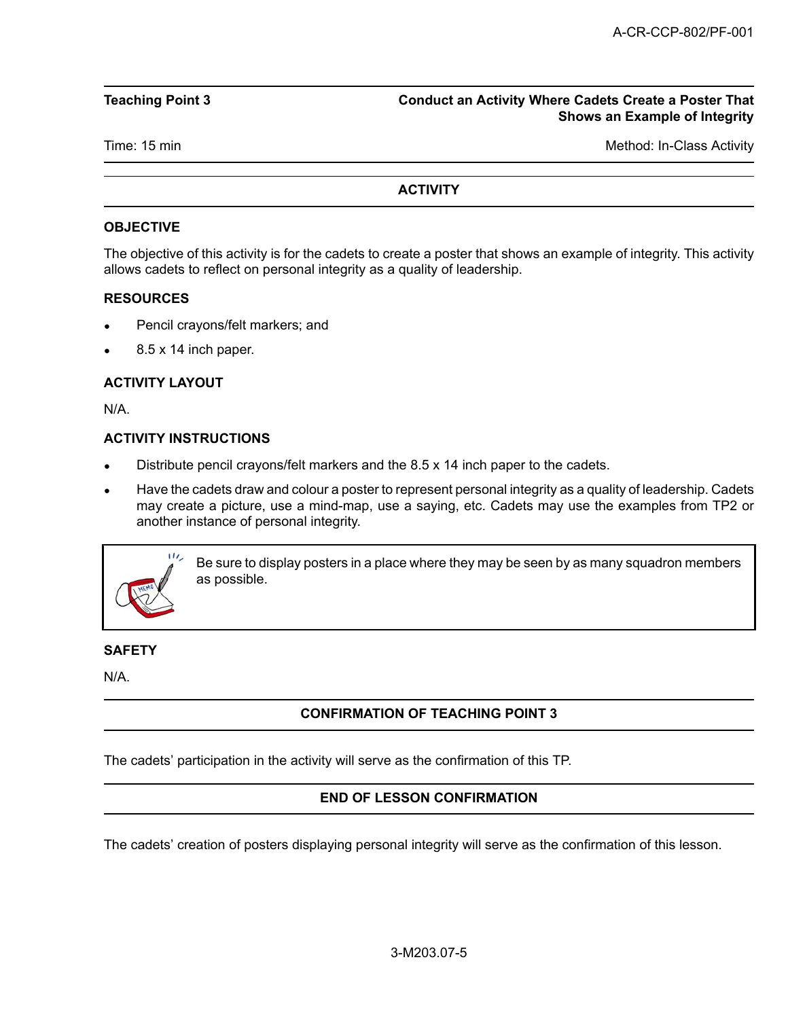#### **Teaching Point 3 Conduct an Activity Where Cadets Create a Poster That Shows an Example of Integrity**

Time: 15 min Method: In-Class Activity

# **ACTIVITY**

#### **OBJECTIVE**

The objective of this activity is for the cadets to create a poster that shows an example of integrity. This activity allows cadets to reflect on personal integrity as a quality of leadership.

#### **RESOURCES**

- Pencil crayons/felt markers; and
- $\bullet$  8.5 x 14 inch paper.

## **ACTIVITY LAYOUT**

N/A.

#### **ACTIVITY INSTRUCTIONS**

- Distribute pencil crayons/felt markers and the 8.5 x 14 inch paper to the cadets.
- Have the cadets draw and colour a poster to represent personal integrity as a quality of leadership. Cadets may create a picture, use a mind-map, use a saying, etc. Cadets may use the examples from TP2 or another instance of personal integrity.



Be sure to display posters in a place where they may be seen by as many squadron members as possible.

# **SAFETY**

N/A.

# **CONFIRMATION OF TEACHING POINT 3**

The cadets' participation in the activity will serve as the confirmation of this TP.

## **END OF LESSON CONFIRMATION**

The cadets' creation of posters displaying personal integrity will serve as the confirmation of this lesson.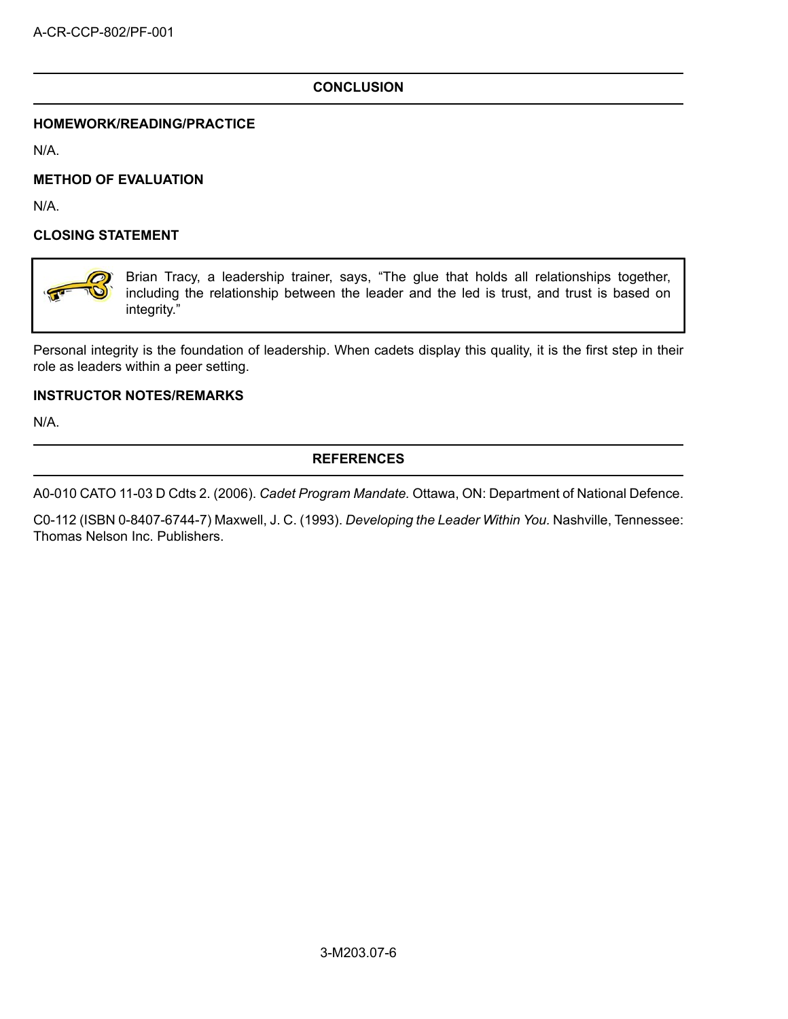# **CONCLUSION**

## **HOMEWORK/READING/PRACTICE**

N/A.

# **METHOD OF EVALUATION**

N/A.

# **CLOSING STATEMENT**



Brian Tracy, a leadership trainer, says, "The glue that holds all relationships together, including the relationship between the leader and the led is trust, and trust is based on integrity."

Personal integrity is the foundation of leadership. When cadets display this quality, it is the first step in their role as leaders within a peer setting.

## **INSTRUCTOR NOTES/REMARKS**

N/A.

# **REFERENCES**

A0-010 CATO 11-03 D Cdts 2. (2006). *Cadet Program Mandate.* Ottawa, ON: Department of National Defence.

C0-112 (ISBN 0-8407-6744-7) Maxwell, J. C. (1993). *Developing the Leader Within You.* Nashville, Tennessee: Thomas Nelson Inc. Publishers.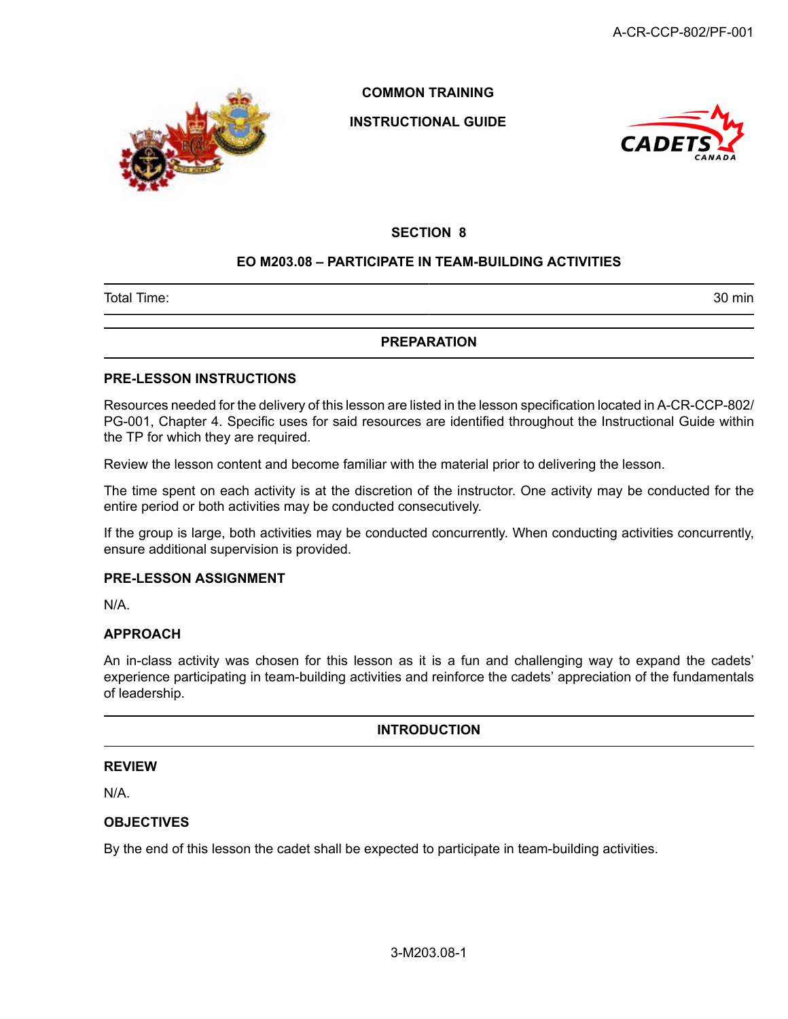

**COMMON TRAINING**

**INSTRUCTIONAL GUIDE**



#### **SECTION 8**

#### **EO M203.08 – PARTICIPATE IN TEAM-BUILDING ACTIVITIES**

Total Time: 30 min

## **PREPARATION**

#### **PRE-LESSON INSTRUCTIONS**

Resources needed for the delivery of this lesson are listed in the lesson specification located in A-CR-CCP-802/ PG-001, Chapter 4. Specific uses for said resources are identified throughout the Instructional Guide within the TP for which they are required.

Review the lesson content and become familiar with the material prior to delivering the lesson.

The time spent on each activity is at the discretion of the instructor. One activity may be conducted for the entire period or both activities may be conducted consecutively.

If the group is large, both activities may be conducted concurrently. When conducting activities concurrently, ensure additional supervision is provided.

#### **PRE-LESSON ASSIGNMENT**

N/A.

#### **APPROACH**

An in-class activity was chosen for this lesson as it is a fun and challenging way to expand the cadets' experience participating in team-building activities and reinforce the cadets' appreciation of the fundamentals of leadership.

## **INTRODUCTION**

#### **REVIEW**

N/A.

#### **OBJECTIVES**

By the end of this lesson the cadet shall be expected to participate in team-building activities.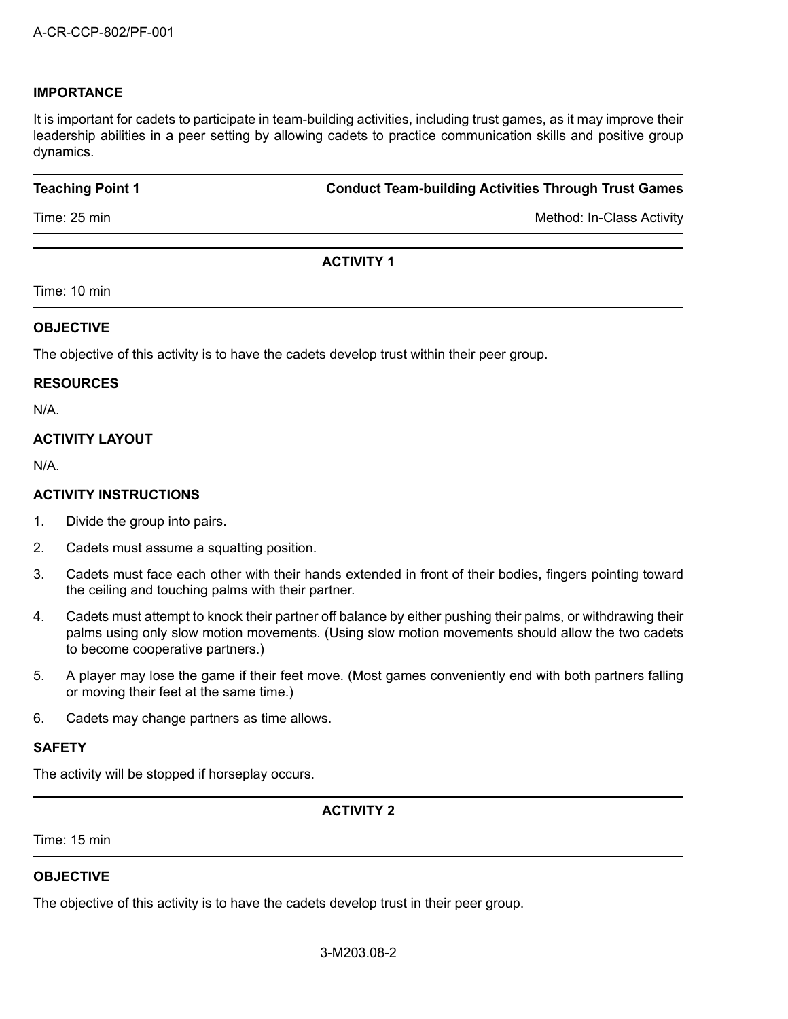## **IMPORTANCE**

It is important for cadets to participate in team-building activities, including trust games, as it may improve their leadership abilities in a peer setting by allowing cadets to practice communication skills and positive group dynamics.

**Teaching Point 1 Conduct Team-building Activities Through Trust Games**

Time: 25 min Method: In-Class Activity

**ACTIVITY 1**

Time: 10 min

#### **OBJECTIVE**

The objective of this activity is to have the cadets develop trust within their peer group.

#### **RESOURCES**

N/A.

## **ACTIVITY LAYOUT**

N/A.

## **ACTIVITY INSTRUCTIONS**

- 1. Divide the group into pairs.
- 2. Cadets must assume a squatting position.
- 3. Cadets must face each other with their hands extended in front of their bodies, fingers pointing toward the ceiling and touching palms with their partner.
- 4. Cadets must attempt to knock their partner off balance by either pushing their palms, or withdrawing their palms using only slow motion movements. (Using slow motion movements should allow the two cadets to become cooperative partners.)
- 5. A player may lose the game if their feet move. (Most games conveniently end with both partners falling or moving their feet at the same time.)
- 6. Cadets may change partners as time allows.

#### **SAFETY**

The activity will be stopped if horseplay occurs.

## **ACTIVITY 2**

Time: 15 min

#### **OBJECTIVE**

The objective of this activity is to have the cadets develop trust in their peer group.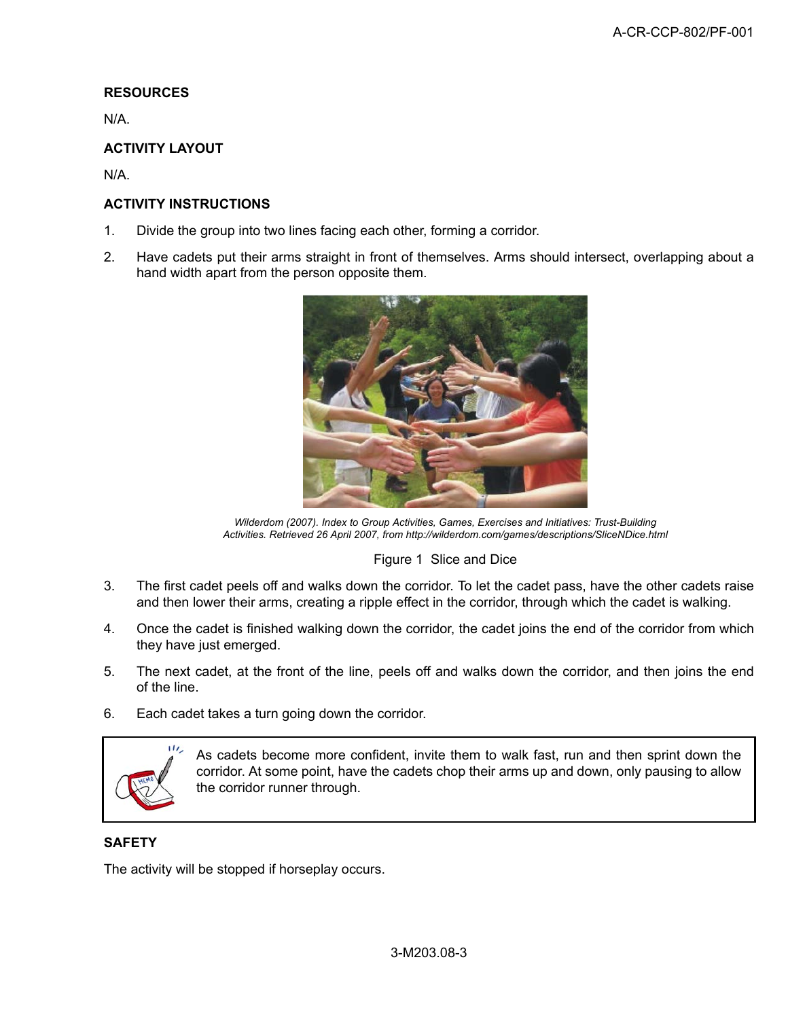# **RESOURCES**

N/A.

# **ACTIVITY LAYOUT**

N/A.

# **ACTIVITY INSTRUCTIONS**

- 1. Divide the group into two lines facing each other, forming a corridor.
- 2. Have cadets put their arms straight in front of themselves. Arms should intersect, overlapping about a hand width apart from the person opposite them.



*Wilderdom (2007). Index to Group Activities, Games, Exercises and Initiatives: Trust-Building Activities. Retrieved 26 April 2007, from http://wilderdom.com/games/descriptions/SliceNDice.html*

# Figure 1 Slice and Dice

- 3. The first cadet peels off and walks down the corridor. To let the cadet pass, have the other cadets raise and then lower their arms, creating a ripple effect in the corridor, through which the cadet is walking.
- 4. Once the cadet is finished walking down the corridor, the cadet joins the end of the corridor from which they have just emerged.
- 5. The next cadet, at the front of the line, peels off and walks down the corridor, and then joins the end of the line.
- 6. Each cadet takes a turn going down the corridor.



As cadets become more confident, invite them to walk fast, run and then sprint down the corridor. At some point, have the cadets chop their arms up and down, only pausing to allow the corridor runner through.

# **SAFETY**

The activity will be stopped if horseplay occurs.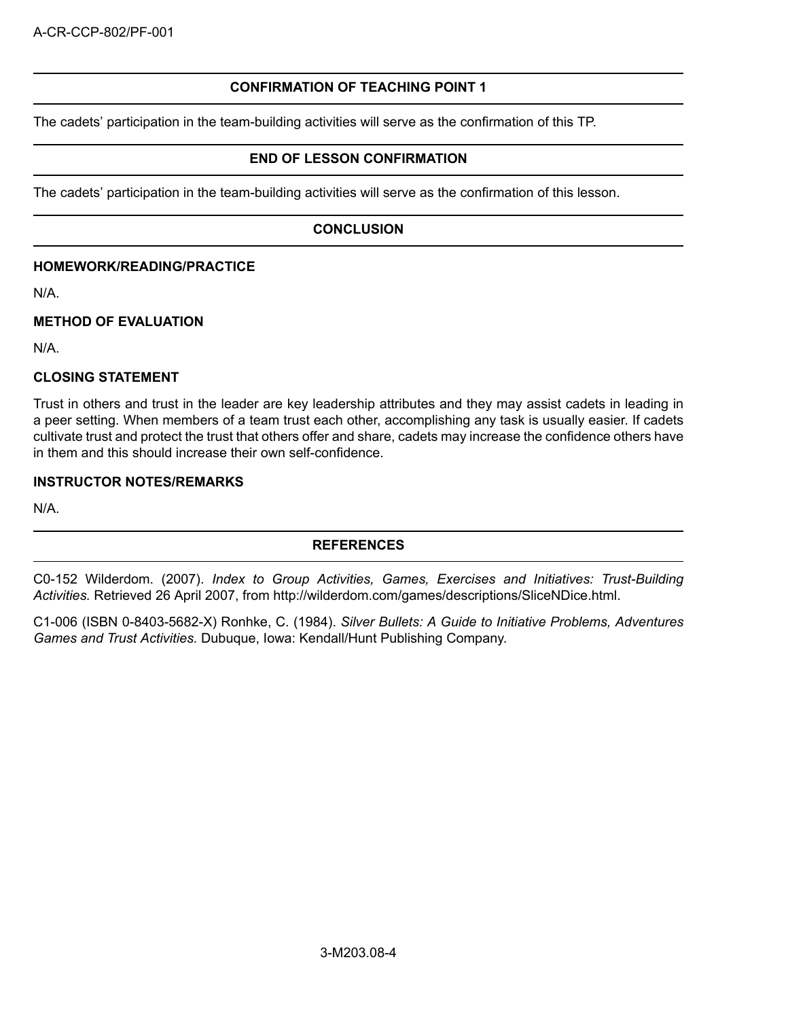# **CONFIRMATION OF TEACHING POINT 1**

The cadets' participation in the team-building activities will serve as the confirmation of this TP.

#### **END OF LESSON CONFIRMATION**

The cadets' participation in the team-building activities will serve as the confirmation of this lesson.

#### **CONCLUSION**

#### **HOMEWORK/READING/PRACTICE**

N/A.

#### **METHOD OF EVALUATION**

N/A.

#### **CLOSING STATEMENT**

Trust in others and trust in the leader are key leadership attributes and they may assist cadets in leading in a peer setting. When members of a team trust each other, accomplishing any task is usually easier. If cadets cultivate trust and protect the trust that others offer and share, cadets may increase the confidence others have in them and this should increase their own self-confidence.

# **INSTRUCTOR NOTES/REMARKS**

N/A.

## **REFERENCES**

C0-152 Wilderdom. (2007). *Index to Group Activities, Games, Exercises and Initiatives: Trust-Building Activities.* Retrieved 26 April 2007, from http://wilderdom.com/games/descriptions/SliceNDice.html.

C1-006 (ISBN 0-8403-5682-X) Ronhke, C. (1984). *Silver Bullets: A Guide to Initiative Problems, Adventures Games and Trust Activities.* Dubuque, Iowa: Kendall/Hunt Publishing Company.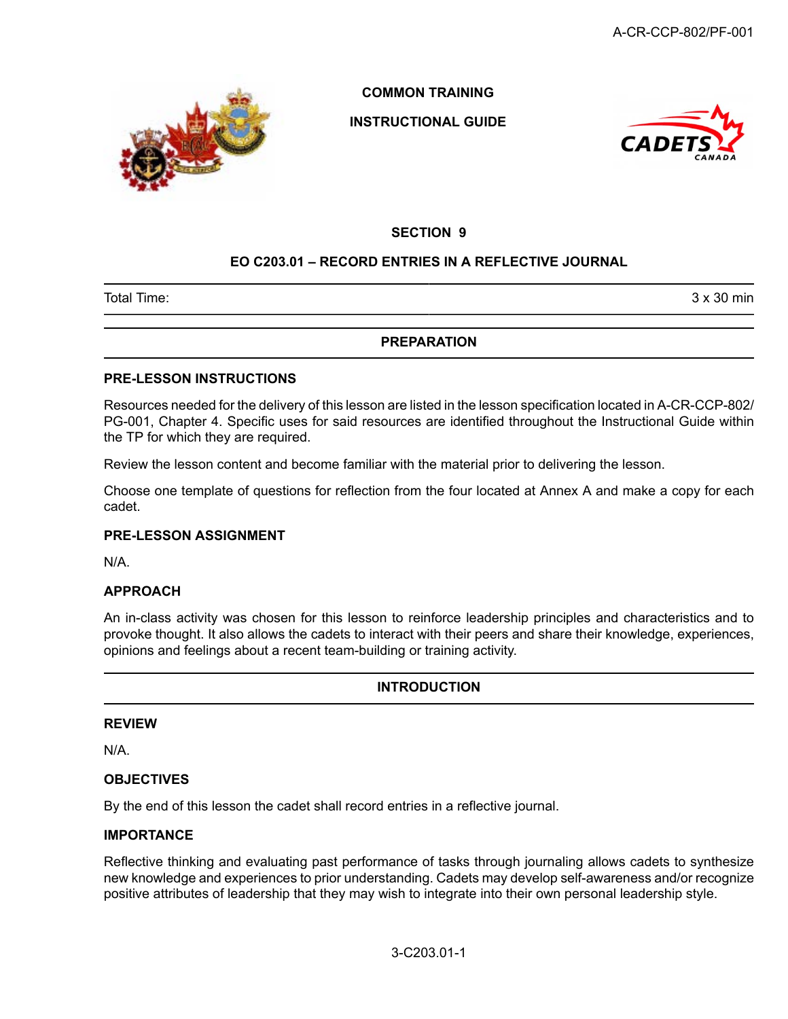

**COMMON TRAINING**

**INSTRUCTIONAL GUIDE**



## **SECTION 9**

## **EO C203.01 – RECORD ENTRIES IN A REFLECTIVE JOURNAL**

Total Time: 3 x 30 min

# **PREPARATION**

#### **PRE-LESSON INSTRUCTIONS**

Resources needed for the delivery of this lesson are listed in the lesson specification located in A-CR-CCP-802/ PG-001, Chapter 4. Specific uses for said resources are identified throughout the Instructional Guide within the TP for which they are required.

Review the lesson content and become familiar with the material prior to delivering the lesson.

Choose one template of questions for reflection from the four located at Annex A and make a copy for each cadet.

#### **PRE-LESSON ASSIGNMENT**

N/A.

#### **APPROACH**

An in-class activity was chosen for this lesson to reinforce leadership principles and characteristics and to provoke thought. It also allows the cadets to interact with their peers and share their knowledge, experiences, opinions and feelings about a recent team-building or training activity.

## **INTRODUCTION**

#### **REVIEW**

N/A.

#### **OBJECTIVES**

By the end of this lesson the cadet shall record entries in a reflective journal.

#### **IMPORTANCE**

Reflective thinking and evaluating past performance of tasks through journaling allows cadets to synthesize new knowledge and experiences to prior understanding. Cadets may develop self-awareness and/or recognize positive attributes of leadership that they may wish to integrate into their own personal leadership style.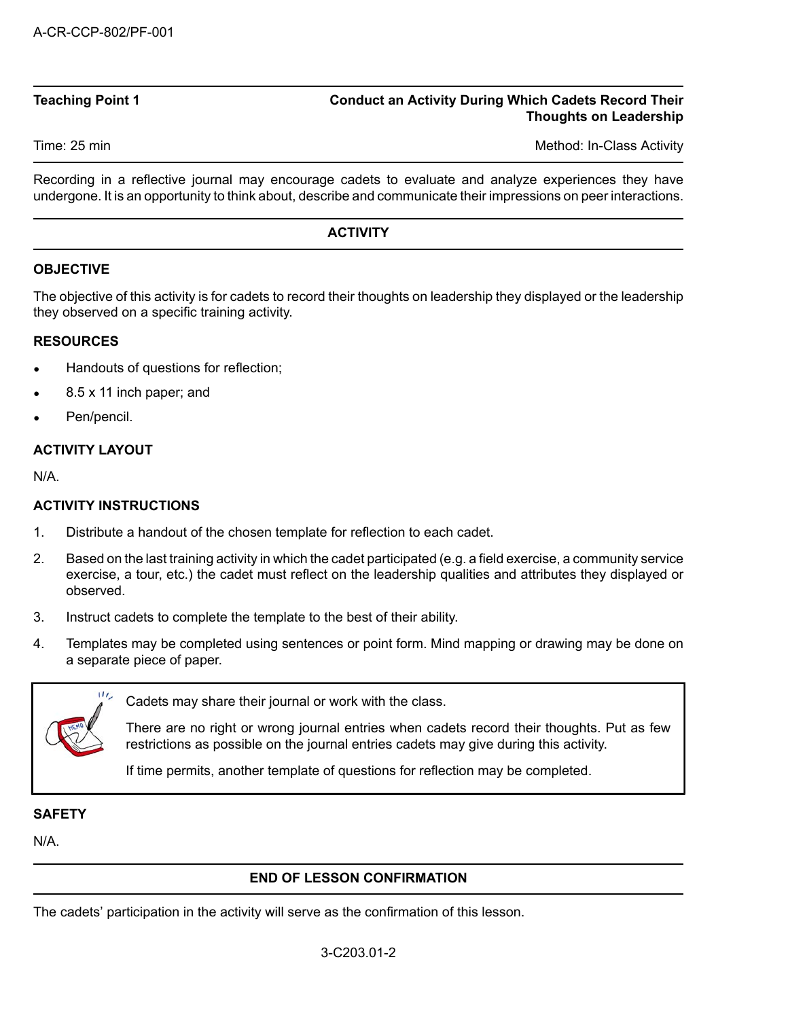## **Teaching Point 1 Conduct an Activity During Which Cadets Record Their Thoughts on Leadership**

Time: 25 min Method: In-Class Activity

Recording in a reflective journal may encourage cadets to evaluate and analyze experiences they have undergone. It is an opportunity to think about, describe and communicate their impressions on peer interactions.

# **ACTIVITY**

# **OBJECTIVE**

The objective of this activity is for cadets to record their thoughts on leadership they displayed or the leadership they observed on a specific training activity.

# **RESOURCES**

- Handouts of questions for reflection;
- 8.5 x 11 inch paper; and
- Pen/pencil.

# **ACTIVITY LAYOUT**

N/A.

# **ACTIVITY INSTRUCTIONS**

- 1. Distribute a handout of the chosen template for reflection to each cadet.
- 2. Based on the last training activity in which the cadet participated (e.g. a field exercise, a community service exercise, a tour, etc.) the cadet must reflect on the leadership qualities and attributes they displayed or observed.
- 3. Instruct cadets to complete the template to the best of their ability.
- 4. Templates may be completed using sentences or point form. Mind mapping or drawing may be done on a separate piece of paper.



Cadets may share their journal or work with the class.

There are no right or wrong journal entries when cadets record their thoughts. Put as few restrictions as possible on the journal entries cadets may give during this activity.

If time permits, another template of questions for reflection may be completed.

# **SAFETY**

N/A.

## **END OF LESSON CONFIRMATION**

The cadets' participation in the activity will serve as the confirmation of this lesson.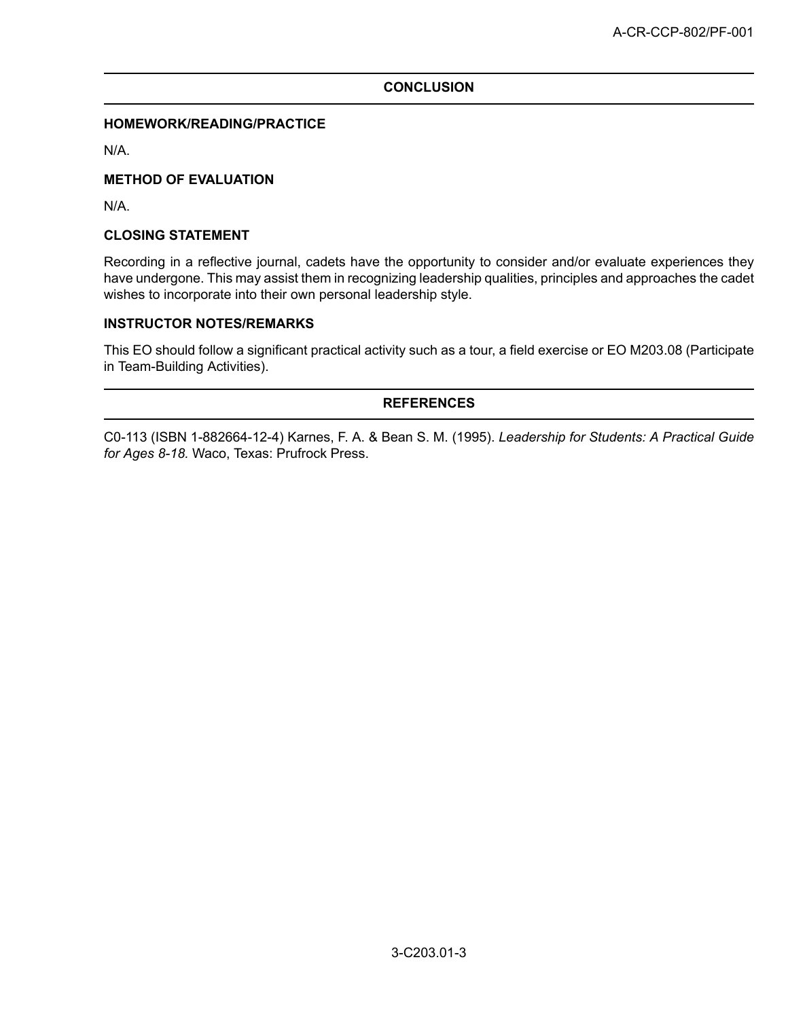# **CONCLUSION**

#### **HOMEWORK/READING/PRACTICE**

N/A.

#### **METHOD OF EVALUATION**

N/A.

#### **CLOSING STATEMENT**

Recording in a reflective journal, cadets have the opportunity to consider and/or evaluate experiences they have undergone. This may assist them in recognizing leadership qualities, principles and approaches the cadet wishes to incorporate into their own personal leadership style.

#### **INSTRUCTOR NOTES/REMARKS**

This EO should follow a significant practical activity such as a tour, a field exercise or EO M203.08 (Participate in Team-Building Activities).

#### **REFERENCES**

C0-113 (ISBN 1-882664-12-4) Karnes, F. A. & Bean S. M. (1995). *Leadership for Students: A Practical Guide for Ages 8-18.* Waco, Texas: Prufrock Press.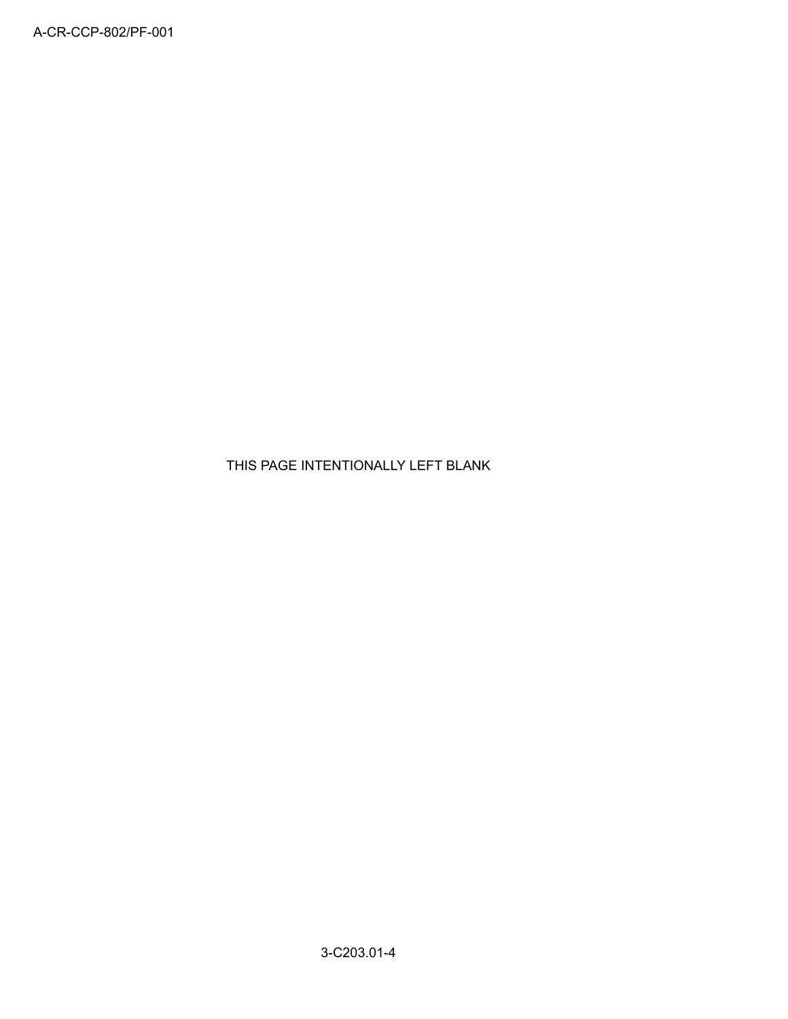THIS PAGE INTENTIONALLY LEFT BLANK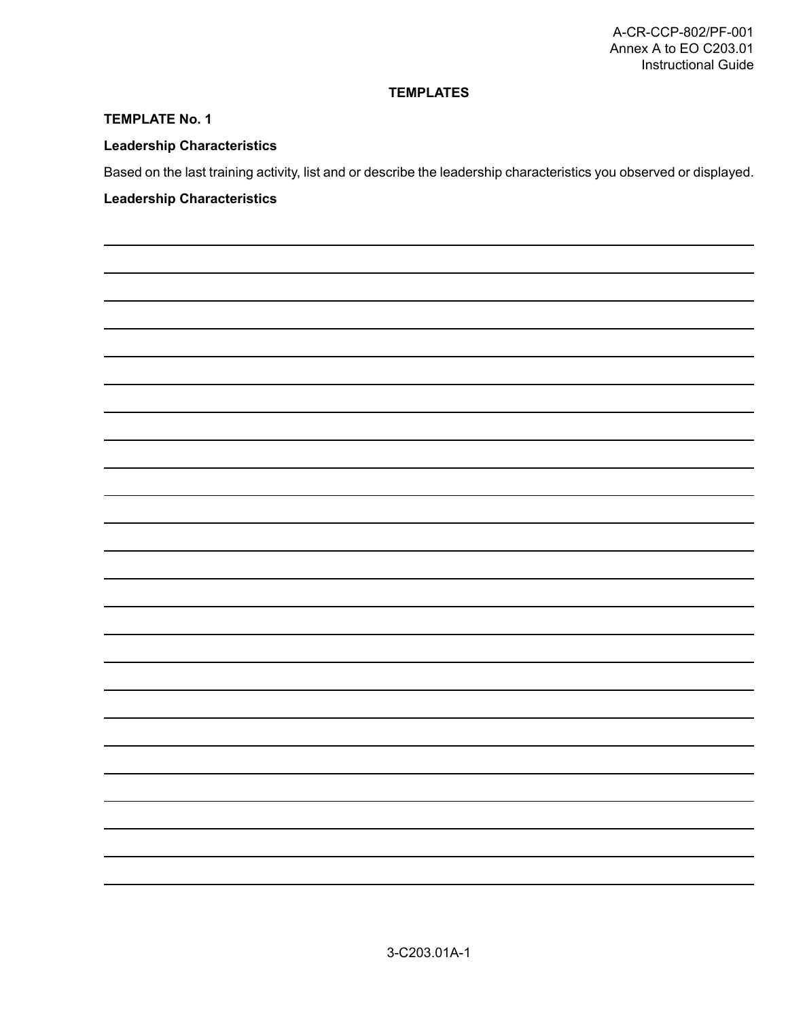# **TEMPLATES**

## **TEMPLATE No. 1**

#### **Leadership Characteristics**

Based on the last training activity, list and or describe the leadership characteristics you observed or displayed.

# **Leadership Characteristics**

3-C203.01A-1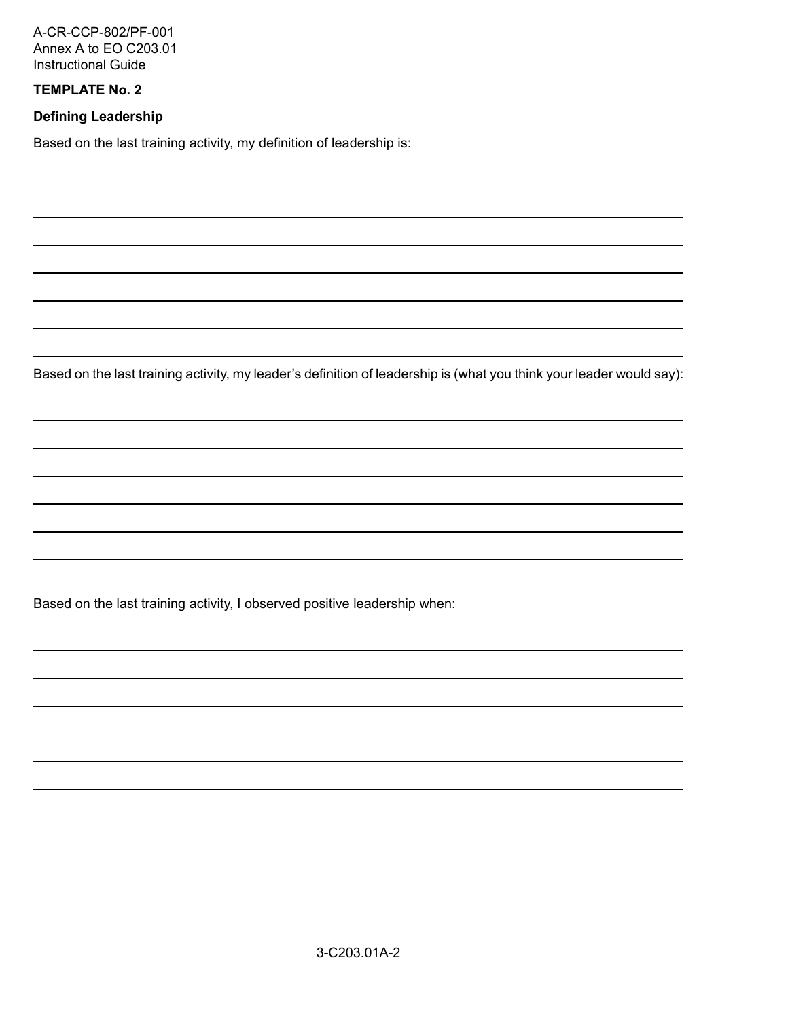A-CR-CCP-802/PF-001 Annex A to EO C203.01 Instructional Guide

## **TEMPLATE No. 2**

# **Defining Leadership**

Based on the last training activity, my definition of leadership is:

Based on the last training activity, my leader's definition of leadership is (what you think your leader would say):

Based on the last training activity, I observed positive leadership when:

3-C203.01A-2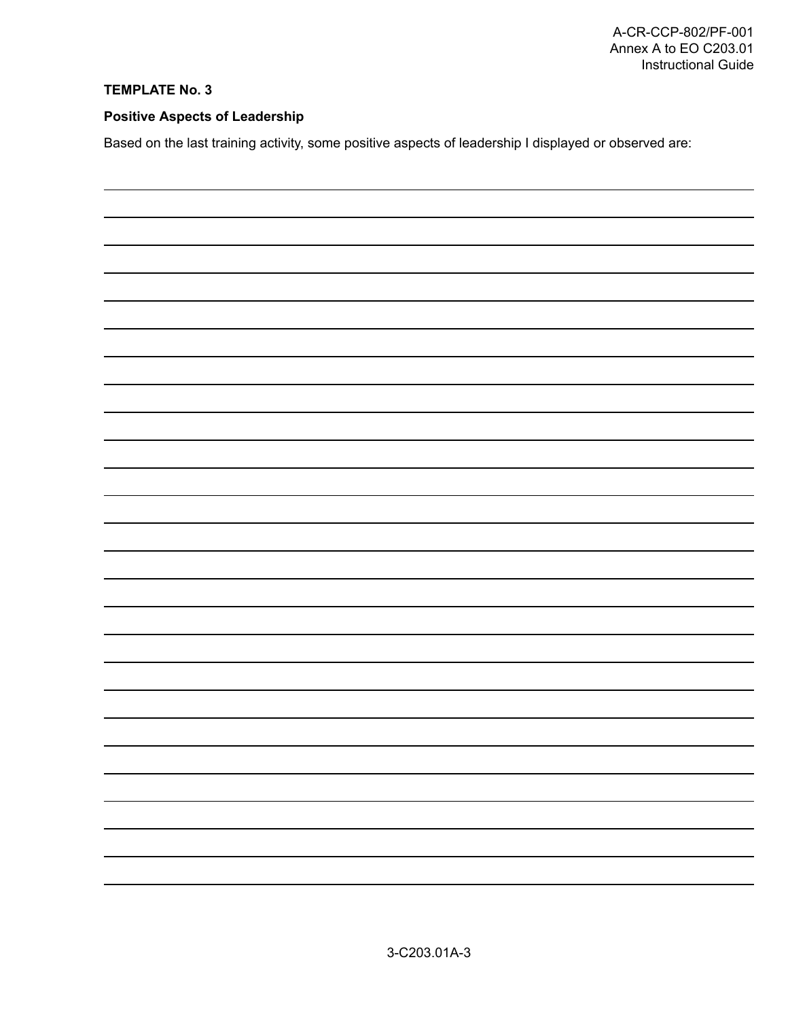# **TEMPLATE No. 3**

# **Positive Aspects of Leadership**

Based on the last training activity, some positive aspects of leadership I displayed or observed are: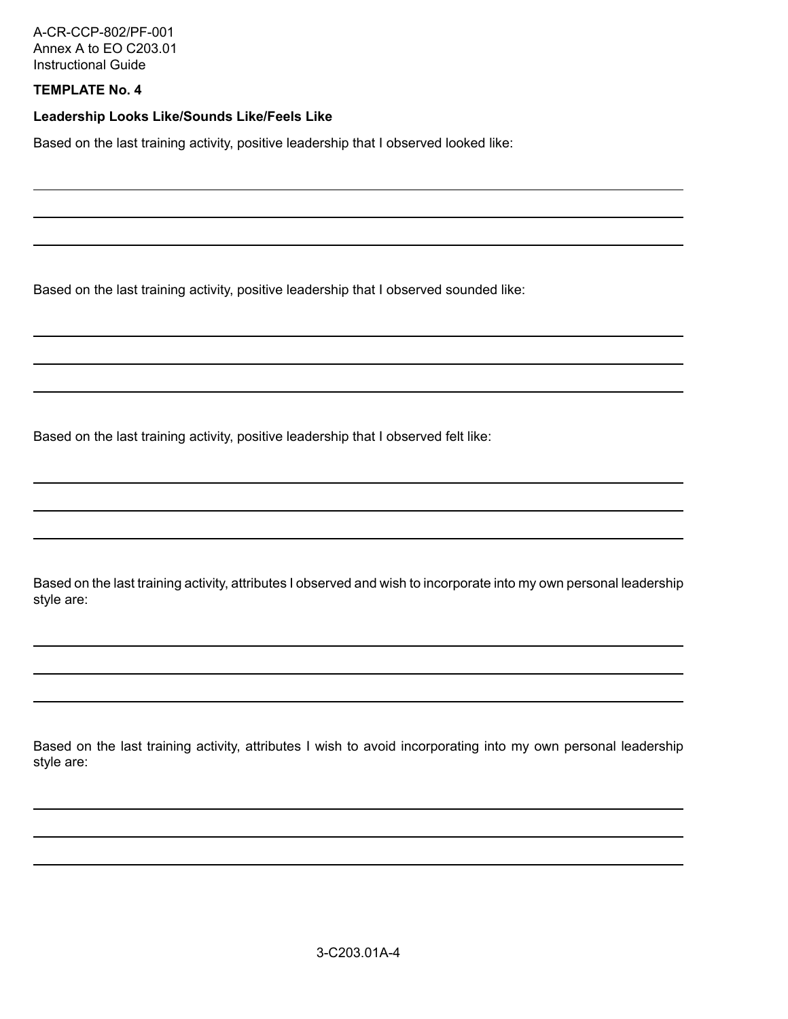A-CR-CCP-802/PF-001 Annex A to EO C203.01 Instructional Guide

#### **TEMPLATE No. 4**

#### **Leadership Looks Like/Sounds Like/Feels Like**

Based on the last training activity, positive leadership that I observed looked like:

Based on the last training activity, positive leadership that I observed sounded like:

Based on the last training activity, positive leadership that I observed felt like:

Based on the last training activity, attributes I observed and wish to incorporate into my own personal leadership style are:

Based on the last training activity, attributes I wish to avoid incorporating into my own personal leadership style are: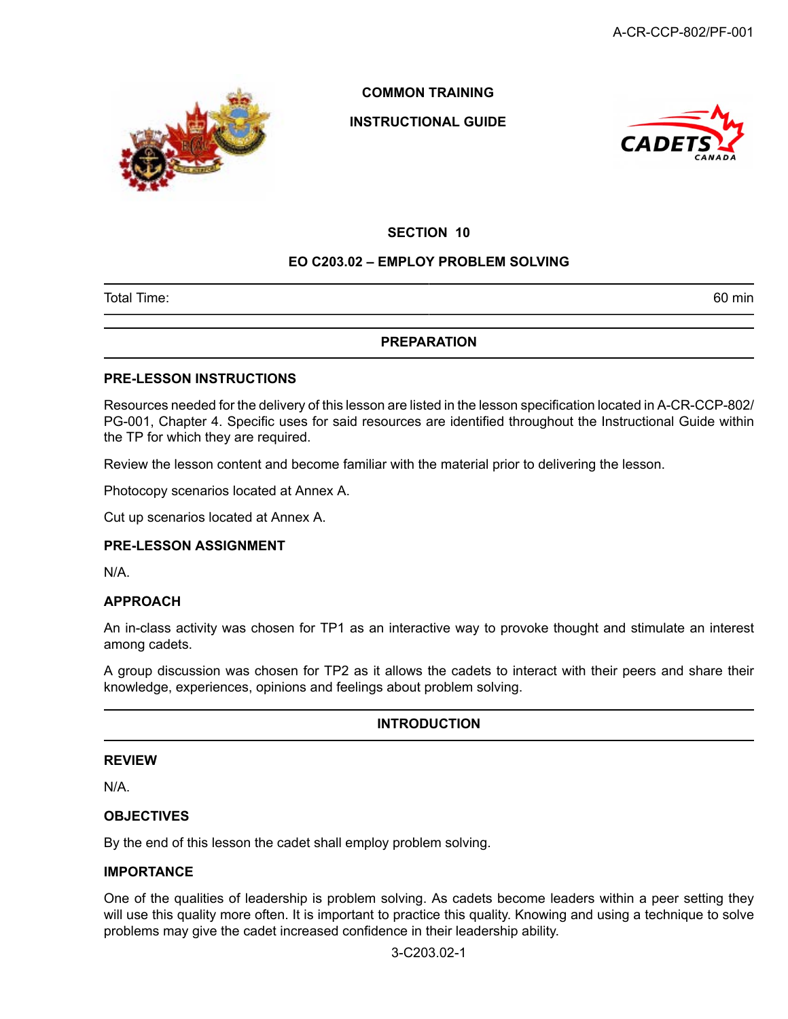

**COMMON TRAINING**

**INSTRUCTIONAL GUIDE**



# **SECTION 10**

#### **EO C203.02 – EMPLOY PROBLEM SOLVING**

Total Time: 60 min

# **PREPARATION**

#### **PRE-LESSON INSTRUCTIONS**

Resources needed for the delivery of this lesson are listed in the lesson specification located in A-CR-CCP-802/ PG-001, Chapter 4. Specific uses for said resources are identified throughout the Instructional Guide within the TP for which they are required.

Review the lesson content and become familiar with the material prior to delivering the lesson.

Photocopy scenarios located at Annex A.

Cut up scenarios located at Annex A.

#### **PRE-LESSON ASSIGNMENT**

N/A.

#### **APPROACH**

An in-class activity was chosen for TP1 as an interactive way to provoke thought and stimulate an interest among cadets.

A group discussion was chosen for TP2 as it allows the cadets to interact with their peers and share their knowledge, experiences, opinions and feelings about problem solving.

### **INTRODUCTION**

#### **REVIEW**

N/A.

#### **OBJECTIVES**

By the end of this lesson the cadet shall employ problem solving.

#### **IMPORTANCE**

One of the qualities of leadership is problem solving. As cadets become leaders within a peer setting they will use this quality more often. It is important to practice this quality. Knowing and using a technique to solve problems may give the cadet increased confidence in their leadership ability.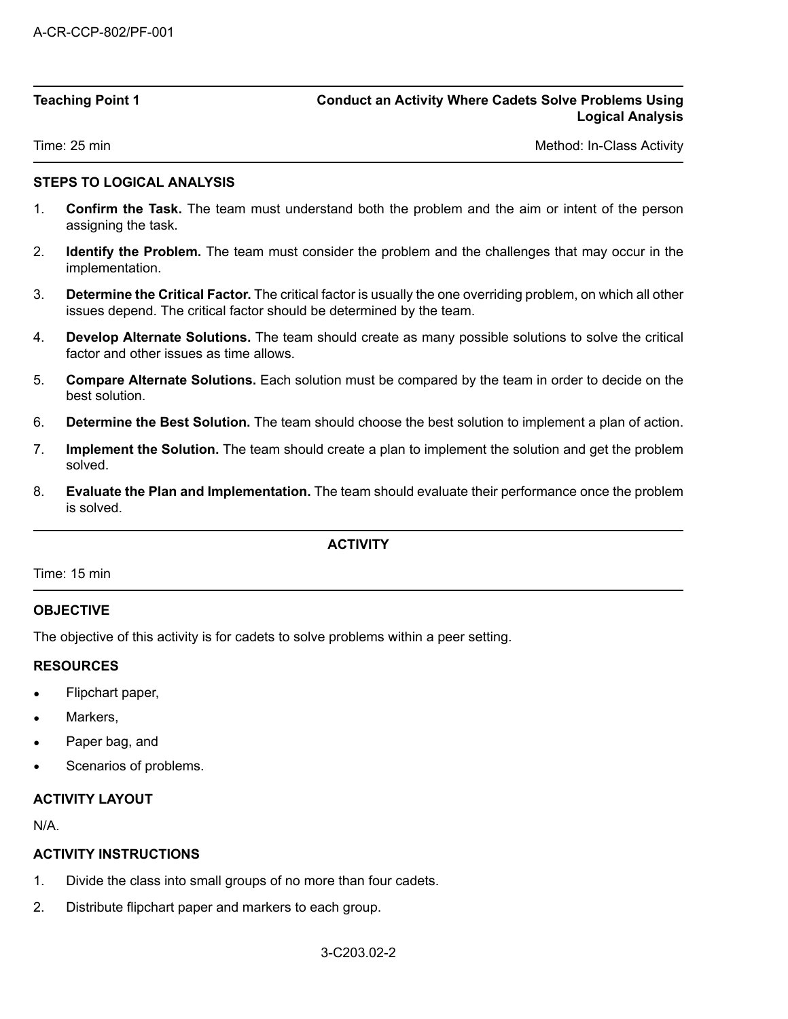# **Teaching Point 1 Conduct an Activity Where Cadets Solve Problems Using Logical Analysis**

Time: 25 min Method: In-Class Activity

# **STEPS TO LOGICAL ANALYSIS**

- 1. **Confirm the Task.** The team must understand both the problem and the aim or intent of the person assigning the task.
- 2. **Identify the Problem.** The team must consider the problem and the challenges that may occur in the implementation.
- 3. **Determine the Critical Factor.** The critical factor is usually the one overriding problem, on which all other issues depend. The critical factor should be determined by the team.
- 4. **Develop Alternate Solutions.** The team should create as many possible solutions to solve the critical factor and other issues as time allows.
- 5. **Compare Alternate Solutions.** Each solution must be compared by the team in order to decide on the best solution.
- 6. **Determine the Best Solution.** The team should choose the best solution to implement a plan of action.
- 7. **Implement the Solution.** The team should create a plan to implement the solution and get the problem solved.
- 8. **Evaluate the Plan and Implementation.** The team should evaluate their performance once the problem is solved.

**ACTIVITY**

Time: 15 min

### **OBJECTIVE**

The objective of this activity is for cadets to solve problems within a peer setting.

# **RESOURCES**

- Flipchart paper,
- Markers.
- Paper bag, and
- Scenarios of problems.

# **ACTIVITY LAYOUT**

N/A.

# **ACTIVITY INSTRUCTIONS**

- 1. Divide the class into small groups of no more than four cadets.
- 2. Distribute flipchart paper and markers to each group.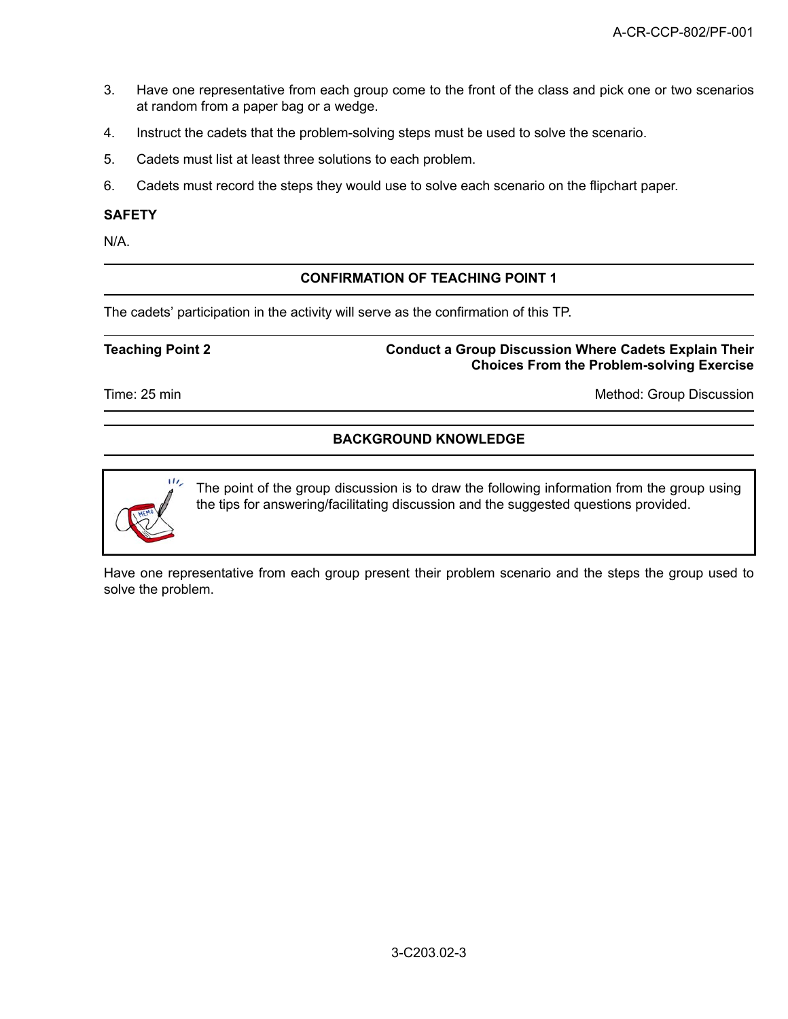- 3. Have one representative from each group come to the front of the class and pick one or two scenarios at random from a paper bag or a wedge.
- 4. Instruct the cadets that the problem-solving steps must be used to solve the scenario.
- 5. Cadets must list at least three solutions to each problem.
- 6. Cadets must record the steps they would use to solve each scenario on the flipchart paper.

# **SAFETY**

N/A.

# **CONFIRMATION OF TEACHING POINT 1**

The cadets' participation in the activity will serve as the confirmation of this TP.

#### **Teaching Point 2 Conduct a Group Discussion Where Cadets Explain Their Choices From the Problem-solving Exercise**

Time: 25 min Method: Group Discussion Nethod: Group Discussion

# **BACKGROUND KNOWLEDGE**



The point of the group discussion is to draw the following information from the group using the tips for answering/facilitating discussion and the suggested questions provided.

Have one representative from each group present their problem scenario and the steps the group used to solve the problem.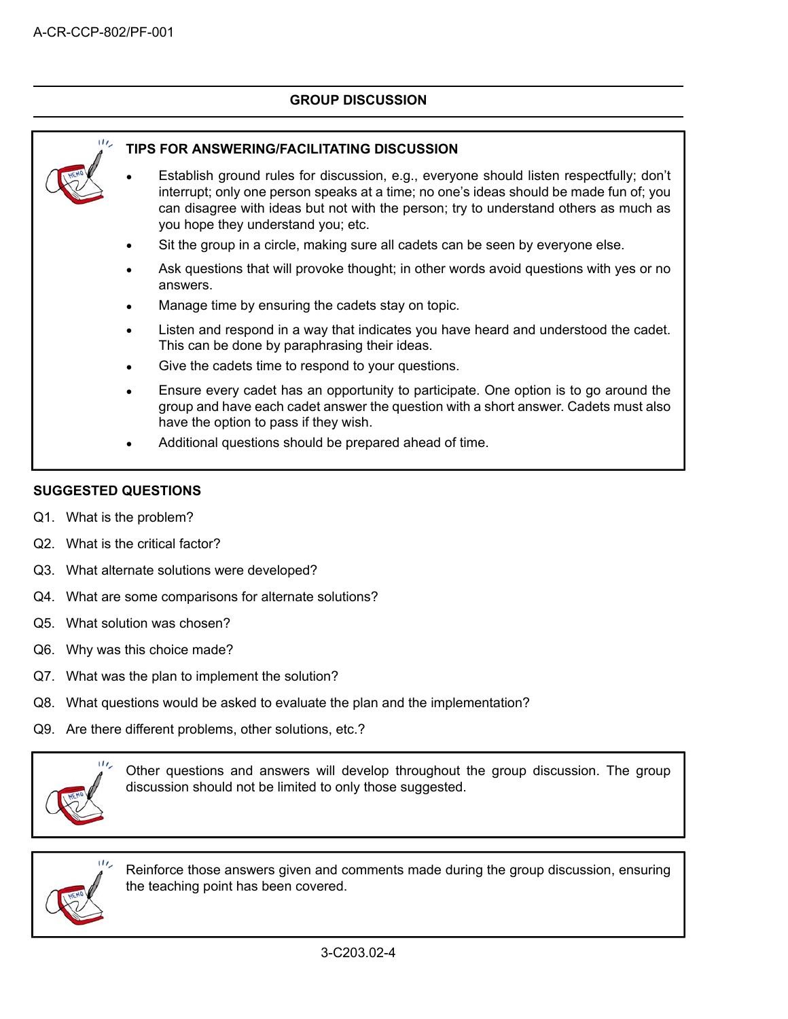# **GROUP DISCUSSION**



# **TIPS FOR ANSWERING/FACILITATING DISCUSSION**

- Establish ground rules for discussion, e.g., everyone should listen respectfully; don't interrupt; only one person speaks at a time; no one's ideas should be made fun of; you can disagree with ideas but not with the person; try to understand others as much as you hope they understand you; etc.
- Sit the group in a circle, making sure all cadets can be seen by everyone else.
- Ask questions that will provoke thought; in other words avoid questions with yes or no answers.
- Manage time by ensuring the cadets stay on topic.
- Listen and respond in a way that indicates you have heard and understood the cadet. This can be done by paraphrasing their ideas.
- Give the cadets time to respond to your questions.
- Ensure every cadet has an opportunity to participate. One option is to go around the group and have each cadet answer the question with a short answer. Cadets must also have the option to pass if they wish.
- Additional questions should be prepared ahead of time.

# **SUGGESTED QUESTIONS**

- Q1. What is the problem?
- Q2. What is the critical factor?
- Q3. What alternate solutions were developed?
- Q4. What are some comparisons for alternate solutions?
- Q5. What solution was chosen?
- Q6. Why was this choice made?
- Q7. What was the plan to implement the solution?
- Q8. What questions would be asked to evaluate the plan and the implementation?
- Q9. Are there different problems, other solutions, etc.?



Other questions and answers will develop throughout the group discussion. The group discussion should not be limited to only those suggested.



Reinforce those answers given and comments made during the group discussion, ensuring the teaching point has been covered.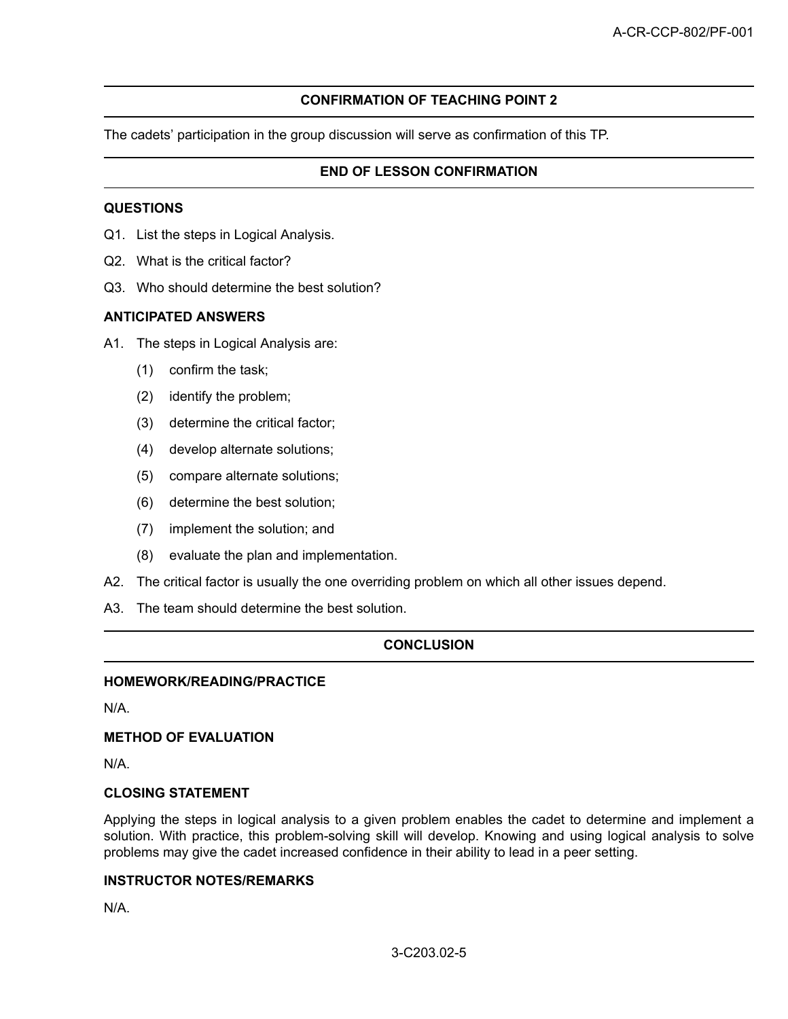# **CONFIRMATION OF TEACHING POINT 2**

The cadets' participation in the group discussion will serve as confirmation of this TP.

#### **END OF LESSON CONFIRMATION**

#### **QUESTIONS**

- Q1. List the steps in Logical Analysis.
- Q2. What is the critical factor?
- Q3. Who should determine the best solution?

#### **ANTICIPATED ANSWERS**

- A1. The steps in Logical Analysis are:
	- (1) confirm the task;
	- (2) identify the problem;
	- (3) determine the critical factor;
	- (4) develop alternate solutions;
	- (5) compare alternate solutions;
	- (6) determine the best solution;
	- (7) implement the solution; and
	- (8) evaluate the plan and implementation.
- A2. The critical factor is usually the one overriding problem on which all other issues depend.
- A3. The team should determine the best solution.

### **CONCLUSION**

### **HOMEWORK/READING/PRACTICE**

N/A.

#### **METHOD OF EVALUATION**

N/A.

### **CLOSING STATEMENT**

Applying the steps in logical analysis to a given problem enables the cadet to determine and implement a solution. With practice, this problem-solving skill will develop. Knowing and using logical analysis to solve problems may give the cadet increased confidence in their ability to lead in a peer setting.

#### **INSTRUCTOR NOTES/REMARKS**

N/A.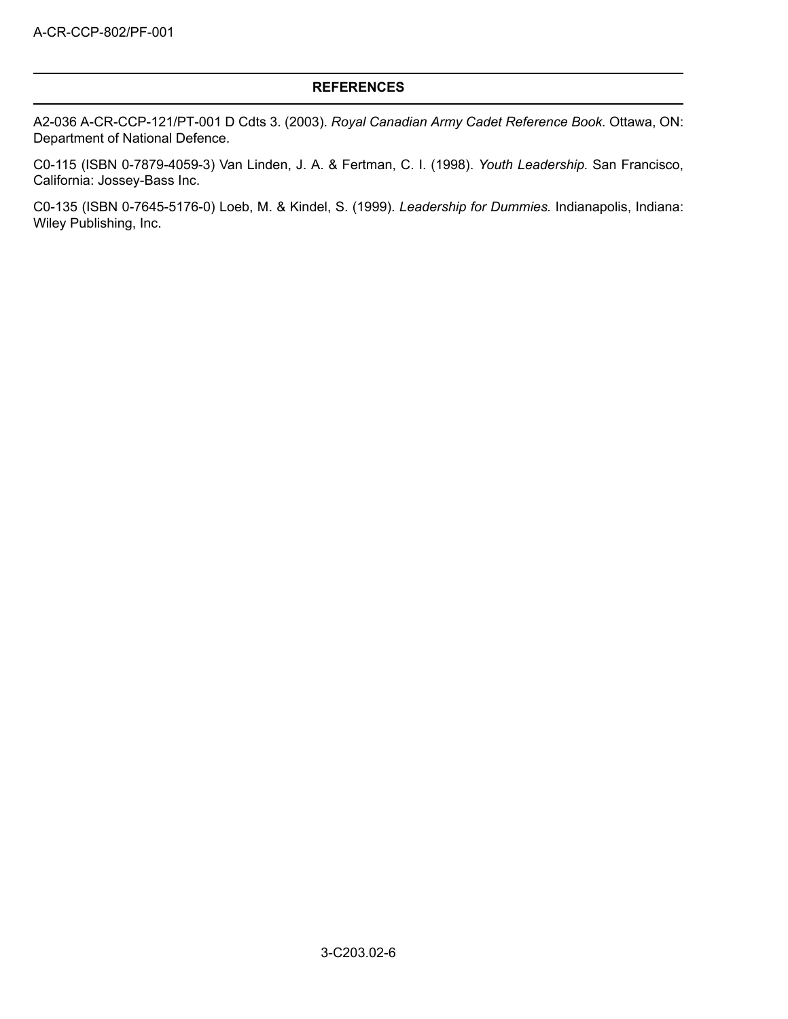# **REFERENCES**

A2-036 A-CR-CCP-121/PT-001 D Cdts 3. (2003). *Royal Canadian Army Cadet Reference Book.* Ottawa, ON: Department of National Defence.

C0-115 (ISBN 0-7879-4059-3) Van Linden, J. A. & Fertman, C. I. (1998). *Youth Leadership.* San Francisco, California: Jossey-Bass Inc.

C0-135 (ISBN 0-7645-5176-0) Loeb, M. & Kindel, S. (1999). *Leadership for Dummies.* Indianapolis, Indiana: Wiley Publishing, Inc.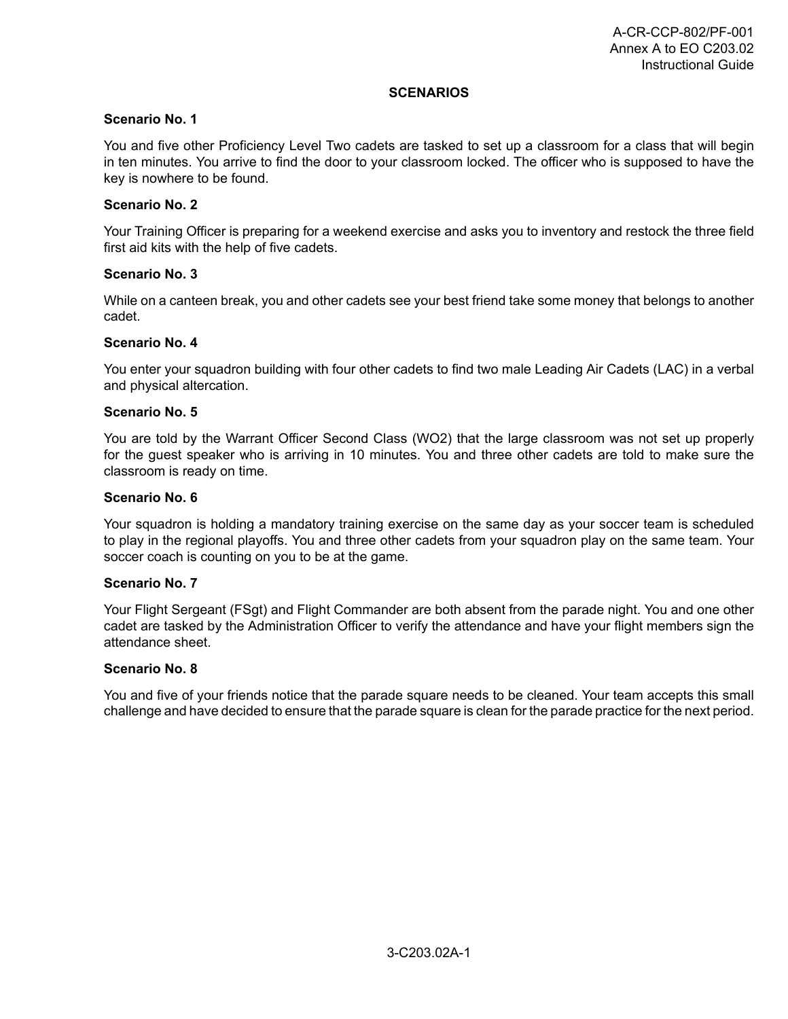#### **SCENARIOS**

#### **Scenario No. 1**

You and five other Proficiency Level Two cadets are tasked to set up a classroom for a class that will begin in ten minutes. You arrive to find the door to your classroom locked. The officer who is supposed to have the key is nowhere to be found.

#### **Scenario No. 2**

Your Training Officer is preparing for a weekend exercise and asks you to inventory and restock the three field first aid kits with the help of five cadets.

#### **Scenario No. 3**

While on a canteen break, you and other cadets see your best friend take some money that belongs to another cadet.

#### **Scenario No. 4**

You enter your squadron building with four other cadets to find two male Leading Air Cadets (LAC) in a verbal and physical altercation.

#### **Scenario No. 5**

You are told by the Warrant Officer Second Class (WO2) that the large classroom was not set up properly for the guest speaker who is arriving in 10 minutes. You and three other cadets are told to make sure the classroom is ready on time.

#### **Scenario No. 6**

Your squadron is holding a mandatory training exercise on the same day as your soccer team is scheduled to play in the regional playoffs. You and three other cadets from your squadron play on the same team. Your soccer coach is counting on you to be at the game.

#### **Scenario No. 7**

Your Flight Sergeant (FSgt) and Flight Commander are both absent from the parade night. You and one other cadet are tasked by the Administration Officer to verify the attendance and have your flight members sign the attendance sheet.

#### **Scenario No. 8**

You and five of your friends notice that the parade square needs to be cleaned. Your team accepts this small challenge and have decided to ensure that the parade square is clean for the parade practice for the next period.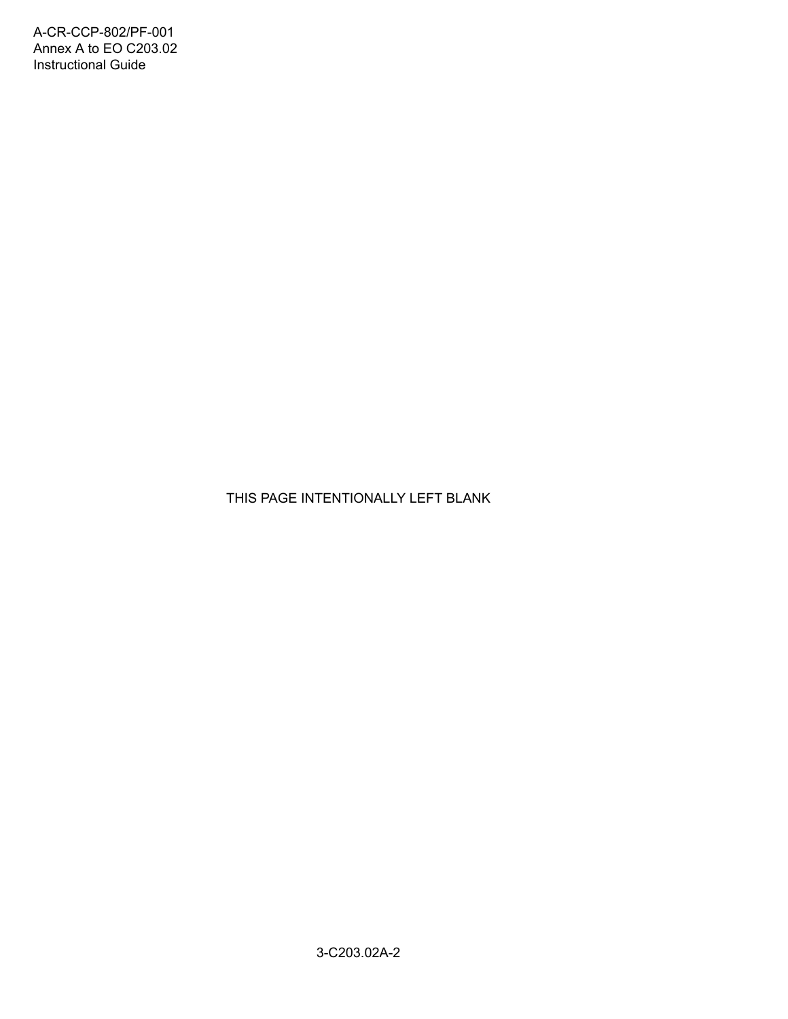THIS PAGE INTENTIONALLY LEFT BLANK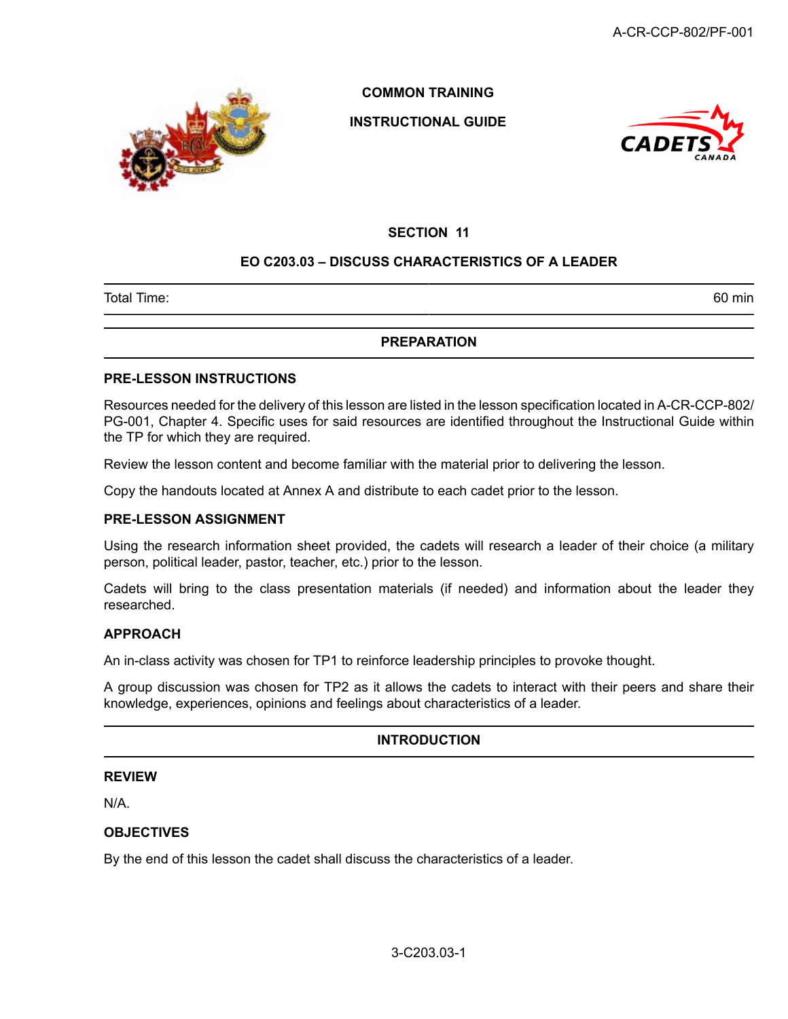

**COMMON TRAINING**

**INSTRUCTIONAL GUIDE**



### **SECTION 11**

# **EO C203.03 – DISCUSS CHARACTERISTICS OF A LEADER**

Total Time: 60 min

# **PREPARATION**

#### **PRE-LESSON INSTRUCTIONS**

Resources needed for the delivery of this lesson are listed in the lesson specification located in A-CR-CCP-802/ PG-001, Chapter 4. Specific uses for said resources are identified throughout the Instructional Guide within the TP for which they are required.

Review the lesson content and become familiar with the material prior to delivering the lesson.

Copy the handouts located at Annex A and distribute to each cadet prior to the lesson.

#### **PRE-LESSON ASSIGNMENT**

Using the research information sheet provided, the cadets will research a leader of their choice (a military person, political leader, pastor, teacher, etc.) prior to the lesson.

Cadets will bring to the class presentation materials (if needed) and information about the leader they researched.

#### **APPROACH**

An in-class activity was chosen for TP1 to reinforce leadership principles to provoke thought.

A group discussion was chosen for TP2 as it allows the cadets to interact with their peers and share their knowledge, experiences, opinions and feelings about characteristics of a leader.

# **INTRODUCTION**

#### **REVIEW**

N/A.

#### **OBJECTIVES**

By the end of this lesson the cadet shall discuss the characteristics of a leader.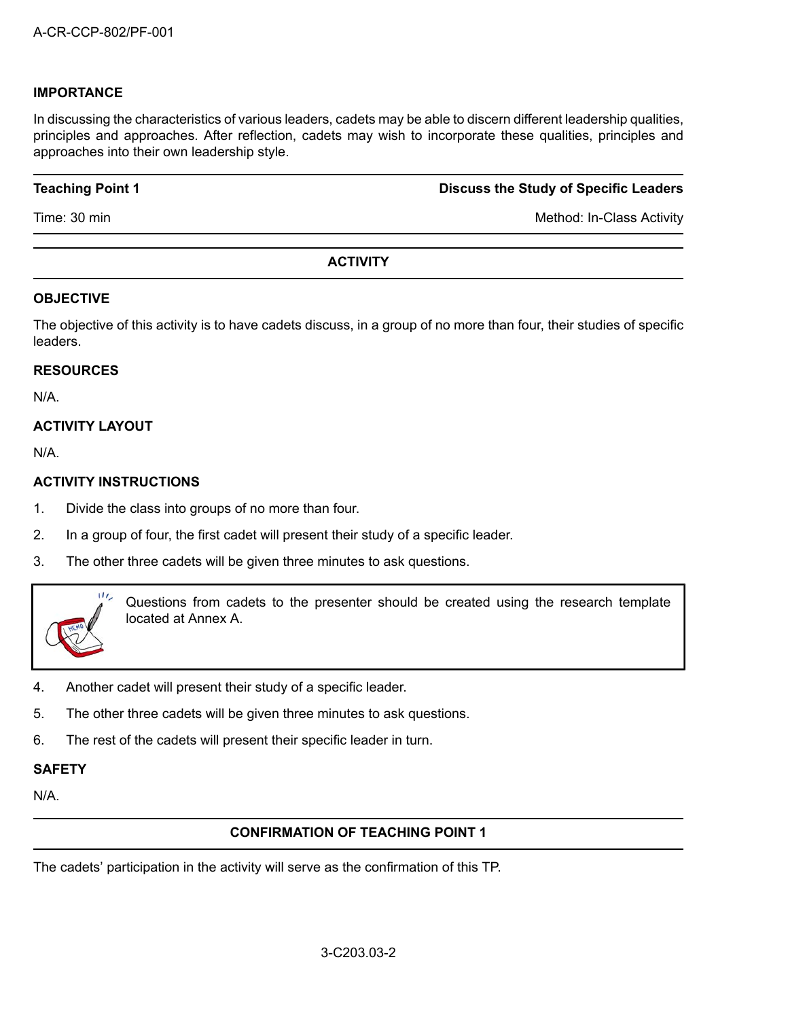# **IMPORTANCE**

In discussing the characteristics of various leaders, cadets may be able to discern different leadership qualities, principles and approaches. After reflection, cadets may wish to incorporate these qualities, principles and approaches into their own leadership style.

# **Teaching Point 1 Discuss the Study of Specific Leaders**

Time: 30 min Method: In-Class Activity

# **ACTIVITY**

#### **OBJECTIVE**

The objective of this activity is to have cadets discuss, in a group of no more than four, their studies of specific leaders.

#### **RESOURCES**

N/A.

# **ACTIVITY LAYOUT**

N/A.

# **ACTIVITY INSTRUCTIONS**

- 1. Divide the class into groups of no more than four.
- 2. In a group of four, the first cadet will present their study of a specific leader.
- 3. The other three cadets will be given three minutes to ask questions.



Questions from cadets to the presenter should be created using the research template located at Annex A.

- 4. Another cadet will present their study of a specific leader.
- 5. The other three cadets will be given three minutes to ask questions.
- 6. The rest of the cadets will present their specific leader in turn.

# **SAFETY**

N/A.

### **CONFIRMATION OF TEACHING POINT 1**

The cadets' participation in the activity will serve as the confirmation of this TP.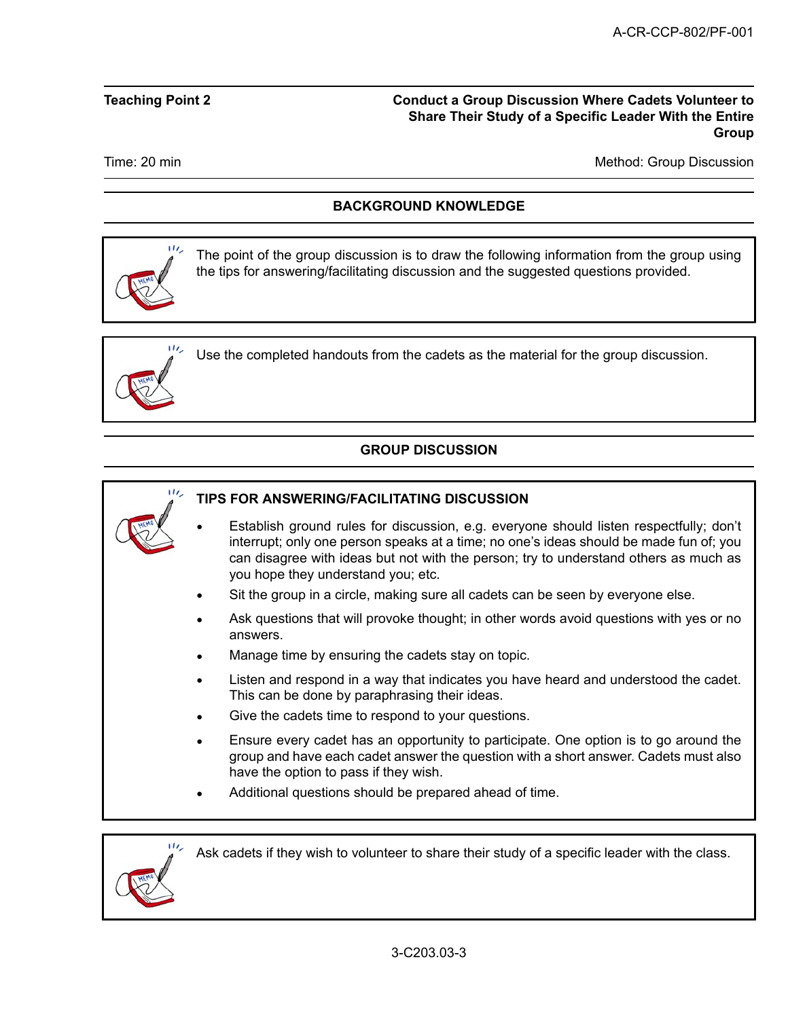# **Teaching Point 2 Conduct a Group Discussion Where Cadets Volunteer to Share Their Study of a Specific Leader With the Entire Group**

Time: 20 min Method: Group Discussion Nethod: Group Discussion

#### **BACKGROUND KNOWLEDGE**



The point of the group discussion is to draw the following information from the group using the tips for answering/facilitating discussion and the suggested questions provided.



Use the completed handouts from the cadets as the material for the group discussion.

### **GROUP DISCUSSION**

#### $111.$ **TIPS FOR ANSWERING/FACILITATING DISCUSSION**

- Establish ground rules for discussion, e.g. everyone should listen respectfully; don't interrupt; only one person speaks at a time; no one's ideas should be made fun of; you can disagree with ideas but not with the person; try to understand others as much as you hope they understand you; etc.
- Sit the group in a circle, making sure all cadets can be seen by everyone else.
- Ask questions that will provoke thought; in other words avoid questions with yes or no answers.
- Manage time by ensuring the cadets stay on topic.
- Listen and respond in a way that indicates you have heard and understood the cadet. This can be done by paraphrasing their ideas.
- Give the cadets time to respond to your questions.
- Ensure every cadet has an opportunity to participate. One option is to go around the group and have each cadet answer the question with a short answer. Cadets must also have the option to pass if they wish.
- Additional questions should be prepared ahead of time.



Ask cadets if they wish to volunteer to share their study of a specific leader with the class.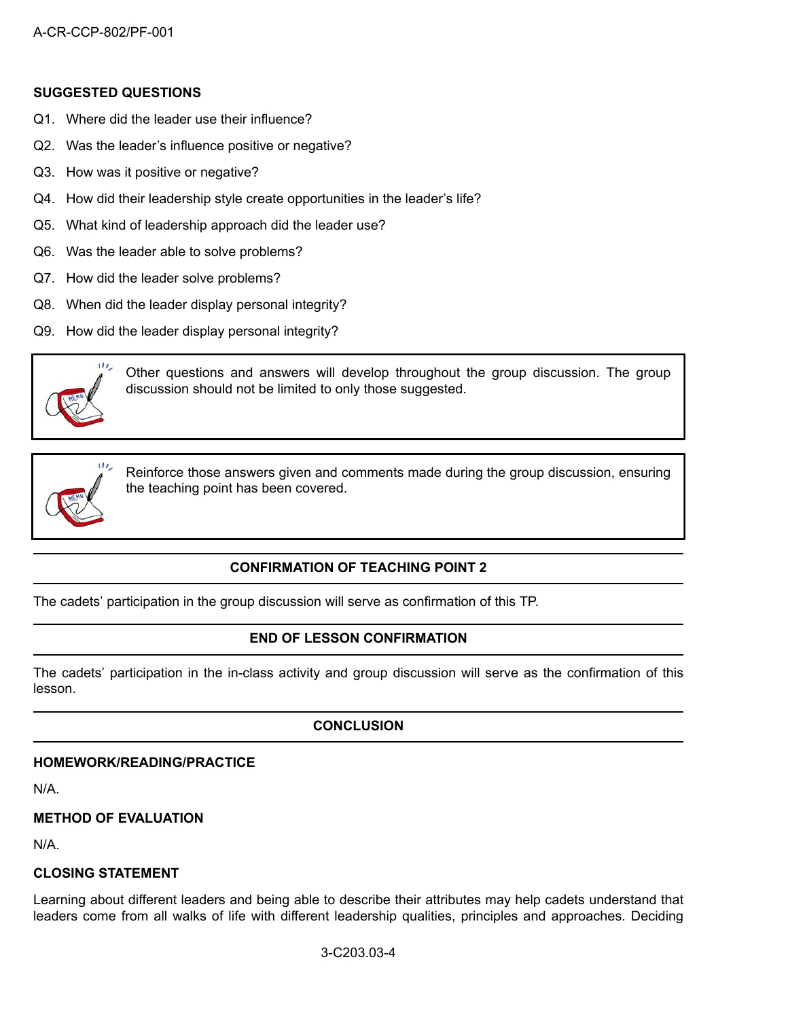#### **SUGGESTED QUESTIONS**

- Q1. Where did the leader use their influence?
- Q2. Was the leader's influence positive or negative?
- Q3. How was it positive or negative?
- Q4. How did their leadership style create opportunities in the leader's life?
- Q5. What kind of leadership approach did the leader use?
- Q6. Was the leader able to solve problems?
- Q7. How did the leader solve problems?
- Q8. When did the leader display personal integrity?
- Q9. How did the leader display personal integrity?



Other questions and answers will develop throughout the group discussion. The group discussion should not be limited to only those suggested.



Reinforce those answers given and comments made during the group discussion, ensuring the teaching point has been covered.

# **CONFIRMATION OF TEACHING POINT 2**

The cadets' participation in the group discussion will serve as confirmation of this TP.

# **END OF LESSON CONFIRMATION**

The cadets' participation in the in-class activity and group discussion will serve as the confirmation of this lesson.

#### **CONCLUSION**

#### **HOMEWORK/READING/PRACTICE**

N/A.

### **METHOD OF EVALUATION**

N/A.

### **CLOSING STATEMENT**

Learning about different leaders and being able to describe their attributes may help cadets understand that leaders come from all walks of life with different leadership qualities, principles and approaches. Deciding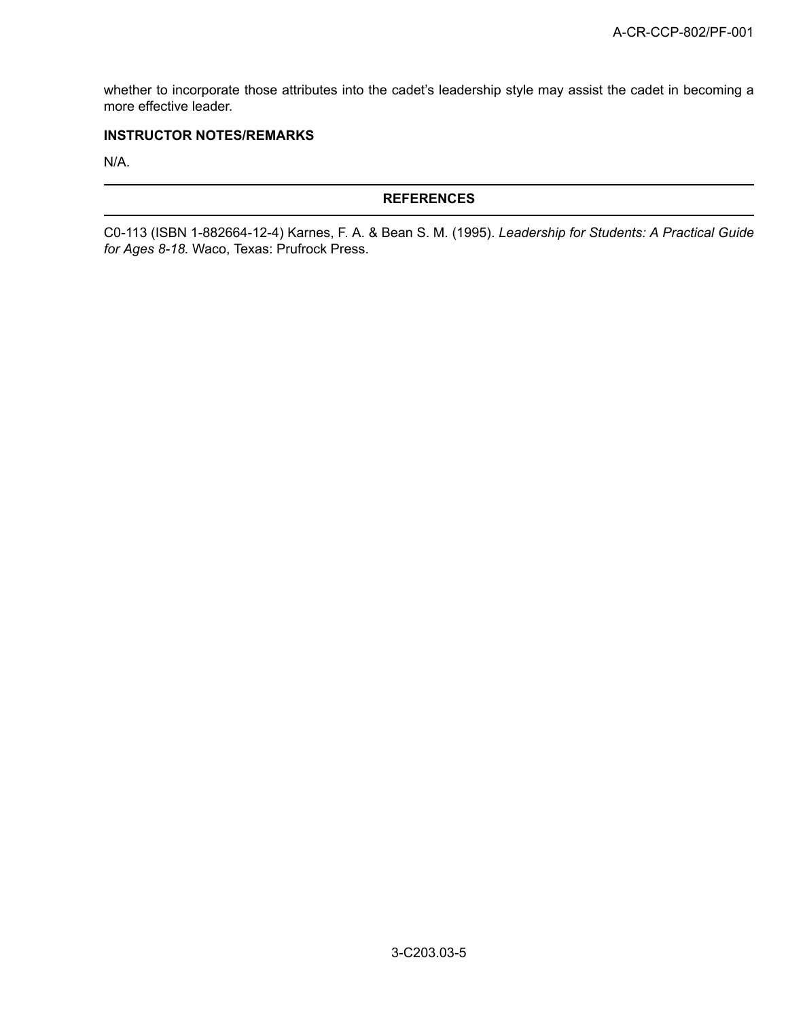whether to incorporate those attributes into the cadet's leadership style may assist the cadet in becoming a more effective leader.

# **INSTRUCTOR NOTES/REMARKS**

N/A.

# **REFERENCES**

C0-113 (ISBN 1-882664-12-4) Karnes, F. A. & Bean S. M. (1995). *Leadership for Students: A Practical Guide for Ages 8-18.* Waco, Texas: Prufrock Press.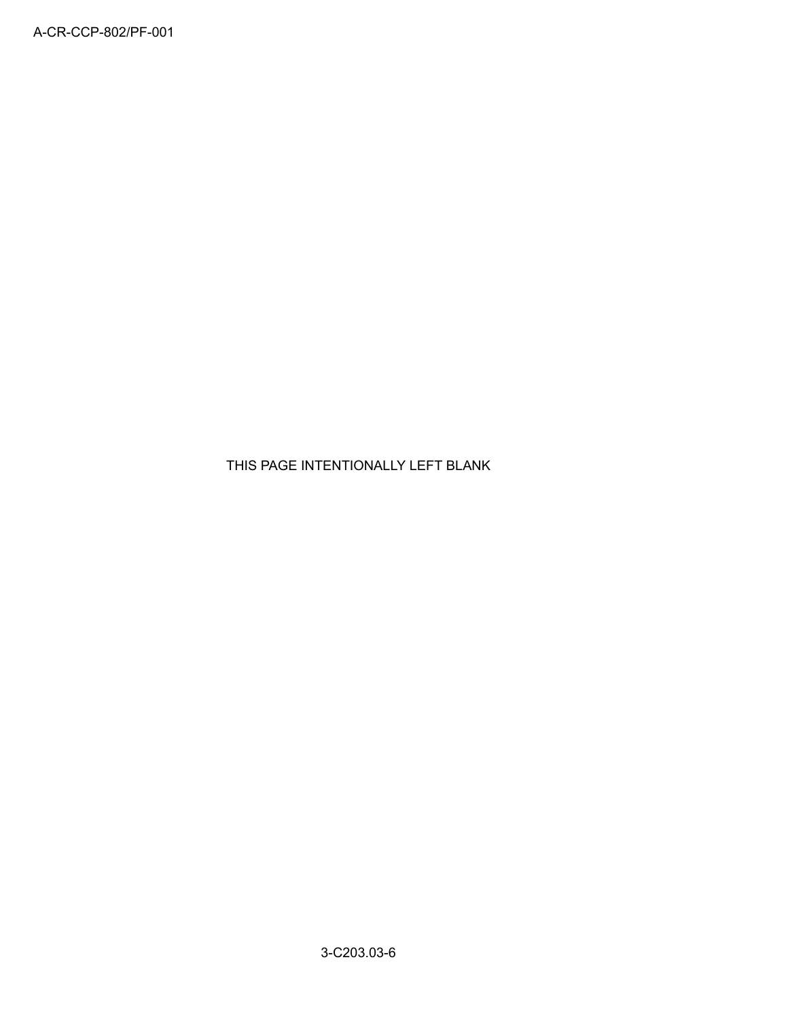THIS PAGE INTENTIONALLY LEFT BLANK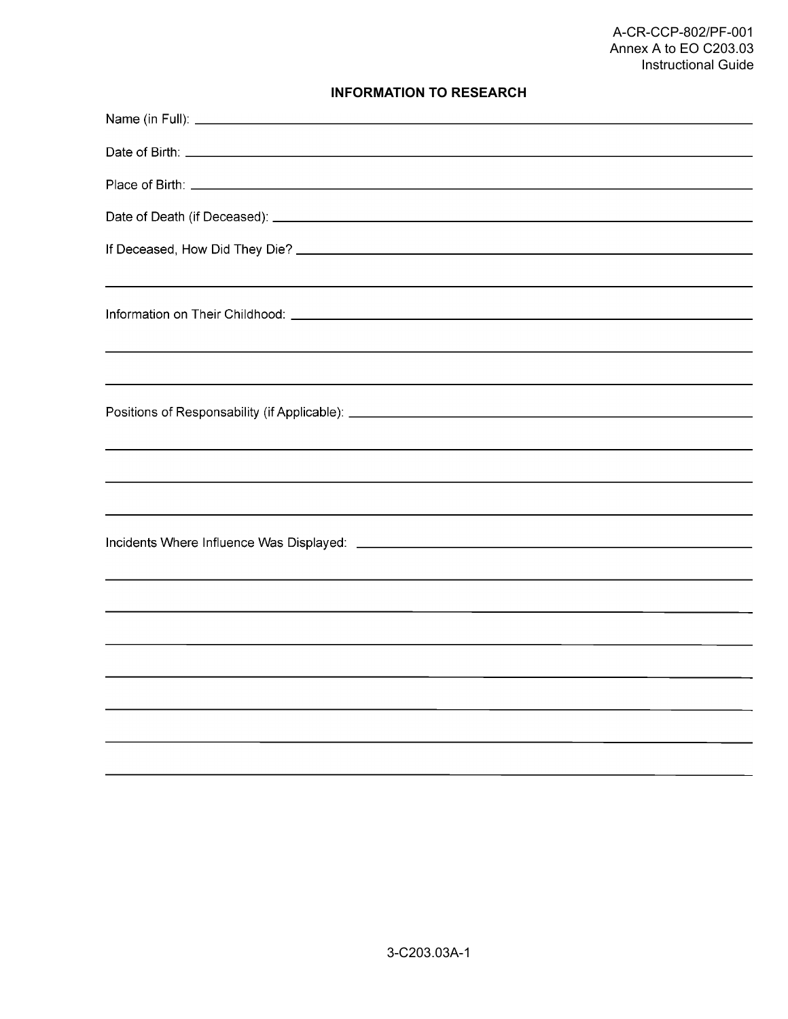# **INFORMATION TO RESEARCH**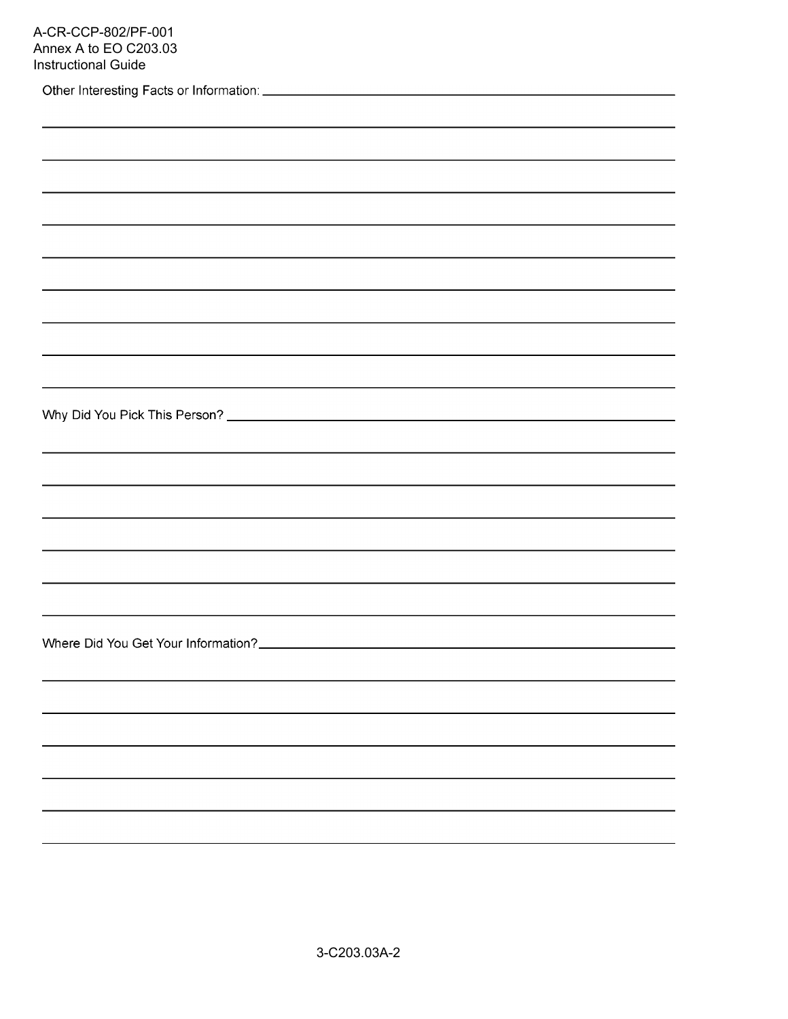| A-CR-CCP-802/PF-001   |
|-----------------------|
| Annex A to EO C203.03 |
| Instructional Guide   |

| Why Did You Pick This Person? |  |
|-------------------------------|--|
|                               |  |

,我们也不会有什么。""我们的人,我们也不会有什么?""我们的人,我们也不会有什么?""我们的人,我们也不会有什么?""我们的人,我们也不会有什么?""我们的人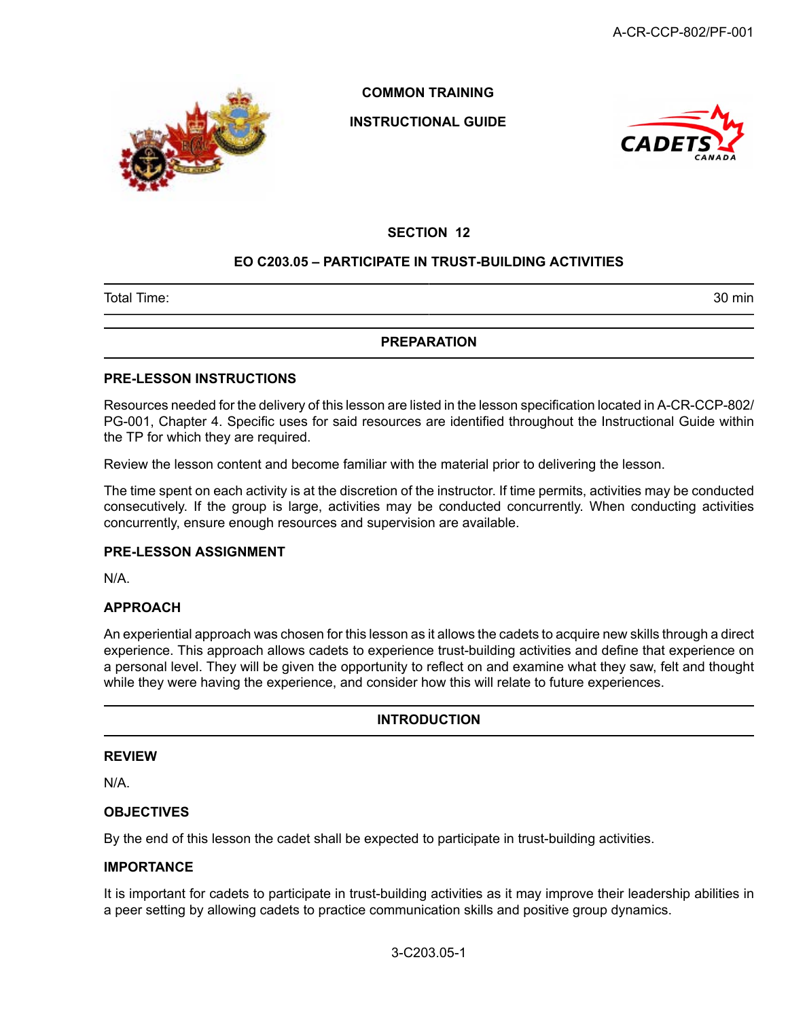

**COMMON TRAINING**

**INSTRUCTIONAL GUIDE**



### **SECTION 12**

# **EO C203.05 – PARTICIPATE IN TRUST-BUILDING ACTIVITIES**

Total Time: 30 min

# **PREPARATION**

# **PRE-LESSON INSTRUCTIONS**

Resources needed for the delivery of this lesson are listed in the lesson specification located in A-CR-CCP-802/ PG-001, Chapter 4. Specific uses for said resources are identified throughout the Instructional Guide within the TP for which they are required.

Review the lesson content and become familiar with the material prior to delivering the lesson.

The time spent on each activity is at the discretion of the instructor. If time permits, activities may be conducted consecutively. If the group is large, activities may be conducted concurrently. When conducting activities concurrently, ensure enough resources and supervision are available.

# **PRE-LESSON ASSIGNMENT**

N/A.

### **APPROACH**

An experiential approach was chosen for this lesson as it allows the cadets to acquire new skills through a direct experience. This approach allows cadets to experience trust-building activities and define that experience on a personal level. They will be given the opportunity to reflect on and examine what they saw, felt and thought while they were having the experience, and consider how this will relate to future experiences.

### **INTRODUCTION**

#### **REVIEW**

N/A.

#### **OBJECTIVES**

By the end of this lesson the cadet shall be expected to participate in trust-building activities.

#### **IMPORTANCE**

It is important for cadets to participate in trust-building activities as it may improve their leadership abilities in a peer setting by allowing cadets to practice communication skills and positive group dynamics.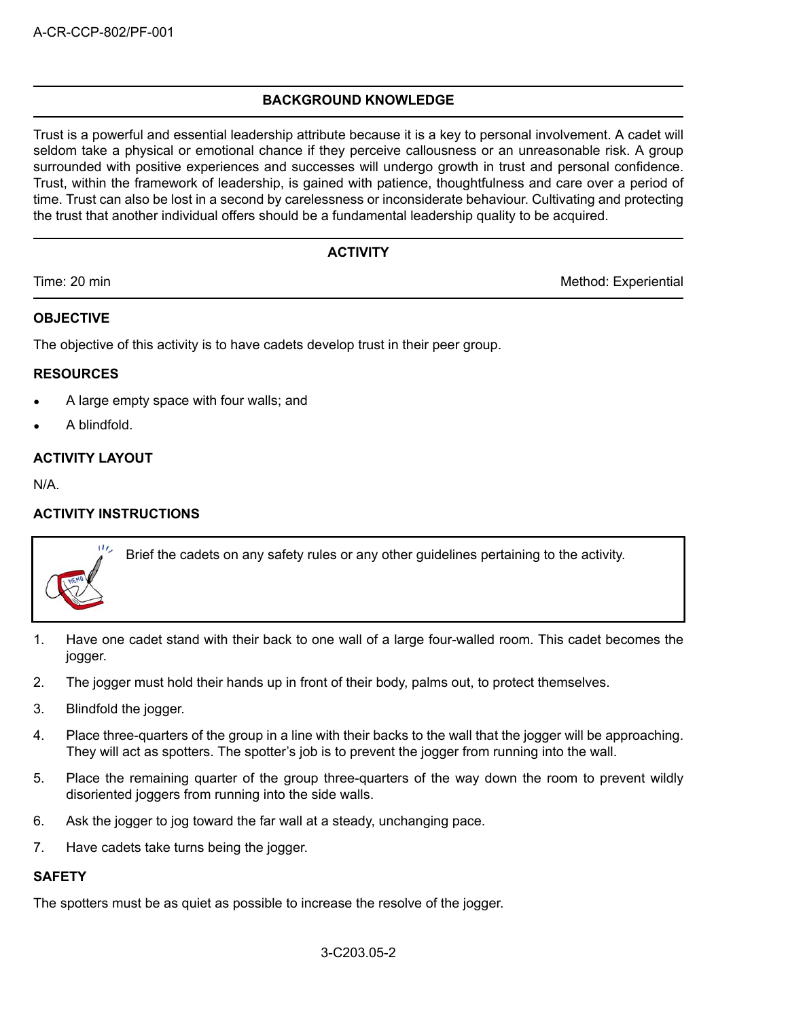#### **BACKGROUND KNOWLEDGE**

Trust is a powerful and essential leadership attribute because it is a key to personal involvement. A cadet will seldom take a physical or emotional chance if they perceive callousness or an unreasonable risk. A group surrounded with positive experiences and successes will undergo growth in trust and personal confidence. Trust, within the framework of leadership, is gained with patience, thoughtfulness and care over a period of time. Trust can also be lost in a second by carelessness or inconsiderate behaviour. Cultivating and protecting the trust that another individual offers should be a fundamental leadership quality to be acquired.

#### **ACTIVITY**

Time: 20 min Method: Experiential material control of the Method: Experiential material material material material of the Method: Experiential material material material material material material material material materia

#### **OBJECTIVE**

The objective of this activity is to have cadets develop trust in their peer group.

#### **RESOURCES**

- A large empty space with four walls; and
- A blindfold.

#### **ACTIVITY LAYOUT**

N/A.

# **ACTIVITY INSTRUCTIONS**



- 1. Have one cadet stand with their back to one wall of a large four-walled room. This cadet becomes the jogger.
- 2. The jogger must hold their hands up in front of their body, palms out, to protect themselves.
- 3. Blindfold the jogger.
- 4. Place three-quarters of the group in a line with their backs to the wall that the jogger will be approaching. They will act as spotters. The spotter's job is to prevent the jogger from running into the wall.
- 5. Place the remaining quarter of the group three-quarters of the way down the room to prevent wildly disoriented joggers from running into the side walls.
- 6. Ask the jogger to jog toward the far wall at a steady, unchanging pace.
- 7. Have cadets take turns being the jogger.

# **SAFETY**

The spotters must be as quiet as possible to increase the resolve of the jogger.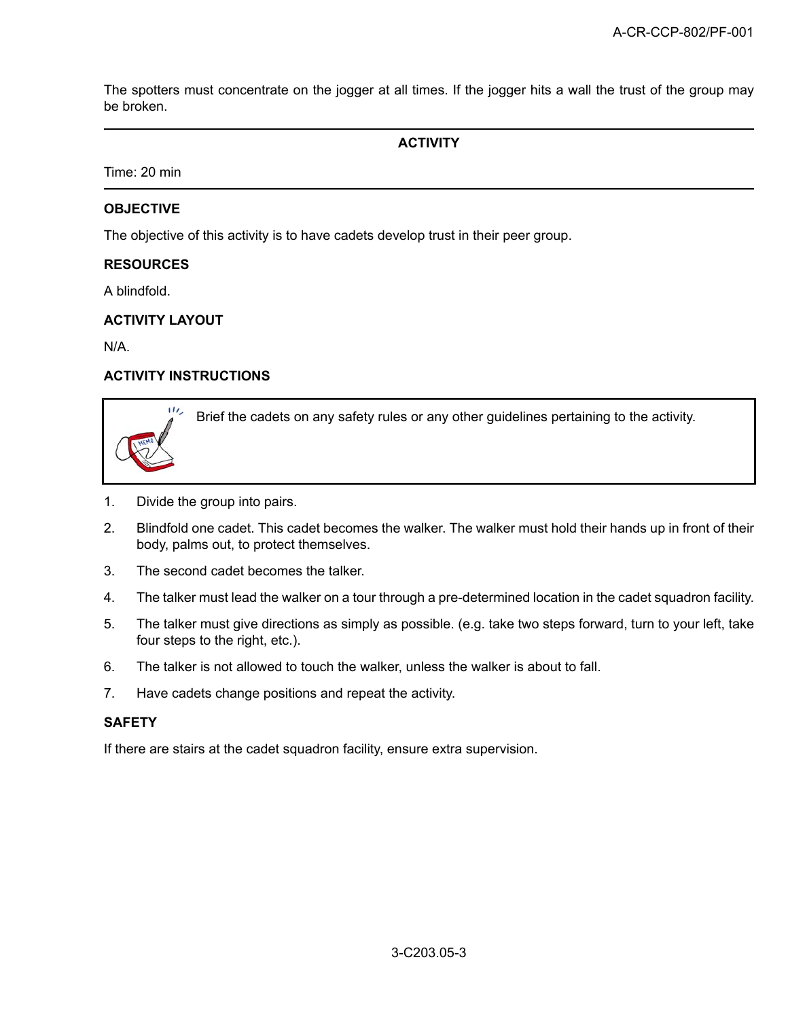The spotters must concentrate on the jogger at all times. If the jogger hits a wall the trust of the group may be broken.

# **ACTIVITY**

Time: 20 min

#### **OBJECTIVE**

The objective of this activity is to have cadets develop trust in their peer group.

### **RESOURCES**

A blindfold.

### **ACTIVITY LAYOUT**

N/A.

# **ACTIVITY INSTRUCTIONS**



Brief the cadets on any safety rules or any other guidelines pertaining to the activity.

- 1. Divide the group into pairs.
- 2. Blindfold one cadet. This cadet becomes the walker. The walker must hold their hands up in front of their body, palms out, to protect themselves.
- 3. The second cadet becomes the talker.
- 4. The talker must lead the walker on a tour through a pre-determined location in the cadet squadron facility.
- 5. The talker must give directions as simply as possible. (e.g. take two steps forward, turn to your left, take four steps to the right, etc.).
- 6. The talker is not allowed to touch the walker, unless the walker is about to fall.
- 7. Have cadets change positions and repeat the activity.

# **SAFETY**

If there are stairs at the cadet squadron facility, ensure extra supervision.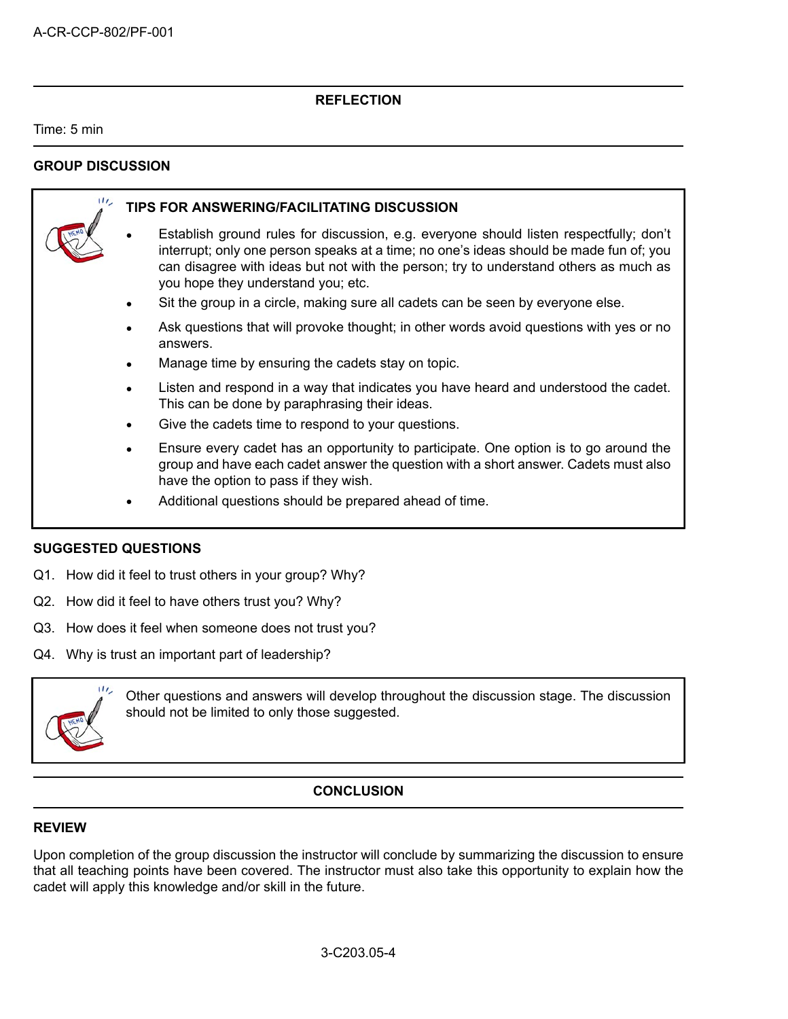# **REFLECTION**

Time: 5 min

# **GROUP DISCUSSION**

### **TIPS FOR ANSWERING/FACILITATING DISCUSSION**

- Establish ground rules for discussion, e.g. everyone should listen respectfully; don't interrupt; only one person speaks at a time; no one's ideas should be made fun of; you can disagree with ideas but not with the person; try to understand others as much as you hope they understand you; etc.
- Sit the group in a circle, making sure all cadets can be seen by everyone else.
- Ask questions that will provoke thought; in other words avoid questions with yes or no answers.
- Manage time by ensuring the cadets stay on topic.
- Listen and respond in a way that indicates you have heard and understood the cadet. This can be done by paraphrasing their ideas.
- Give the cadets time to respond to your questions.
- Ensure every cadet has an opportunity to participate. One option is to go around the group and have each cadet answer the question with a short answer. Cadets must also have the option to pass if they wish.
- Additional questions should be prepared ahead of time.

### **SUGGESTED QUESTIONS**

- Q1. How did it feel to trust others in your group? Why?
- Q2. How did it feel to have others trust you? Why?
- Q3. How does it feel when someone does not trust you?
- Q4. Why is trust an important part of leadership?



Other questions and answers will develop throughout the discussion stage. The discussion should not be limited to only those suggested.

### **CONCLUSION**

# **REVIEW**

Upon completion of the group discussion the instructor will conclude by summarizing the discussion to ensure that all teaching points have been covered. The instructor must also take this opportunity to explain how the cadet will apply this knowledge and/or skill in the future.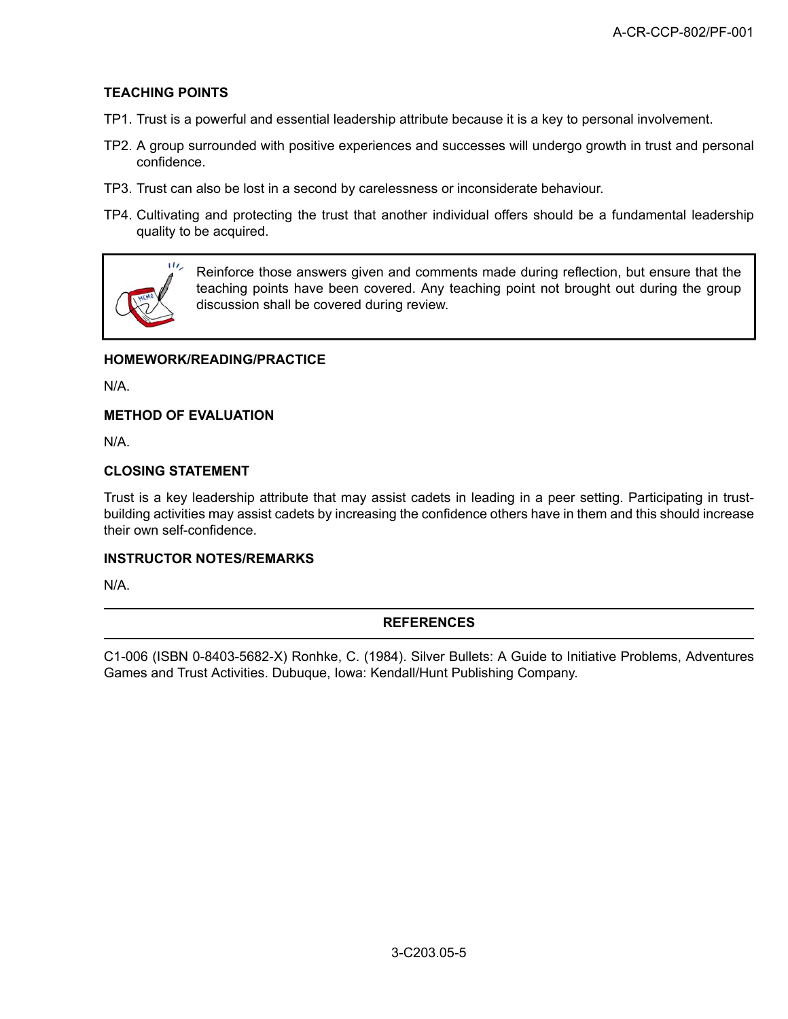# **TEACHING POINTS**

- TP1. Trust is a powerful and essential leadership attribute because it is a key to personal involvement.
- TP2. A group surrounded with positive experiences and successes will undergo growth in trust and personal confidence.
- TP3. Trust can also be lost in a second by carelessness or inconsiderate behaviour.
- TP4. Cultivating and protecting the trust that another individual offers should be a fundamental leadership quality to be acquired.



Reinforce those answers given and comments made during reflection, but ensure that the teaching points have been covered. Any teaching point not brought out during the group discussion shall be covered during review.

# **HOMEWORK/READING/PRACTICE**

N/A.

#### **METHOD OF EVALUATION**

N/A.

### **CLOSING STATEMENT**

Trust is a key leadership attribute that may assist cadets in leading in a peer setting. Participating in trustbuilding activities may assist cadets by increasing the confidence others have in them and this should increase their own self-confidence.

# **INSTRUCTOR NOTES/REMARKS**

N/A.

### **REFERENCES**

C1-006 (ISBN 0-8403-5682-X) Ronhke, C. (1984). Silver Bullets: A Guide to Initiative Problems, Adventures Games and Trust Activities. Dubuque, Iowa: Kendall/Hunt Publishing Company.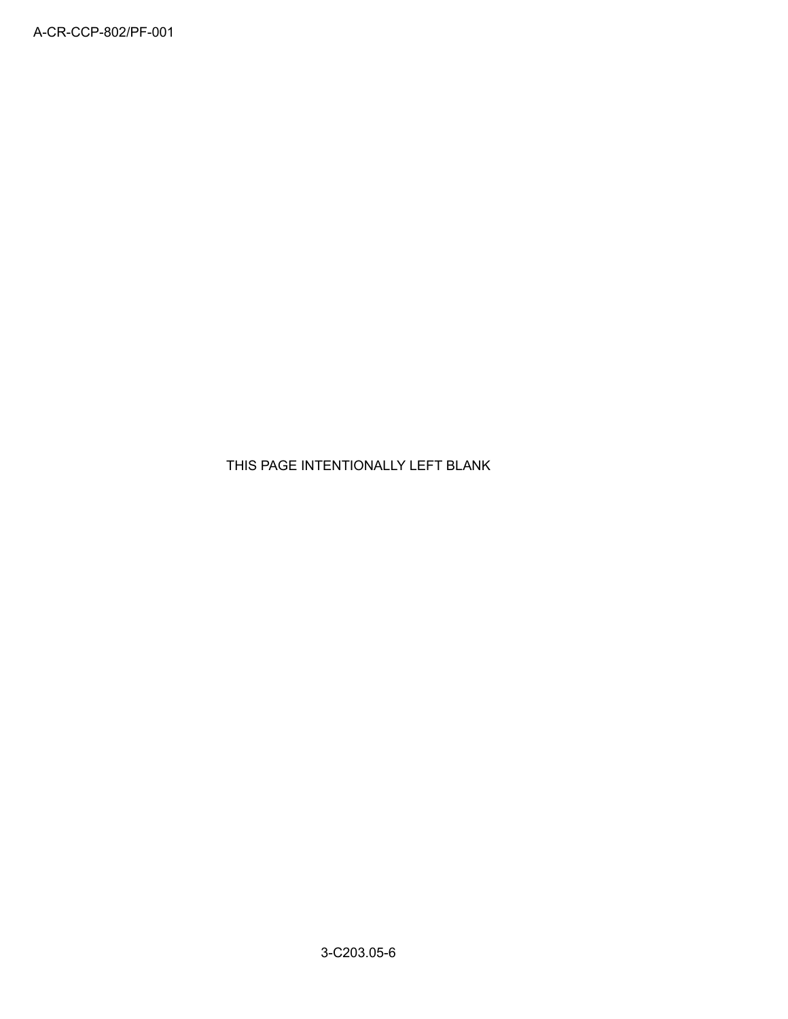THIS PAGE INTENTIONALLY LEFT BLANK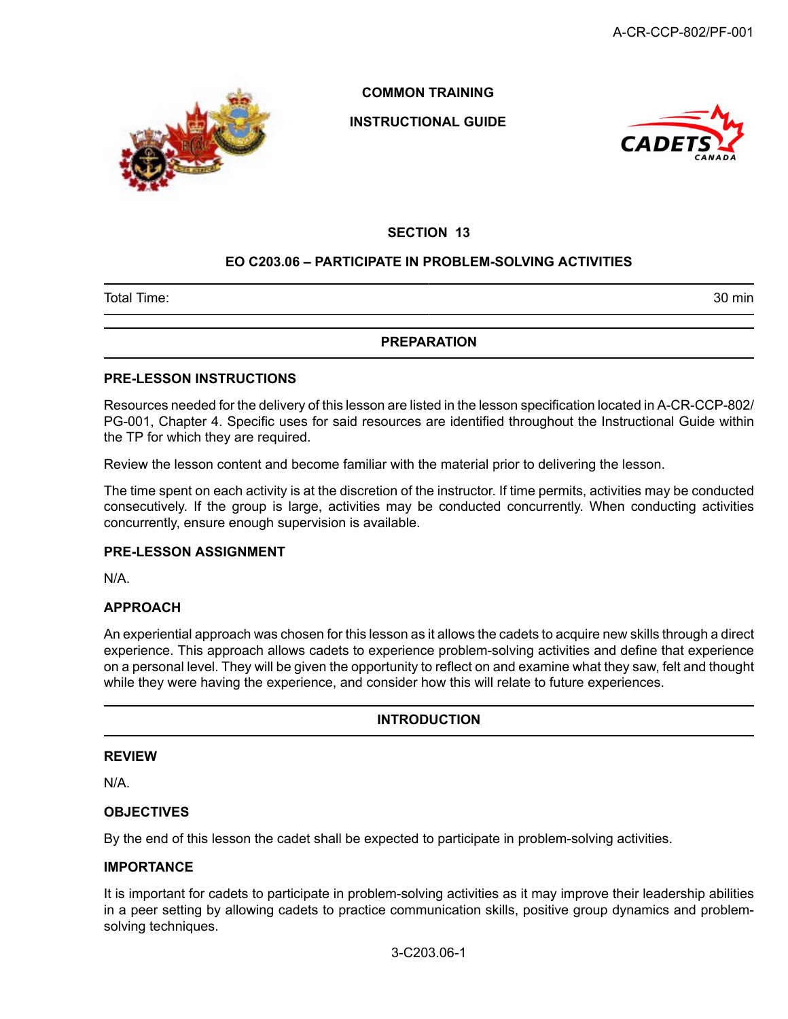

**COMMON TRAINING**

**INSTRUCTIONAL GUIDE**



# **SECTION 13**

### **EO C203.06 – PARTICIPATE IN PROBLEM-SOLVING ACTIVITIES**

Total Time: 30 min

# **PREPARATION**

### **PRE-LESSON INSTRUCTIONS**

Resources needed for the delivery of this lesson are listed in the lesson specification located in A-CR-CCP-802/ PG-001, Chapter 4. Specific uses for said resources are identified throughout the Instructional Guide within the TP for which they are required.

Review the lesson content and become familiar with the material prior to delivering the lesson.

The time spent on each activity is at the discretion of the instructor. If time permits, activities may be conducted consecutively. If the group is large, activities may be conducted concurrently. When conducting activities concurrently, ensure enough supervision is available.

# **PRE-LESSON ASSIGNMENT**

N/A.

### **APPROACH**

An experiential approach was chosen for this lesson as it allows the cadets to acquire new skills through a direct experience. This approach allows cadets to experience problem-solving activities and define that experience on a personal level. They will be given the opportunity to reflect on and examine what they saw, felt and thought while they were having the experience, and consider how this will relate to future experiences.

### **INTRODUCTION**

#### **REVIEW**

N/A.

### **OBJECTIVES**

By the end of this lesson the cadet shall be expected to participate in problem-solving activities.

#### **IMPORTANCE**

It is important for cadets to participate in problem-solving activities as it may improve their leadership abilities in a peer setting by allowing cadets to practice communication skills, positive group dynamics and problemsolving techniques.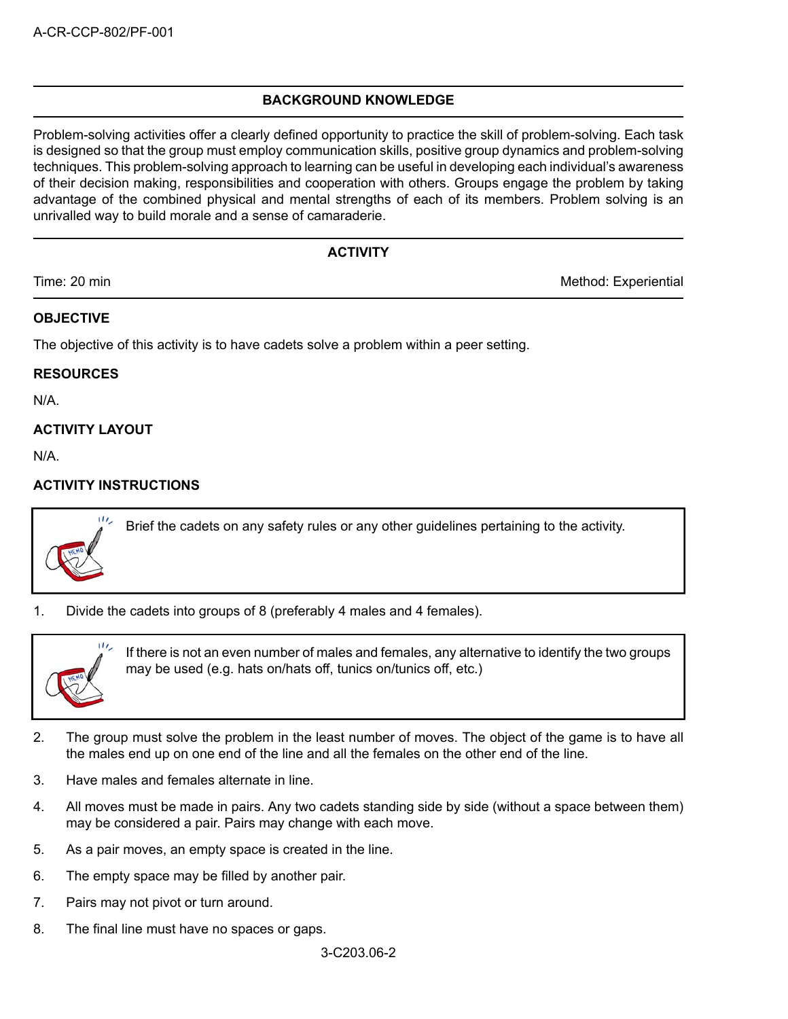#### **BACKGROUND KNOWLEDGE**

Problem-solving activities offer a clearly defined opportunity to practice the skill of problem-solving. Each task is designed so that the group must employ communication skills, positive group dynamics and problem-solving techniques. This problem-solving approach to learning can be useful in developing each individual's awareness of their decision making, responsibilities and cooperation with others. Groups engage the problem by taking advantage of the combined physical and mental strengths of each of its members. Problem solving is an unrivalled way to build morale and a sense of camaraderie.

#### **ACTIVITY**

Time: 20 min Method: Experiential material control of the Method: Experiential material material material material of the Method: Experiential material material material material material material material material materia

#### **OBJECTIVE**

The objective of this activity is to have cadets solve a problem within a peer setting.

#### **RESOURCES**

N/A.

### **ACTIVITY LAYOUT**

N/A.

# **ACTIVITY INSTRUCTIONS**



Brief the cadets on any safety rules or any other guidelines pertaining to the activity.

1. Divide the cadets into groups of 8 (preferably 4 males and 4 females).



If there is not an even number of males and females, any alternative to identify the two groups may be used (e.g. hats on/hats off, tunics on/tunics off, etc.)

- 2. The group must solve the problem in the least number of moves. The object of the game is to have all the males end up on one end of the line and all the females on the other end of the line.
- 3. Have males and females alternate in line.
- 4. All moves must be made in pairs. Any two cadets standing side by side (without a space between them) may be considered a pair. Pairs may change with each move.
- 5. As a pair moves, an empty space is created in the line.
- 6. The empty space may be filled by another pair.
- 7. Pairs may not pivot or turn around.
- 8. The final line must have no spaces or gaps.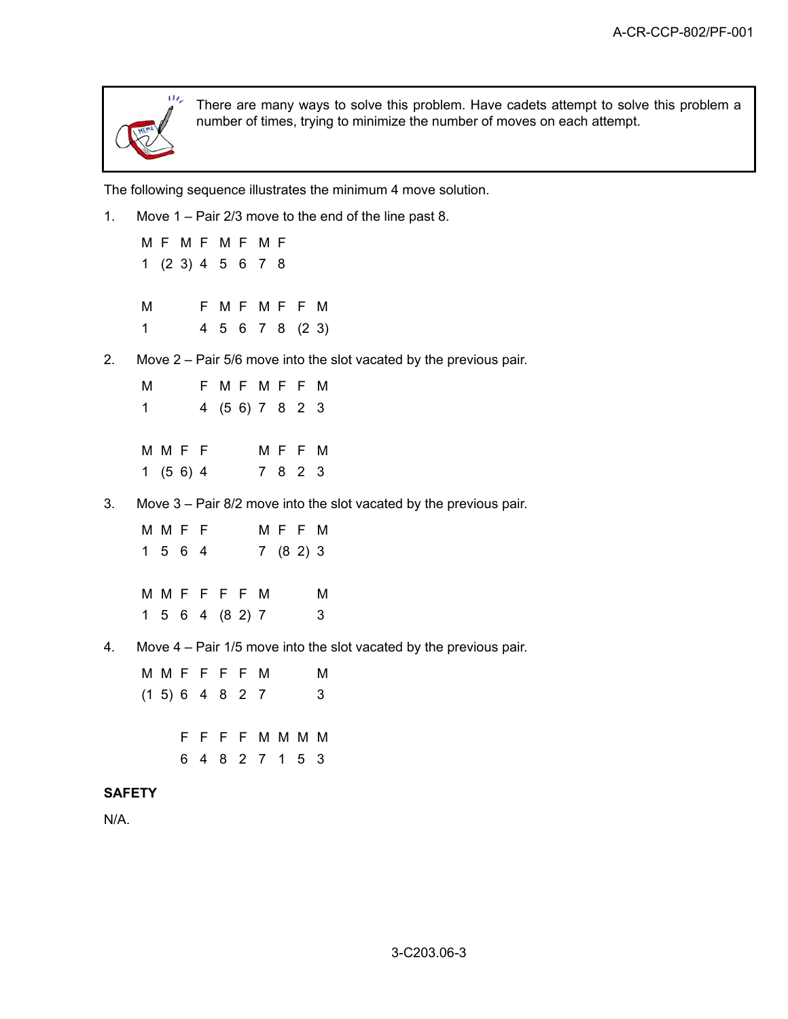

There are many ways to solve this problem. Have cadets attempt to solve this problem a number of times, trying to minimize the number of moves on each attempt.

The following sequence illustrates the minimum 4 move solution.

1. Move 1 – Pair 2/3 move to the end of the line past 8.

M F M F M F M F 1 (2 3) 4 5 6 7 8 M F M F M F F M 1 4 5 6 7 8 (2 3)

2. Move 2 – Pair 5/6 move into the slot vacated by the previous pair.

M F M F M F F M 1 4 (5 6) 7 8 2 3 M M F F M F F M

1 (5 6) 4 7 8 2 3

3. Move 3 – Pair 8/2 move into the slot vacated by the previous pair.

M M F F M F F M 1 5 6 4 7 (8 2) 3 M M F F F F M M

1 5 6 4 (8 2) 7 3

4. Move 4 – Pair 1/5 move into the slot vacated by the previous pair.

M M F F F F M M (1 5) 6 4 8 2 7 3 F F F F M M M M 6 4 8 2 7 1 5 3

### **SAFETY**

N/A.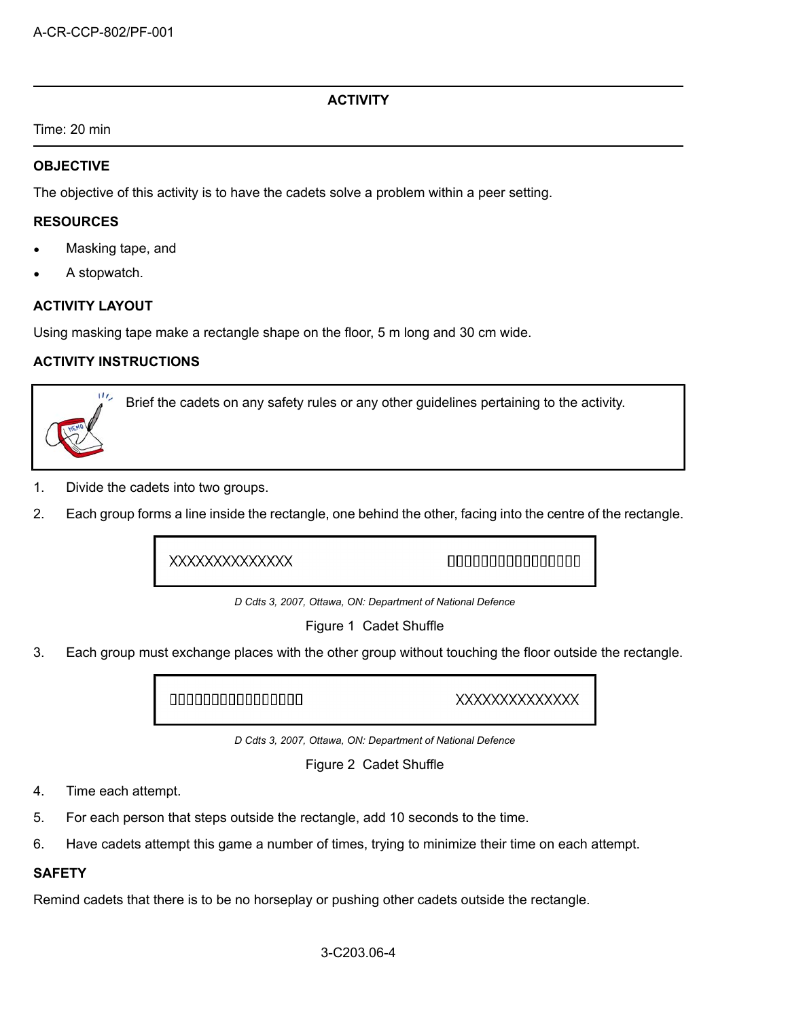# **ACTIVITY**

Time: 20 min

### **OBJECTIVE**

The objective of this activity is to have the cadets solve a problem within a peer setting.

#### **RESOURCES**

- Masking tape, and
- A stopwatch.

# **ACTIVITY LAYOUT**

Using masking tape make a rectangle shape on the floor, 5 m long and 30 cm wide.

# **ACTIVITY INSTRUCTIONS**

 $\overline{u}$ Brief the cadets on any safety rules or any other guidelines pertaining to the activity.

- 1. Divide the cadets into two groups.
- 2. Each group forms a line inside the rectangle, one behind the other, facing into the centre of the rectangle.

**XXXXXXXXXXXXX** 

000000000000000

*D Cdts 3, 2007, Ottawa, ON: Department of National Defence*

Figure 1 Cadet Shuffle

3. Each group must exchange places with the other group without touching the floor outside the rectangle.

000000000000000

**XXXXXXXXXXXXX** 

*D Cdts 3, 2007, Ottawa, ON: Department of National Defence*

Figure 2 Cadet Shuffle

4. Time each attempt.

- 5. For each person that steps outside the rectangle, add 10 seconds to the time.
- 6. Have cadets attempt this game a number of times, trying to minimize their time on each attempt.

# **SAFETY**

Remind cadets that there is to be no horseplay or pushing other cadets outside the rectangle.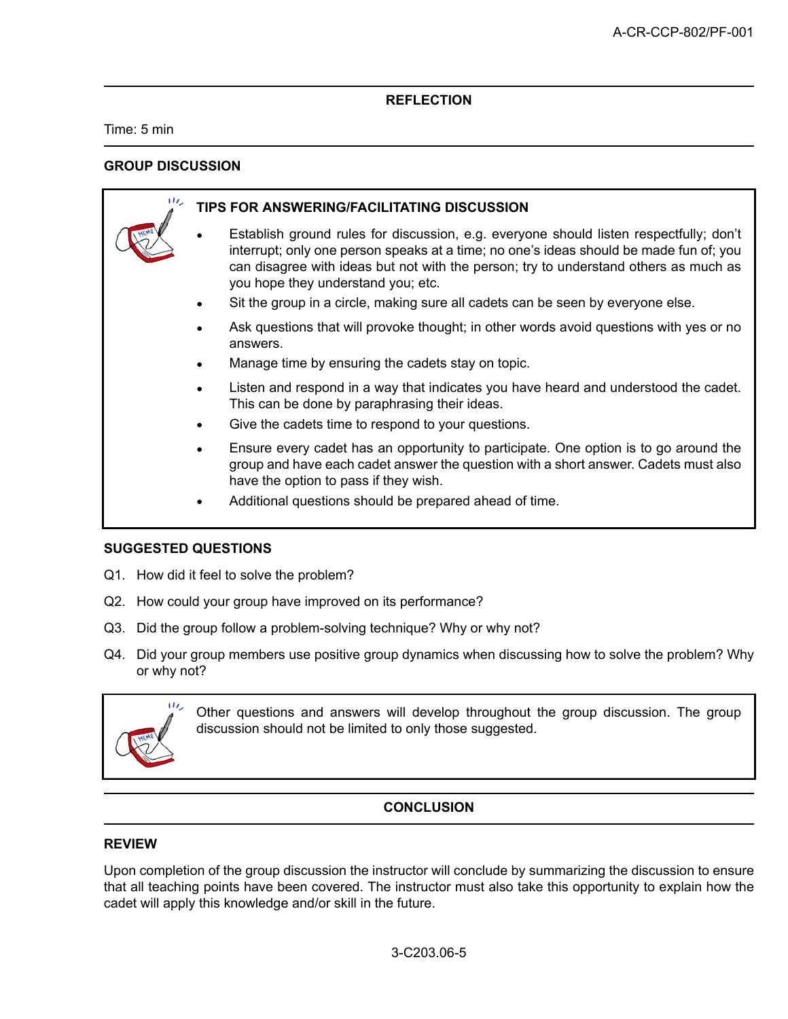#### **REFLECTION**

Time: 5 min

### **GROUP DISCUSSION**

 $\overline{11}$ **TIPS FOR ANSWERING/FACILITATING DISCUSSION**

- Establish ground rules for discussion, e.g. everyone should listen respectfully; don't interrupt; only one person speaks at a time; no one's ideas should be made fun of; you can disagree with ideas but not with the person; try to understand others as much as you hope they understand you; etc.
- Sit the group in a circle, making sure all cadets can be seen by everyone else.
- Ask questions that will provoke thought; in other words avoid questions with yes or no answers.
- Manage time by ensuring the cadets stay on topic.
- Listen and respond in a way that indicates you have heard and understood the cadet. This can be done by paraphrasing their ideas.
- Give the cadets time to respond to your questions.
- Ensure every cadet has an opportunity to participate. One option is to go around the group and have each cadet answer the question with a short answer. Cadets must also have the option to pass if they wish.
- Additional questions should be prepared ahead of time.

### **SUGGESTED QUESTIONS**

- Q1. How did it feel to solve the problem?
- Q2. How could your group have improved on its performance?
- Q3. Did the group follow a problem-solving technique? Why or why not?
- Q4. Did your group members use positive group dynamics when discussing how to solve the problem? Why or why not?



Other questions and answers will develop throughout the group discussion. The group discussion should not be limited to only those suggested.

# **CONCLUSION**

#### **REVIEW**

Upon completion of the group discussion the instructor will conclude by summarizing the discussion to ensure that all teaching points have been covered. The instructor must also take this opportunity to explain how the cadet will apply this knowledge and/or skill in the future.